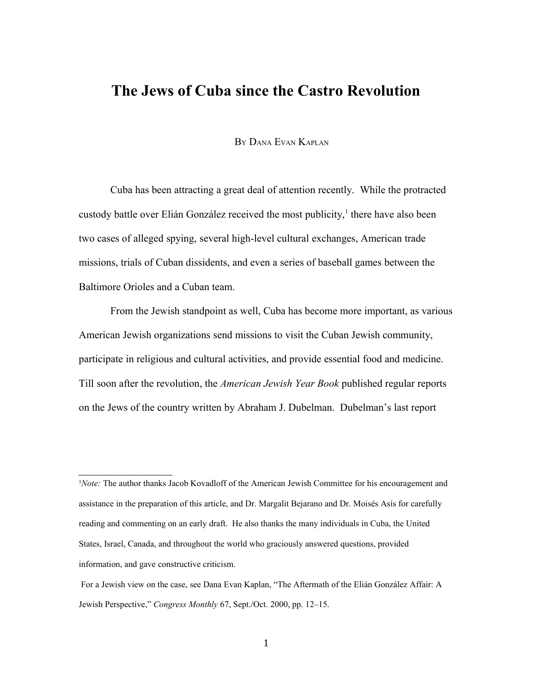# **The Jews of Cuba since the Castro Revolution**

BY DANA EVAN KAPLAN

Cuba has been attracting a great deal of attention recently. While the protracted custody battle over Elián González received the most publicity,<sup>[1](#page-0-0)</sup> there have also been two cases of alleged spying, several high-level cultural exchanges, American trade missions, trials of Cuban dissidents, and even a series of baseball games between the Baltimore Orioles and a Cuban team.

From the Jewish standpoint as well, Cuba has become more important, as various American Jewish organizations send missions to visit the Cuban Jewish community, participate in religious and cultural activities, and provide essential food and medicine. Till soon after the revolution, the *American Jewish Year Book* published regular reports on the Jews of the country written by Abraham J. Dubelman. Dubelman's last report

<span id="page-0-0"></span><sup>1</sup>*Note:* The author thanks Jacob Kovadloff of the American Jewish Committee for his encouragement and assistance in the preparation of this article, and Dr. Margalit Bejarano and Dr. Moisés Asís for carefully reading and commenting on an early draft. He also thanks the many individuals in Cuba, the United States, Israel, Canada, and throughout the world who graciously answered questions, provided information, and gave constructive criticism.

 For a Jewish view on the case, see Dana Evan Kaplan, "The Aftermath of the Elián González Affair: A Jewish Perspective," *Congress Monthly* 67, Sept./Oct. 2000, pp. 12–15.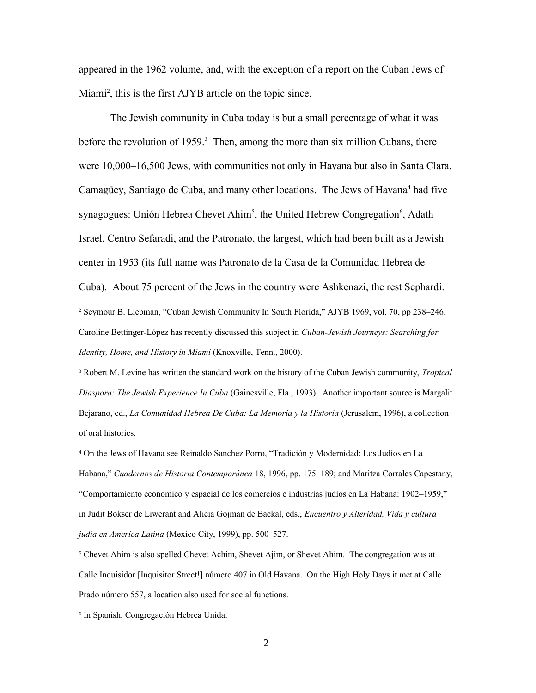appeared in the 1962 volume, and, with the exception of a report on the Cuban Jews of Miami<sup>[2](#page-1-0)</sup>, this is the first AJYB article on the topic since.

The Jewish community in Cuba today is but a small percentage of what it was before the revolution of 1959.<sup>[3](#page-1-1)</sup> Then, among the more than six million Cubans, there were 10,000–16,500 Jews, with communities not only in Havana but also in Santa Clara, Camagüey, Santiago de Cuba, and many other locations. The Jews of Havana<sup>[4](#page-1-2)</sup> had five synagogues: Unión Hebrea Chevet Ahim<sup>[5](#page-1-3)</sup>, the United Hebrew Congregation<sup>[6](#page-1-4)</sup>, Adath Israel, Centro Sefaradi, and the Patronato, the largest, which had been built as a Jewish center in 1953 (its full name was Patronato de la Casa de la Comunidad Hebrea de Cuba). About 75 percent of the Jews in the country were Ashkenazi, the rest Sephardi.

<span id="page-1-0"></span>2 Seymour B. Liebman, "Cuban Jewish Community In South Florida," AJYB 1969, vol. 70, pp 238–246. Caroline Bettinger-López has recently discussed this subject in *Cuban-Jewish Journeys: Searching for Identity, Home, and History in Miami* (Knoxville, Tenn., 2000).

<span id="page-1-1"></span>3 Robert M. Levine has written the standard work on the history of the Cuban Jewish community, *Tropical Diaspora: The Jewish Experience In Cuba* (Gainesville, Fla., 1993). Another important source is Margalit Bejarano, ed., *La Comunidad Hebrea De Cuba: La Memoria y la Historia* (Jerusalem, 1996), a collection of oral histories.

<span id="page-1-2"></span>4 On the Jews of Havana see Reinaldo Sanchez Porro, "Tradición y Modernidad: Los Judíos en La Habana," *Cuadernos de Historia Contemporánea* 18, 1996, pp. 175–189; and Maritza Corrales Capestany, "Comportamiento economico y espacial de los comercios e industrias judíos en La Habana: 1902–1959," in Judit Bokser de Liwerant and Alicia Gojman de Backal, eds., *Encuentro y Alteridad, Vida y cultura judía en America Latina* (Mexico City, 1999), pp. 500–527.

<span id="page-1-3"></span><sup>5</sup> Chevet Ahim is also spelled Chevet Achim, Shevet Ajim, or Shevet Ahim. The congregation was at Calle Inquisidor [Inquisitor Street!] número 407 in Old Havana. On the High Holy Days it met at Calle Prado número 557, a location also used for social functions.

<span id="page-1-4"></span>6 In Spanish, Congregación Hebrea Unida.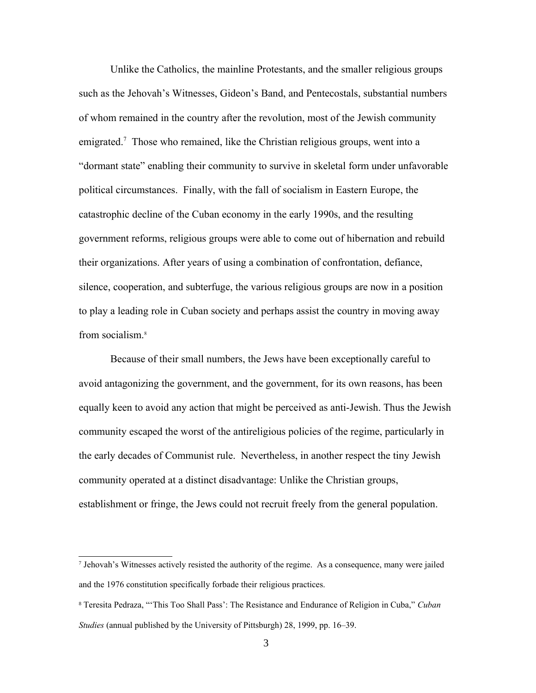Unlike the Catholics, the mainline Protestants, and the smaller religious groups such as the Jehovah's Witnesses, Gideon's Band, and Pentecostals, substantial numbers of whom remained in the country after the revolution, most of the Jewish community emigrated.<sup>[7](#page-2-0)</sup> Those who remained, like the Christian religious groups, went into a "dormant state" enabling their community to survive in skeletal form under unfavorable political circumstances. Finally, with the fall of socialism in Eastern Europe, the catastrophic decline of the Cuban economy in the early 1990s, and the resulting government reforms, religious groups were able to come out of hibernation and rebuild their organizations. After years of using a combination of confrontation, defiance, silence, cooperation, and subterfuge, the various religious groups are now in a position to play a leading role in Cuban society and perhaps assist the country in moving away from socialism.<sup>[8](#page-2-1)</sup>

Because of their small numbers, the Jews have been exceptionally careful to avoid antagonizing the government, and the government, for its own reasons, has been equally keen to avoid any action that might be perceived as anti-Jewish. Thus the Jewish community escaped the worst of the antireligious policies of the regime, particularly in the early decades of Communist rule. Nevertheless, in another respect the tiny Jewish community operated at a distinct disadvantage: Unlike the Christian groups, establishment or fringe, the Jews could not recruit freely from the general population.

<span id="page-2-0"></span><sup>7</sup> Jehovah's Witnesses actively resisted the authority of the regime. As a consequence, many were jailed and the 1976 constitution specifically forbade their religious practices.

<span id="page-2-1"></span><sup>8</sup> Teresita Pedraza, "'This Too Shall Pass': The Resistance and Endurance of Religion in Cuba," *Cuban Studies* (annual published by the University of Pittsburgh) 28, 1999, pp. 16–39.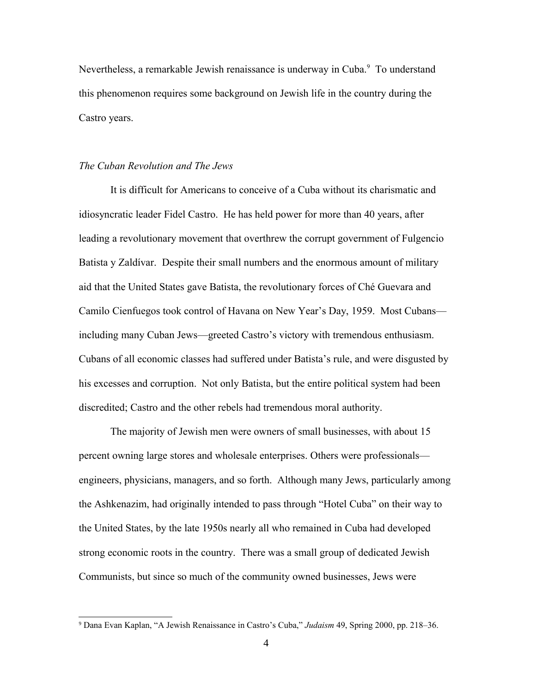Nevertheless, a remarkable Jewish renaissance is underway in Cuba.<sup>[9](#page-3-0)</sup> To understand this phenomenon requires some background on Jewish life in the country during the Castro years.

## *The Cuban Revolution and The Jews*

It is difficult for Americans to conceive of a Cuba without its charismatic and idiosyncratic leader Fidel Castro. He has held power for more than 40 years, after leading a revolutionary movement that overthrew the corrupt government of Fulgencio Batista y Zaldívar. Despite their small numbers and the enormous amount of military aid that the United States gave Batista, the revolutionary forces of Ché Guevara and Camilo Cienfuegos took control of Havana on New Year's Day, 1959. Most Cubans including many Cuban Jews—greeted Castro's victory with tremendous enthusiasm. Cubans of all economic classes had suffered under Batista's rule, and were disgusted by his excesses and corruption. Not only Batista, but the entire political system had been discredited; Castro and the other rebels had tremendous moral authority.

The majority of Jewish men were owners of small businesses, with about 15 percent owning large stores and wholesale enterprises. Others were professionals engineers, physicians, managers, and so forth. Although many Jews, particularly among the Ashkenazim, had originally intended to pass through "Hotel Cuba" on their way to the United States, by the late 1950s nearly all who remained in Cuba had developed strong economic roots in the country. There was a small group of dedicated Jewish Communists, but since so much of the community owned businesses, Jews were

<span id="page-3-0"></span><sup>9</sup> Dana Evan Kaplan, "A Jewish Renaissance in Castro's Cuba," *Judaism* 49, Spring 2000, pp. 218–36.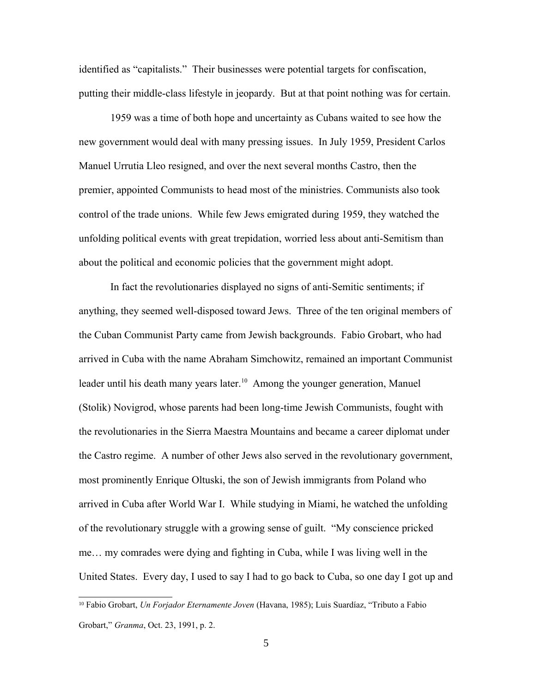identified as "capitalists." Their businesses were potential targets for confiscation, putting their middle-class lifestyle in jeopardy. But at that point nothing was for certain.

1959 was a time of both hope and uncertainty as Cubans waited to see how the new government would deal with many pressing issues. In July 1959, President Carlos Manuel Urrutia Lleo resigned, and over the next several months Castro, then the premier, appointed Communists to head most of the ministries. Communists also took control of the trade unions. While few Jews emigrated during 1959, they watched the unfolding political events with great trepidation, worried less about anti-Semitism than about the political and economic policies that the government might adopt.

In fact the revolutionaries displayed no signs of anti-Semitic sentiments; if anything, they seemed well-disposed toward Jews. Three of the ten original members of the Cuban Communist Party came from Jewish backgrounds. Fabio Grobart, who had arrived in Cuba with the name Abraham Simchowitz, remained an important Communist leader until his death many years later.<sup>[10](#page-4-0)</sup> Among the younger generation, Manuel (Stolik) Novigrod, whose parents had been long-time Jewish Communists, fought with the revolutionaries in the Sierra Maestra Mountains and became a career diplomat under the Castro regime. A number of other Jews also served in the revolutionary government, most prominently Enrique Oltuski, the son of Jewish immigrants from Poland who arrived in Cuba after World War I. While studying in Miami, he watched the unfolding of the revolutionary struggle with a growing sense of guilt. "My conscience pricked me… my comrades were dying and fighting in Cuba, while I was living well in the United States. Every day, I used to say I had to go back to Cuba, so one day I got up and

<span id="page-4-0"></span><sup>10</sup> Fabio Grobart, *Un Forjador Eternamente Joven* (Havana, 1985); Luis Suardíaz, "Tributo a Fabio Grobart," *Granma*, Oct. 23, 1991, p. 2.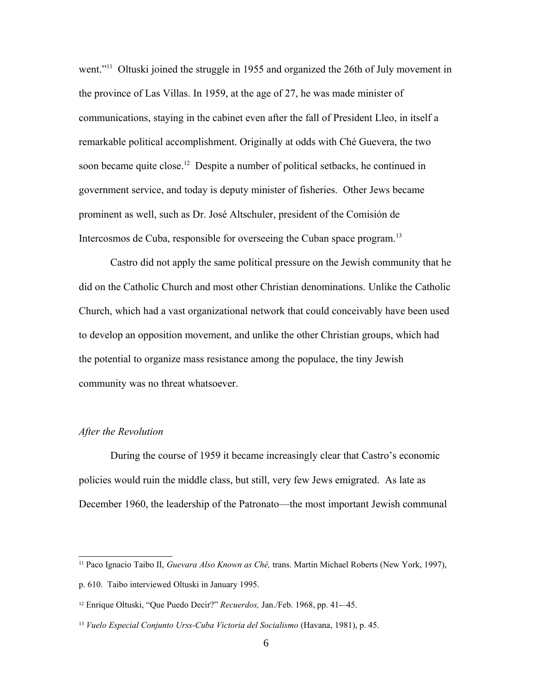went."<sup>[11](#page-5-0)</sup> Oltuski joined the struggle in 1955 and organized the 26th of July movement in the province of Las Villas. In 1959, at the age of 27, he was made minister of communications, staying in the cabinet even after the fall of President Lleo, in itself a remarkable political accomplishment. Originally at odds with Ché Guevera, the two soon became quite close.<sup>[12](#page-5-1)</sup> Despite a number of political setbacks, he continued in government service, and today is deputy minister of fisheries. Other Jews became prominent as well, such as Dr. José Altschuler, president of the Comisión de Intercosmos de Cuba, responsible for overseeing the Cuban space program.<sup>[13](#page-5-2)</sup>

Castro did not apply the same political pressure on the Jewish community that he did on the Catholic Church and most other Christian denominations. Unlike the Catholic Church, which had a vast organizational network that could conceivably have been used to develop an opposition movement, and unlike the other Christian groups, which had the potential to organize mass resistance among the populace, the tiny Jewish community was no threat whatsoever.

### *After the Revolution*

During the course of 1959 it became increasingly clear that Castro's economic policies would ruin the middle class, but still, very few Jews emigrated. As late as December 1960, the leadership of the Patronato—the most important Jewish communal

<span id="page-5-0"></span><sup>11</sup> Paco Ignacio Taibo II, *Guevara Also Known as Ché,* trans. Martin Michael Roberts (New York, 1997), p. 610. Taibo interviewed Oltuski in January 1995.

<span id="page-5-1"></span><sup>12</sup> Enrique Oltuski, "Que Puedo Decir?" *Recuerdos,* Jan./Feb. 1968, pp. 41-–45.

<span id="page-5-2"></span><sup>&</sup>lt;sup>13</sup> *Vuelo Especial Conjunto Urss-Cuba Victoria del Socialismo* (Havana, 1981), p. 45.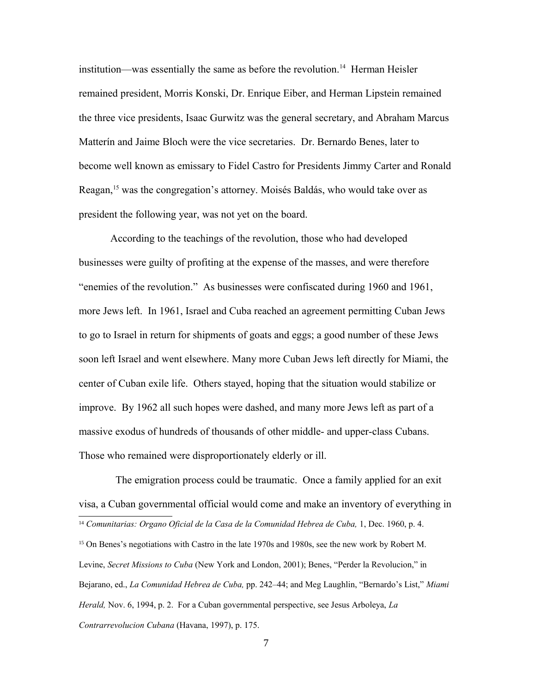institution—was essentially the same as before the revolution.<sup>[14](#page-6-0)</sup> Herman Heisler remained president, Morris Konski, Dr. Enrique Eiber, and Herman Lipstein remained the three vice presidents, Isaac Gurwitz was the general secretary, and Abraham Marcus Matterín and Jaime Bloch were the vice secretaries. Dr. Bernardo Benes, later to become well known as emissary to Fidel Castro for Presidents Jimmy Carter and Ronald Reagan,<sup>[15](#page-6-1)</sup> was the congregation's attorney. Moisés Baldás, who would take over as president the following year, was not yet on the board.

According to the teachings of the revolution, those who had developed businesses were guilty of profiting at the expense of the masses, and were therefore "enemies of the revolution." As businesses were confiscated during 1960 and 1961, more Jews left. In 1961, Israel and Cuba reached an agreement permitting Cuban Jews to go to Israel in return for shipments of goats and eggs; a good number of these Jews soon left Israel and went elsewhere. Many more Cuban Jews left directly for Miami, the center of Cuban exile life. Others stayed, hoping that the situation would stabilize or improve. By 1962 all such hopes were dashed, and many more Jews left as part of a massive exodus of hundreds of thousands of other middle- and upper-class Cubans. Those who remained were disproportionately elderly or ill.

 The emigration process could be traumatic. Once a family applied for an exit visa, a Cuban governmental official would come and make an inventory of everything in

<span id="page-6-0"></span><sup>&</sup>lt;sup>14</sup> Comunitarias: Organo Oficial de la Casa de la Comunidad Hebrea de Cuba, 1, Dec. 1960, p. 4.

<span id="page-6-1"></span><sup>&</sup>lt;sup>15</sup> On Benes's negotiations with Castro in the late 1970s and 1980s, see the new work by Robert M. Levine, *Secret Missions to Cuba* (New York and London, 2001); Benes, "Perder la Revolucion," in Bejarano, ed., *La Comunidad Hebrea de Cuba,* pp. 242–44; and Meg Laughlin, "Bernardo's List," *Miami Herald,* Nov. 6, 1994, p. 2. For a Cuban governmental perspective, see Jesus Arboleya, *La Contrarrevolucion Cubana* (Havana, 1997), p. 175.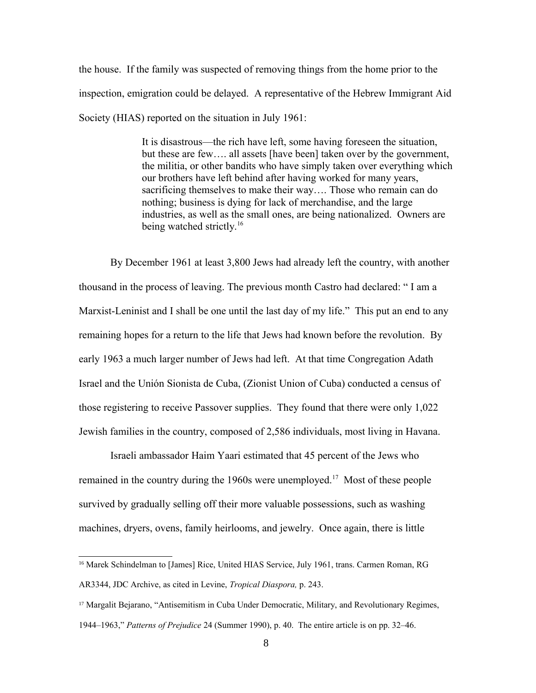the house. If the family was suspected of removing things from the home prior to the inspection, emigration could be delayed. A representative of the Hebrew Immigrant Aid Society (HIAS) reported on the situation in July 1961:

> It is disastrous—the rich have left, some having foreseen the situation, but these are few…. all assets [have been] taken over by the government, the militia, or other bandits who have simply taken over everything which our brothers have left behind after having worked for many years, sacrificing themselves to make their way…. Those who remain can do nothing; business is dying for lack of merchandise, and the large industries, as well as the small ones, are being nationalized. Owners are being watched strictly.<sup>[16](#page-7-0)</sup>

By December 1961 at least 3,800 Jews had already left the country, with another thousand in the process of leaving. The previous month Castro had declared: " I am a Marxist-Leninist and I shall be one until the last day of my life." This put an end to any remaining hopes for a return to the life that Jews had known before the revolution. By early 1963 a much larger number of Jews had left. At that time Congregation Adath Israel and the Unión Sionista de Cuba, (Zionist Union of Cuba) conducted a census of those registering to receive Passover supplies. They found that there were only 1,022 Jewish families in the country, composed of 2,586 individuals, most living in Havana.

Israeli ambassador Haim Yaari estimated that 45 percent of the Jews who remained in the country during the 1960s were unemployed.<sup>[17](#page-7-1)</sup> Most of these people survived by gradually selling off their more valuable possessions, such as washing machines, dryers, ovens, family heirlooms, and jewelry. Once again, there is little

<span id="page-7-0"></span><sup>&</sup>lt;sup>16</sup> Marek Schindelman to [James] Rice, United HIAS Service, July 1961, trans. Carmen Roman, RG AR3344, JDC Archive, as cited in Levine, *Tropical Diaspora,* p. 243.

<span id="page-7-1"></span><sup>&</sup>lt;sup>17</sup> Margalit Bejarano, "Antisemitism in Cuba Under Democratic, Military, and Revolutionary Regimes, 1944–1963," *Patterns of Prejudice* 24 (Summer 1990), p. 40. The entire article is on pp. 32–46.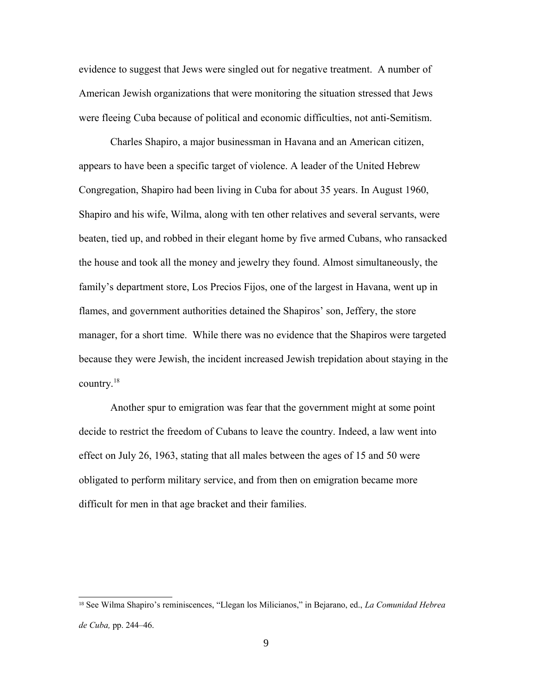evidence to suggest that Jews were singled out for negative treatment. A number of American Jewish organizations that were monitoring the situation stressed that Jews were fleeing Cuba because of political and economic difficulties, not anti-Semitism.

Charles Shapiro, a major businessman in Havana and an American citizen, appears to have been a specific target of violence. A leader of the United Hebrew Congregation, Shapiro had been living in Cuba for about 35 years. In August 1960, Shapiro and his wife, Wilma, along with ten other relatives and several servants, were beaten, tied up, and robbed in their elegant home by five armed Cubans, who ransacked the house and took all the money and jewelry they found. Almost simultaneously, the family's department store, Los Precios Fijos, one of the largest in Havana, went up in flames, and government authorities detained the Shapiros' son, Jeffery, the store manager, for a short time. While there was no evidence that the Shapiros were targeted because they were Jewish, the incident increased Jewish trepidation about staying in the country.[18](#page-8-0)

Another spur to emigration was fear that the government might at some point decide to restrict the freedom of Cubans to leave the country. Indeed, a law went into effect on July 26, 1963, stating that all males between the ages of 15 and 50 were obligated to perform military service, and from then on emigration became more difficult for men in that age bracket and their families.

<span id="page-8-0"></span><sup>18</sup> See Wilma Shapiro's reminiscences, "Llegan los Milicianos," in Bejarano, ed., *La Comunidad Hebrea de Cuba,* pp. 244–46.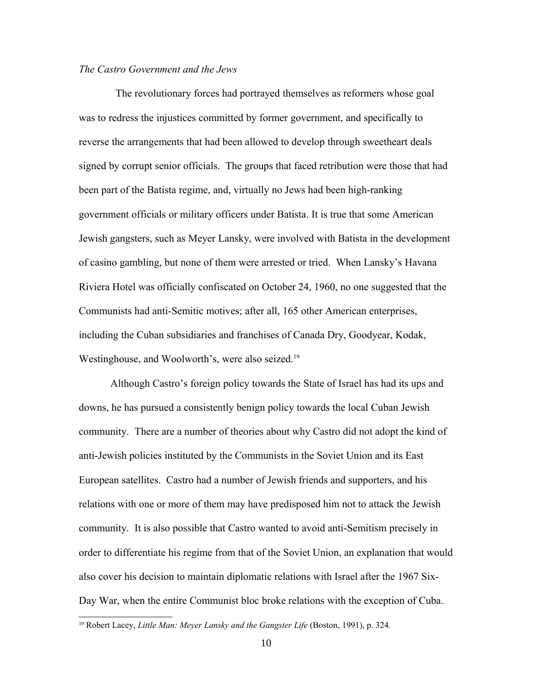# *The Castro Government and the Jews*

 The revolutionary forces had portrayed themselves as reformers whose goal was to redress the injustices committed by former government, and specifically to reverse the arrangements that had been allowed to develop through sweetheart deals signed by corrupt senior officials. The groups that faced retribution were those that had been part of the Batista regime, and, virtually no Jews had been high-ranking government officials or military officers under Batista. It is true that some American Jewish gangsters, such as Meyer Lansky, were involved with Batista in the development of casino gambling, but none of them were arrested or tried. When Lansky's Havana Riviera Hotel was officially confiscated on October 24, 1960, no one suggested that the Communists had anti-Semitic motives; after all, 165 other American enterprises, including the Cuban subsidiaries and franchises of Canada Dry, Goodyear, Kodak, Westinghouse, and Woolworth's, were also seized.<sup>[19](#page-9-0)</sup>

Although Castro's foreign policy towards the State of Israel has had its ups and downs, he has pursued a consistently benign policy towards the local Cuban Jewish community. There are a number of theories about why Castro did not adopt the kind of anti-Jewish policies instituted by the Communists in the Soviet Union and its East European satellites. Castro had a number of Jewish friends and supporters, and his relations with one or more of them may have predisposed him not to attack the Jewish community. It is also possible that Castro wanted to avoid anti-Semitism precisely in order to differentiate his regime from that of the Soviet Union, an explanation that would also cover his decision to maintain diplomatic relations with Israel after the 1967 Six-Day War, when the entire Communist bloc broke relations with the exception of Cuba.

<span id="page-9-0"></span><sup>&</sup>lt;sup>19</sup> Robert Lacey, *Little Man: Meyer Lansky and the Gangster Life* (Boston, 1991), p. 324.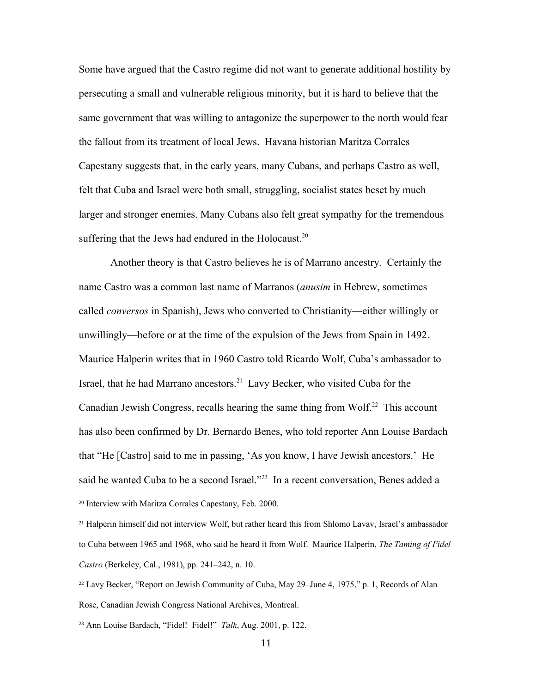Some have argued that the Castro regime did not want to generate additional hostility by persecuting a small and vulnerable religious minority, but it is hard to believe that the same government that was willing to antagonize the superpower to the north would fear the fallout from its treatment of local Jews. Havana historian Maritza Corrales Capestany suggests that, in the early years, many Cubans, and perhaps Castro as well, felt that Cuba and Israel were both small, struggling, socialist states beset by much larger and stronger enemies. Many Cubans also felt great sympathy for the tremendous suffering that the Jews had endured in the Holocaust.<sup>[20](#page-10-0)</sup>

Another theory is that Castro believes he is of Marrano ancestry. Certainly the name Castro was a common last name of Marranos (*anusim* in Hebrew, sometimes called *conversos* in Spanish), Jews who converted to Christianity—either willingly or unwillingly—before or at the time of the expulsion of the Jews from Spain in 1492. Maurice Halperin writes that in 1960 Castro told Ricardo Wolf, Cuba's ambassador to Israel, that he had Marrano ancestors.[21](#page-10-1) Lavy Becker, who visited Cuba for the Canadian Jewish Congress, recalls hearing the same thing from Wolf.<sup>[22](#page-10-2)</sup> This account has also been confirmed by Dr. Bernardo Benes, who told reporter Ann Louise Bardach that "He [Castro] said to me in passing, 'As you know, I have Jewish ancestors.' He said he wanted Cuba to be a second Israel."<sup>[23](#page-10-3)</sup> In a recent conversation, Benes added a <sup>20</sup> Interview with Maritza Corrales Capestany, Feb. 2000.

<span id="page-10-1"></span><span id="page-10-0"></span><sup>21</sup> Halperin himself did not interview Wolf, but rather heard this from Shlomo Lavav, Israel's ambassador to Cuba between 1965 and 1968, who said he heard it from Wolf. Maurice Halperin, *The Taming of Fidel Castro* (Berkeley, Cal., 1981), pp. 241–242, n. 10.

<span id="page-10-2"></span><sup>22</sup> Lavy Becker, "Report on Jewish Community of Cuba, May 29–June 4, 1975," p. 1, Records of Alan Rose, Canadian Jewish Congress National Archives, Montreal.

<span id="page-10-3"></span><sup>23</sup> Ann Louise Bardach, "Fidel! Fidel!" *Talk*, Aug. 2001, p. 122.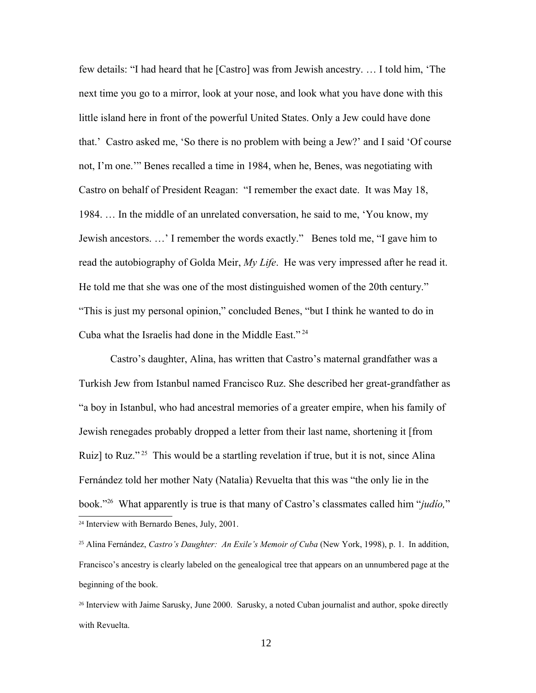few details: "I had heard that he [Castro] was from Jewish ancestry. … I told him, 'The next time you go to a mirror, look at your nose, and look what you have done with this little island here in front of the powerful United States. Only a Jew could have done that.' Castro asked me, 'So there is no problem with being a Jew?' and I said 'Of course not, I'm one.'" Benes recalled a time in 1984, when he, Benes, was negotiating with Castro on behalf of President Reagan: "I remember the exact date. It was May 18, 1984. … In the middle of an unrelated conversation, he said to me, 'You know, my Jewish ancestors. …' I remember the words exactly." Benes told me, "I gave him to read the autobiography of Golda Meir, *My Life*. He was very impressed after he read it. He told me that she was one of the most distinguished women of the 20th century." "This is just my personal opinion," concluded Benes, "but I think he wanted to do in Cuba what the Israelis had done in the Middle East." [24](#page-11-0)

Castro's daughter, Alina, has written that Castro's maternal grandfather was a Turkish Jew from Istanbul named Francisco Ruz. She described her great-grandfather as "a boy in Istanbul, who had ancestral memories of a greater empire, when his family of Jewish renegades probably dropped a letter from their last name, shortening it [from Ruiz] to Ruz."<sup>[25](#page-11-1)</sup> This would be a startling revelation if true, but it is not, since Alina Fernández told her mother Naty (Natalia) Revuelta that this was "the only lie in the book."[26](#page-11-2) What apparently is true is that many of Castro's classmates called him "*judío,*" <sup>24</sup> Interview with Bernardo Benes, July, 2001.

<span id="page-11-1"></span><span id="page-11-0"></span><sup>25</sup> Alina Fernández, *Castro's Daughter: An Exile's Memoir of Cuba* (New York, 1998), p. 1. In addition, Francisco's ancestry is clearly labeled on the genealogical tree that appears on an unnumbered page at the beginning of the book.

<span id="page-11-2"></span><sup>26</sup> Interview with Jaime Sarusky, June 2000. Sarusky, a noted Cuban journalist and author, spoke directly with Revuelta.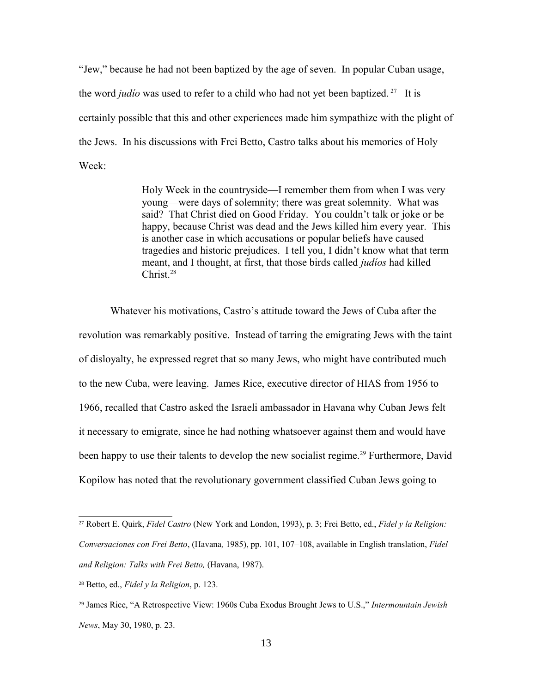"Jew," because he had not been baptized by the age of seven. In popular Cuban usage, the word *judío* was used to refer to a child who had not yet been baptized. [27](#page-12-0) It is certainly possible that this and other experiences made him sympathize with the plight of the Jews. In his discussions with Frei Betto, Castro talks about his memories of Holy Week:

> Holy Week in the countryside—I remember them from when I was very young—were days of solemnity; there was great solemnity. What was said? That Christ died on Good Friday. You couldn't talk or joke or be happy, because Christ was dead and the Jews killed him every year. This is another case in which accusations or popular beliefs have caused tragedies and historic prejudices. I tell you, I didn't know what that term meant, and I thought, at first, that those birds called *judíos* had killed Christ.<sup>[28](#page-12-1)</sup>

Whatever his motivations, Castro's attitude toward the Jews of Cuba after the revolution was remarkably positive. Instead of tarring the emigrating Jews with the taint of disloyalty, he expressed regret that so many Jews, who might have contributed much to the new Cuba, were leaving. James Rice, executive director of HIAS from 1956 to 1966, recalled that Castro asked the Israeli ambassador in Havana why Cuban Jews felt it necessary to emigrate, since he had nothing whatsoever against them and would have been happy to use their talents to develop the new socialist regime.<sup>[29](#page-12-2)</sup> Furthermore, David Kopilow has noted that the revolutionary government classified Cuban Jews going to

<span id="page-12-0"></span><sup>27</sup> Robert E. Quirk, *Fidel Castro* (New York and London, 1993), p. 3; Frei Betto, ed., *Fidel y la Religion: Conversaciones con Frei Betto*, (Havana*,* 1985), pp. 101, 107–108, available in English translation, *Fidel and Religion: Talks with Frei Betto,* (Havana, 1987).

<span id="page-12-1"></span><sup>28</sup> Betto, ed., *Fidel y la Religion*, p. 123.

<span id="page-12-2"></span><sup>29</sup> James Rice, "A Retrospective View: 1960s Cuba Exodus Brought Jews to U.S.," *Intermountain Jewish News*, May 30, 1980, p. 23.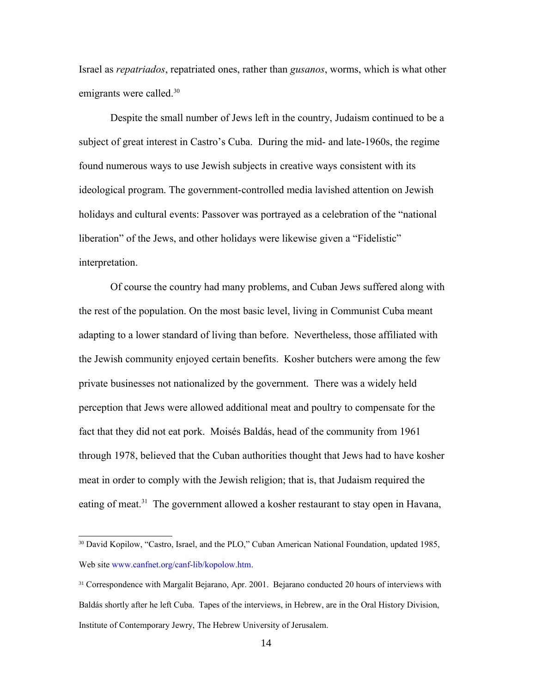Israel as *repatriados*, repatriated ones, rather than *gusanos*, worms, which is what other emigrants were called.<sup>[30](#page-13-0)</sup>

Despite the small number of Jews left in the country, Judaism continued to be a subject of great interest in Castro's Cuba. During the mid- and late-1960s, the regime found numerous ways to use Jewish subjects in creative ways consistent with its ideological program. The government-controlled media lavished attention on Jewish holidays and cultural events: Passover was portrayed as a celebration of the "national liberation" of the Jews, and other holidays were likewise given a "Fidelistic" interpretation.

Of course the country had many problems, and Cuban Jews suffered along with the rest of the population. On the most basic level, living in Communist Cuba meant adapting to a lower standard of living than before. Nevertheless, those affiliated with the Jewish community enjoyed certain benefits. Kosher butchers were among the few private businesses not nationalized by the government. There was a widely held perception that Jews were allowed additional meat and poultry to compensate for the fact that they did not eat pork. Moisés Baldás, head of the community from 1961 through 1978, believed that the Cuban authorities thought that Jews had to have kosher meat in order to comply with the Jewish religion; that is, that Judaism required the eating of meat.<sup>[31](#page-13-1)</sup> The government allowed a kosher restaurant to stay open in Havana,

<span id="page-13-0"></span><sup>&</sup>lt;sup>30</sup> David Kopilow, "Castro, Israel, and the PLO," Cuban American National Foundation, updated 1985, Web site [www.canfnet.org/canf-lib/kopolow.htm.](http://www.canfnet.org/canf-lib/kopolow.htm)

<span id="page-13-1"></span><sup>&</sup>lt;sup>31</sup> Correspondence with Margalit Bejarano, Apr. 2001. Bejarano conducted 20 hours of interviews with Baldás shortly after he left Cuba. Tapes of the interviews, in Hebrew, are in the Oral History Division, Institute of Contemporary Jewry, The Hebrew University of Jerusalem.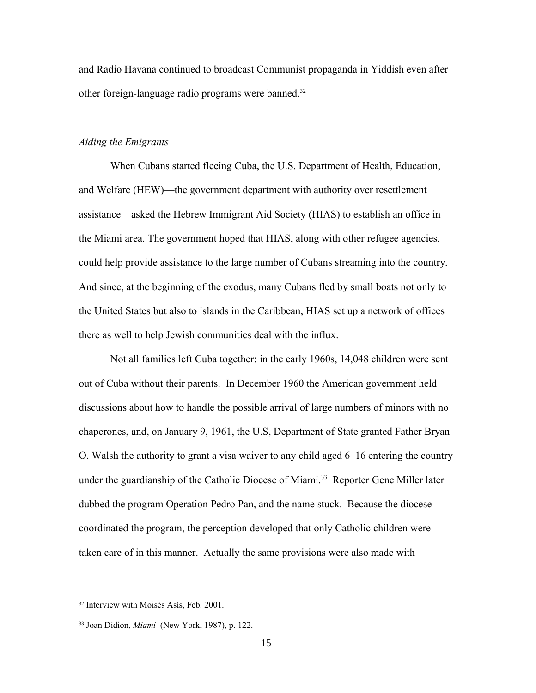and Radio Havana continued to broadcast Communist propaganda in Yiddish even after other foreign-language radio programs were banned.<sup>[32](#page-14-0)</sup>

# *Aiding the Emigrants*

When Cubans started fleeing Cuba, the U.S. Department of Health, Education, and Welfare (HEW)—the government department with authority over resettlement assistance—asked the Hebrew Immigrant Aid Society (HIAS) to establish an office in the Miami area. The government hoped that HIAS, along with other refugee agencies, could help provide assistance to the large number of Cubans streaming into the country. And since, at the beginning of the exodus, many Cubans fled by small boats not only to the United States but also to islands in the Caribbean, HIAS set up a network of offices there as well to help Jewish communities deal with the influx.

Not all families left Cuba together: in the early 1960s, 14,048 children were sent out of Cuba without their parents. In December 1960 the American government held discussions about how to handle the possible arrival of large numbers of minors with no chaperones, and, on January 9, 1961, the U.S, Department of State granted Father Bryan O. Walsh the authority to grant a visa waiver to any child aged 6–16 entering the country under the guardianship of the Catholic Diocese of Miami.<sup>[33](#page-14-1)</sup> Reporter Gene Miller later dubbed the program Operation Pedro Pan, and the name stuck. Because the diocese coordinated the program, the perception developed that only Catholic children were taken care of in this manner. Actually the same provisions were also made with

<span id="page-14-0"></span><sup>32</sup> Interview with Moisés Asís, Feb. 2001.

<span id="page-14-1"></span><sup>33</sup> Joan Didion, *Miami* (New York, 1987), p. 122.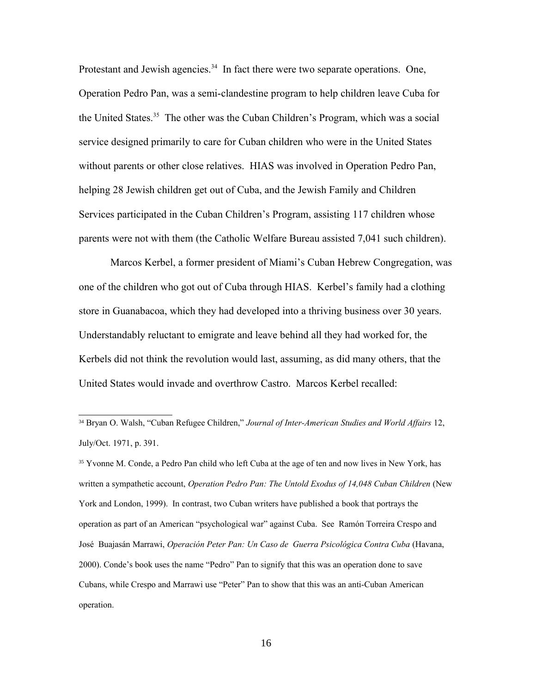Protestant and Jewish agencies.<sup>[34](#page-15-0)</sup> In fact there were two separate operations. One, Operation Pedro Pan, was a semi-clandestine program to help children leave Cuba for the United States.<sup>[35](#page-15-1)</sup> The other was the Cuban Children's Program, which was a social service designed primarily to care for Cuban children who were in the United States without parents or other close relatives. HIAS was involved in Operation Pedro Pan, helping 28 Jewish children get out of Cuba, and the Jewish Family and Children Services participated in the Cuban Children's Program, assisting 117 children whose parents were not with them (the Catholic Welfare Bureau assisted 7,041 such children).

Marcos Kerbel, a former president of Miami's Cuban Hebrew Congregation, was one of the children who got out of Cuba through HIAS. Kerbel's family had a clothing store in Guanabacoa, which they had developed into a thriving business over 30 years. Understandably reluctant to emigrate and leave behind all they had worked for, the Kerbels did not think the revolution would last, assuming, as did many others, that the United States would invade and overthrow Castro. Marcos Kerbel recalled:

<span id="page-15-1"></span><sup>35</sup> Yvonne M. Conde, a Pedro Pan child who left Cuba at the age of ten and now lives in New York, has written a sympathetic account, *Operation Pedro Pan: The Untold Exodus of 14,048 Cuban Children* (New York and London, 1999). In contrast, two Cuban writers have published a book that portrays the operation as part of an American "psychological war" against Cuba. See Ramón Torreira Crespo and José Buajasán Marrawi, *Operación Peter Pan: Un Caso de Guerra Psicológica Contra Cuba* (Havana, 2000). Conde's book uses the name "Pedro" Pan to signify that this was an operation done to save Cubans, while Crespo and Marrawi use "Peter" Pan to show that this was an anti-Cuban American operation.

<span id="page-15-0"></span><sup>34</sup> Bryan O. Walsh, "Cuban Refugee Children," *Journal of Inter-American Studies and World Affairs* 12, July/Oct. 1971, p. 391.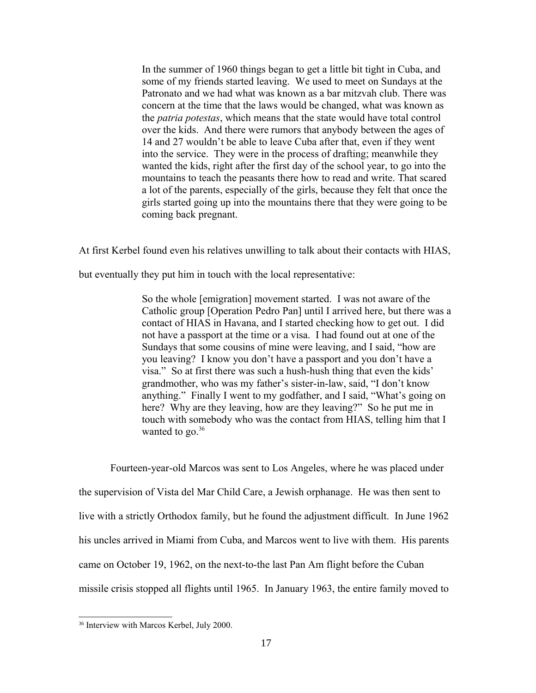In the summer of 1960 things began to get a little bit tight in Cuba, and some of my friends started leaving. We used to meet on Sundays at the Patronato and we had what was known as a bar mitzvah club. There was concern at the time that the laws would be changed, what was known as the *patria potestas*, which means that the state would have total control over the kids. And there were rumors that anybody between the ages of 14 and 27 wouldn't be able to leave Cuba after that, even if they went into the service. They were in the process of drafting; meanwhile they wanted the kids, right after the first day of the school year, to go into the mountains to teach the peasants there how to read and write. That scared a lot of the parents, especially of the girls, because they felt that once the girls started going up into the mountains there that they were going to be coming back pregnant.

At first Kerbel found even his relatives unwilling to talk about their contacts with HIAS,

but eventually they put him in touch with the local representative:

So the whole [emigration] movement started. I was not aware of the Catholic group [Operation Pedro Pan] until I arrived here, but there was a contact of HIAS in Havana, and I started checking how to get out. I did not have a passport at the time or a visa. I had found out at one of the Sundays that some cousins of mine were leaving, and I said, "how are you leaving? I know you don't have a passport and you don't have a visa." So at first there was such a hush-hush thing that even the kids' grandmother, who was my father's sister-in-law, said, "I don't know anything." Finally I went to my godfather, and I said, "What's going on here? Why are they leaving, how are they leaving?" So he put me in touch with somebody who was the contact from HIAS, telling him that I wanted to go. $36$ 

Fourteen-year-old Marcos was sent to Los Angeles, where he was placed under the supervision of Vista del Mar Child Care, a Jewish orphanage. He was then sent to live with a strictly Orthodox family, but he found the adjustment difficult. In June 1962 his uncles arrived in Miami from Cuba, and Marcos went to live with them. His parents came on October 19, 1962, on the next-to-the last Pan Am flight before the Cuban missile crisis stopped all flights until 1965. In January 1963, the entire family moved to

<span id="page-16-0"></span><sup>36</sup> Interview with Marcos Kerbel, July 2000.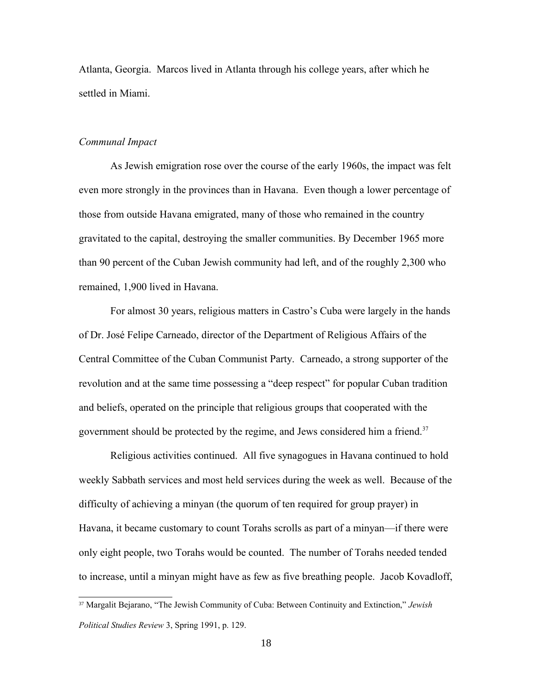Atlanta, Georgia. Marcos lived in Atlanta through his college years, after which he settled in Miami.

## *Communal Impact*

As Jewish emigration rose over the course of the early 1960s, the impact was felt even more strongly in the provinces than in Havana. Even though a lower percentage of those from outside Havana emigrated, many of those who remained in the country gravitated to the capital, destroying the smaller communities. By December 1965 more than 90 percent of the Cuban Jewish community had left, and of the roughly 2,300 who remained, 1,900 lived in Havana.

For almost 30 years, religious matters in Castro's Cuba were largely in the hands of Dr. José Felipe Carneado, director of the Department of Religious Affairs of the Central Committee of the Cuban Communist Party. Carneado, a strong supporter of the revolution and at the same time possessing a "deep respect" for popular Cuban tradition and beliefs, operated on the principle that religious groups that cooperated with the government should be protected by the regime, and Jews considered him a friend.<sup>[37](#page-17-0)</sup>

Religious activities continued. All five synagogues in Havana continued to hold weekly Sabbath services and most held services during the week as well. Because of the difficulty of achieving a minyan (the quorum of ten required for group prayer) in Havana, it became customary to count Torahs scrolls as part of a minyan—if there were only eight people, two Torahs would be counted. The number of Torahs needed tended to increase, until a minyan might have as few as five breathing people. Jacob Kovadloff,

<span id="page-17-0"></span><sup>37</sup> Margalit Bejarano, "The Jewish Community of Cuba: Between Continuity and Extinction," *Jewish Political Studies Review* 3, Spring 1991, p. 129.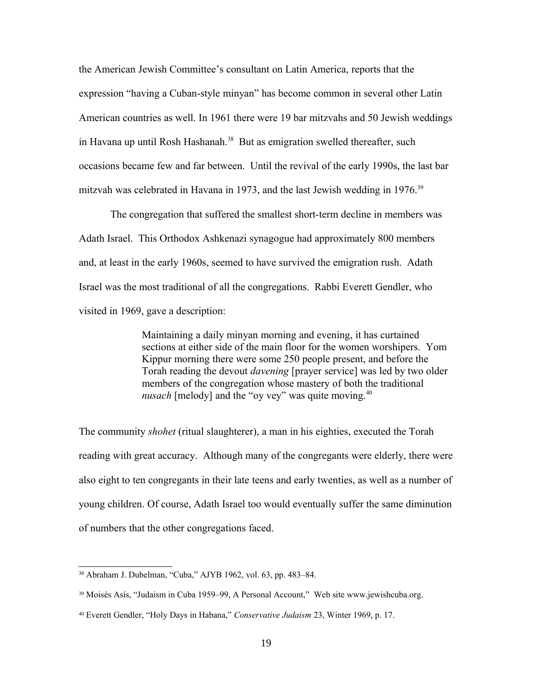the American Jewish Committee's consultant on Latin America, reports that the expression "having a Cuban-style minyan" has become common in several other Latin American countries as well. In 1961 there were 19 bar mitzvahs and 50 Jewish weddings in Havana up until Rosh Hashanah.<sup>[38](#page-18-0)</sup> But as emigration swelled thereafter, such occasions became few and far between. Until the revival of the early 1990s, the last bar mitzvah was celebrated in Havana in 1973, and the last Jewish wedding in 1976.<sup>[39](#page-18-1)</sup>

The congregation that suffered the smallest short-term decline in members was Adath Israel. This Orthodox Ashkenazi synagogue had approximately 800 members and, at least in the early 1960s, seemed to have survived the emigration rush. Adath Israel was the most traditional of all the congregations. Rabbi Everett Gendler, who visited in 1969, gave a description:

> Maintaining a daily minyan morning and evening, it has curtained sections at either side of the main floor for the women worshipers. Yom Kippur morning there were some 250 people present, and before the Torah reading the devout *davening* [prayer service] was led by two older members of the congregation whose mastery of both the traditional *nusach* [melody] and the "oy vey" was quite moving.<sup>[40](#page-18-2)</sup>

The community *shohet* (ritual slaughterer), a man in his eighties, executed the Torah reading with great accuracy. Although many of the congregants were elderly, there were also eight to ten congregants in their late teens and early twenties, as well as a number of young children. Of course, Adath Israel too would eventually suffer the same diminution of numbers that the other congregations faced.

<span id="page-18-0"></span><sup>38</sup> Abraham J. Dubelman, "Cuba," AJYB 1962, vol. 63, pp. 483–84.

<span id="page-18-1"></span><sup>39</sup> Moisés Asís, "Judaism in Cuba 1959–99, A Personal Account," Web site www.jewishcuba.org.

<span id="page-18-2"></span><sup>40</sup> Everett Gendler, "Holy Days in Habana," *Conservative Judaism* 23, Winter 1969, p. 17.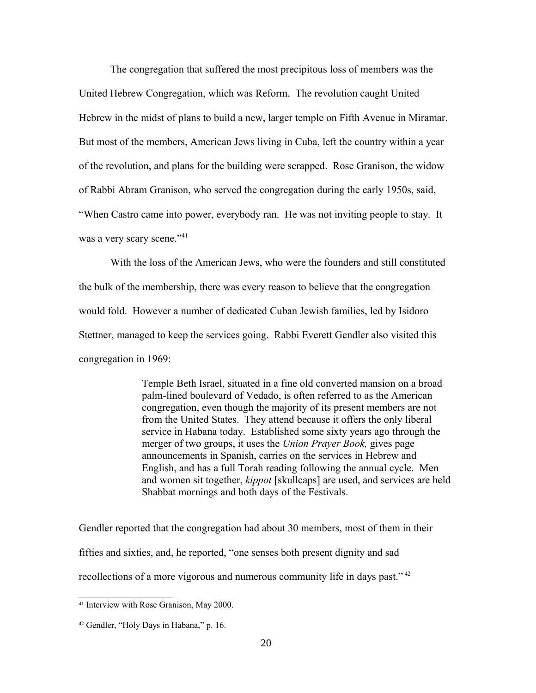The congregation that suffered the most precipitous loss of members was the United Hebrew Congregation, which was Reform. The revolution caught United Hebrew in the midst of plans to build a new, larger temple on Fifth Avenue in Miramar. But most of the members, American Jews living in Cuba, left the country within a year of the revolution, and plans for the building were scrapped. Rose Granison, the widow of Rabbi Abram Granison, who served the congregation during the early 1950s, said, "When Castro came into power, everybody ran. He was not inviting people to stay. It was a very scary scene."<sup>[41](#page-19-0)</sup>

With the loss of the American Jews, who were the founders and still constituted the bulk of the membership, there was every reason to believe that the congregation would fold. However a number of dedicated Cuban Jewish families, led by Isidoro Stettner, managed to keep the services going. Rabbi Everett Gendler also visited this congregation in 1969:

> Temple Beth Israel, situated in a fine old converted mansion on a broad palm-lined boulevard of Vedado, is often referred to as the American congregation, even though the majority of its present members are not from the United States. They attend because it offers the only liberal service in Habana today. Established some sixty years ago through the merger of two groups, it uses the *Union Prayer Book,* gives page announcements in Spanish, carries on the services in Hebrew and English, and has a full Torah reading following the annual cycle. Men and women sit together, *kippot* [skullcaps] are used, and services are held Shabbat mornings and both days of the Festivals.

Gendler reported that the congregation had about 30 members, most of them in their fifties and sixties, and, he reported, "one senses both present dignity and sad recollections of a more vigorous and numerous community life in days past."<sup>[42](#page-19-1)</sup>

<span id="page-19-0"></span><sup>41</sup> Interview with Rose Granison, May 2000.

<span id="page-19-1"></span><sup>42</sup> Gendler, "Holy Days in Habana," p. 16.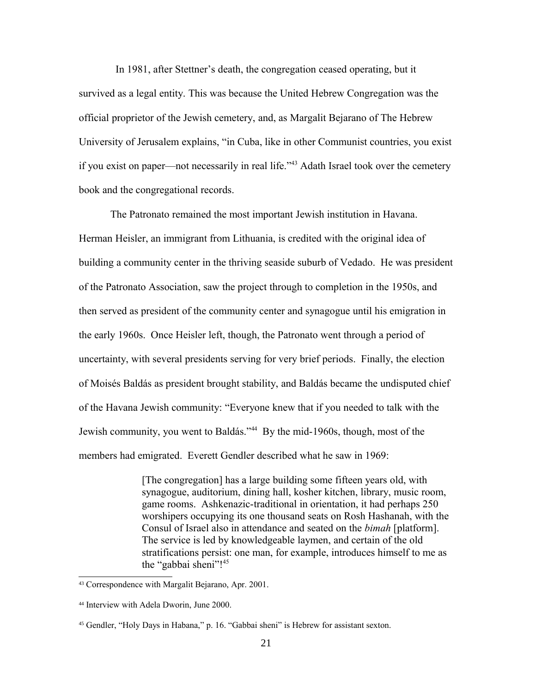In 1981, after Stettner's death, the congregation ceased operating, but it survived as a legal entity. This was because the United Hebrew Congregation was the official proprietor of the Jewish cemetery, and, as Margalit Bejarano of The Hebrew University of Jerusalem explains, "in Cuba, like in other Communist countries, you exist if you exist on paper—not necessarily in real life."[43](#page-20-0) Adath Israel took over the cemetery book and the congregational records.

The Patronato remained the most important Jewish institution in Havana. Herman Heisler, an immigrant from Lithuania, is credited with the original idea of building a community center in the thriving seaside suburb of Vedado. He was president of the Patronato Association, saw the project through to completion in the 1950s, and then served as president of the community center and synagogue until his emigration in the early 1960s. Once Heisler left, though, the Patronato went through a period of uncertainty, with several presidents serving for very brief periods. Finally, the election of Moisés Baldás as president brought stability, and Baldás became the undisputed chief of the Havana Jewish community: "Everyone knew that if you needed to talk with the Jewish community, you went to Baldás."[44](#page-20-1) By the mid-1960s, though, most of the members had emigrated. Everett Gendler described what he saw in 1969:

> [The congregation] has a large building some fifteen years old, with synagogue, auditorium, dining hall, kosher kitchen, library, music room, game rooms. Ashkenazic-traditional in orientation, it had perhaps 250 worshipers occupying its one thousand seats on Rosh Hashanah, with the Consul of Israel also in attendance and seated on the *bimah* [platform]. The service is led by knowledgeable laymen, and certain of the old stratifications persist: one man, for example, introduces himself to me as the "gabbai sheni"!<sup>[45](#page-20-2)</sup>

<span id="page-20-0"></span><sup>43</sup> Correspondence with Margalit Bejarano, Apr. 2001.

<span id="page-20-1"></span><sup>44</sup> Interview with Adela Dworin, June 2000.

<span id="page-20-2"></span><sup>45</sup> Gendler, "Holy Days in Habana," p. 16. "Gabbai sheni" is Hebrew for assistant sexton.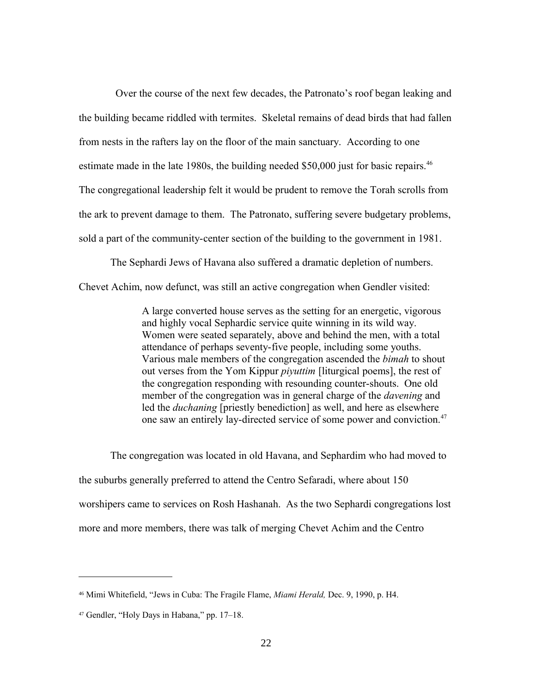Over the course of the next few decades, the Patronato's roof began leaking and the building became riddled with termites. Skeletal remains of dead birds that had fallen from nests in the rafters lay on the floor of the main sanctuary. According to one estimate made in the late 1980s, the building needed  $$50,000$  just for basic repairs.<sup>[46](#page-21-0)</sup> The congregational leadership felt it would be prudent to remove the Torah scrolls from the ark to prevent damage to them. The Patronato, suffering severe budgetary problems, sold a part of the community-center section of the building to the government in 1981.

The Sephardi Jews of Havana also suffered a dramatic depletion of numbers.

Chevet Achim, now defunct, was still an active congregation when Gendler visited:

A large converted house serves as the setting for an energetic, vigorous and highly vocal Sephardic service quite winning in its wild way. Women were seated separately, above and behind the men, with a total attendance of perhaps seventy-five people, including some youths. Various male members of the congregation ascended the *bimah* to shout out verses from the Yom Kippur *piyuttim* [liturgical poems], the rest of the congregation responding with resounding counter-shouts. One old member of the congregation was in general charge of the *davening* and led the *duchaning* [priestly benediction] as well, and here as elsewhere one saw an entirely lay-directed service of some power and conviction.[47](#page-21-1)

The congregation was located in old Havana, and Sephardim who had moved to the suburbs generally preferred to attend the Centro Sefaradi, where about 150 worshipers came to services on Rosh Hashanah. As the two Sephardi congregations lost more and more members, there was talk of merging Chevet Achim and the Centro

<span id="page-21-0"></span><sup>46</sup> Mimi Whitefield, "Jews in Cuba: The Fragile Flame, *Miami Herald,* Dec. 9, 1990, p. H4.

<span id="page-21-1"></span><sup>47</sup> Gendler, "Holy Days in Habana," pp. 17–18.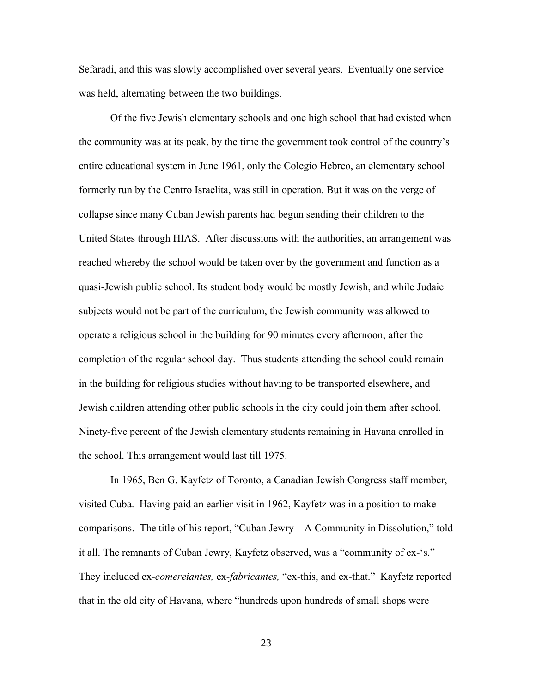Sefaradi, and this was slowly accomplished over several years. Eventually one service was held, alternating between the two buildings.

Of the five Jewish elementary schools and one high school that had existed when the community was at its peak, by the time the government took control of the country's entire educational system in June 1961, only the Colegio Hebreo, an elementary school formerly run by the Centro Israelita, was still in operation. But it was on the verge of collapse since many Cuban Jewish parents had begun sending their children to the United States through HIAS. After discussions with the authorities, an arrangement was reached whereby the school would be taken over by the government and function as a quasi-Jewish public school. Its student body would be mostly Jewish, and while Judaic subjects would not be part of the curriculum, the Jewish community was allowed to operate a religious school in the building for 90 minutes every afternoon, after the completion of the regular school day. Thus students attending the school could remain in the building for religious studies without having to be transported elsewhere, and Jewish children attending other public schools in the city could join them after school. Ninety-five percent of the Jewish elementary students remaining in Havana enrolled in the school. This arrangement would last till 1975.

In 1965, Ben G. Kayfetz of Toronto, a Canadian Jewish Congress staff member, visited Cuba. Having paid an earlier visit in 1962, Kayfetz was in a position to make comparisons. The title of his report, "Cuban Jewry—A Community in Dissolution," told it all. The remnants of Cuban Jewry, Kayfetz observed, was a "community of ex-'s." They included ex-*comereiantes,* ex-*fabricantes,* "ex-this, and ex-that." Kayfetz reported that in the old city of Havana, where "hundreds upon hundreds of small shops were

23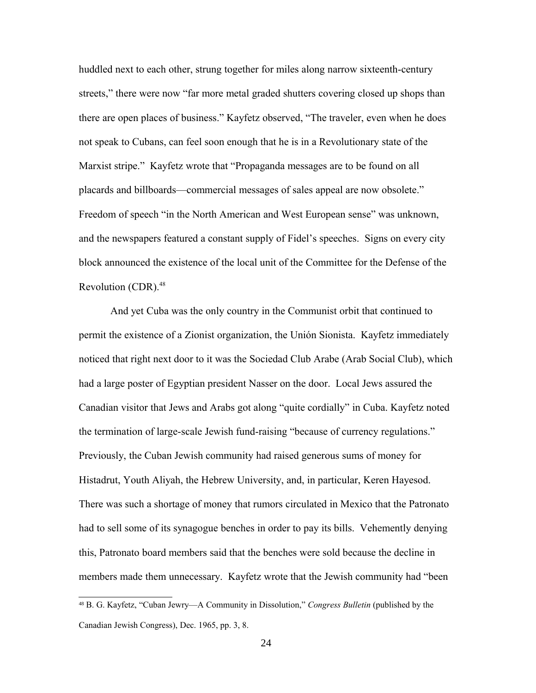huddled next to each other, strung together for miles along narrow sixteenth-century streets," there were now "far more metal graded shutters covering closed up shops than there are open places of business." Kayfetz observed, "The traveler, even when he does not speak to Cubans, can feel soon enough that he is in a Revolutionary state of the Marxist stripe." Kayfetz wrote that "Propaganda messages are to be found on all placards and billboards—commercial messages of sales appeal are now obsolete." Freedom of speech "in the North American and West European sense" was unknown, and the newspapers featured a constant supply of Fidel's speeches. Signs on every city block announced the existence of the local unit of the Committee for the Defense of the Revolution (CDR).<sup>[48](#page-23-0)</sup>

And yet Cuba was the only country in the Communist orbit that continued to permit the existence of a Zionist organization, the Unión Sionista. Kayfetz immediately noticed that right next door to it was the Sociedad Club Arabe (Arab Social Club), which had a large poster of Egyptian president Nasser on the door. Local Jews assured the Canadian visitor that Jews and Arabs got along "quite cordially" in Cuba. Kayfetz noted the termination of large-scale Jewish fund-raising "because of currency regulations." Previously, the Cuban Jewish community had raised generous sums of money for Histadrut, Youth Aliyah, the Hebrew University, and, in particular, Keren Hayesod. There was such a shortage of money that rumors circulated in Mexico that the Patronato had to sell some of its synagogue benches in order to pay its bills. Vehemently denying this, Patronato board members said that the benches were sold because the decline in members made them unnecessary. Kayfetz wrote that the Jewish community had "been

<span id="page-23-0"></span><sup>48</sup> B. G. Kayfetz, "Cuban Jewry—A Community in Dissolution," *Congress Bulletin* (published by the Canadian Jewish Congress), Dec. 1965, pp. 3, 8.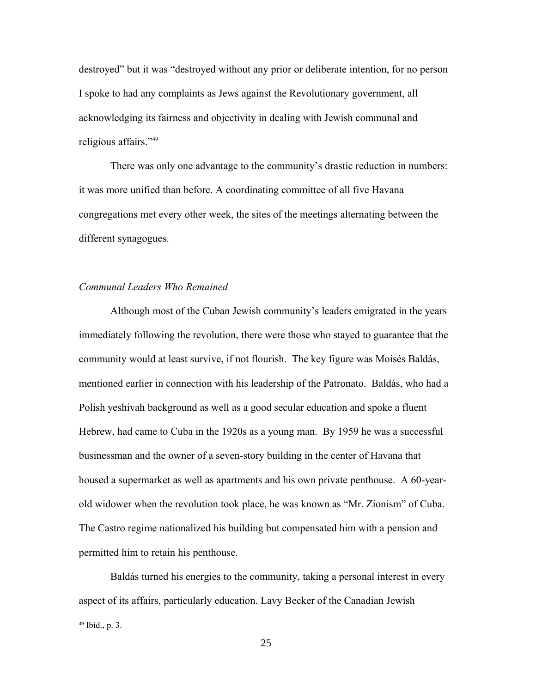destroyed" but it was "destroyed without any prior or deliberate intention, for no person I spoke to had any complaints as Jews against the Revolutionary government, all acknowledging its fairness and objectivity in dealing with Jewish communal and religious affairs."[49](#page-24-0)

There was only one advantage to the community's drastic reduction in numbers: it was more unified than before. A coordinating committee of all five Havana congregations met every other week, the sites of the meetings alternating between the different synagogues.

# *Communal Leaders Who Remained*

Although most of the Cuban Jewish community's leaders emigrated in the years immediately following the revolution, there were those who stayed to guarantee that the community would at least survive, if not flourish. The key figure was Moisés Baldás, mentioned earlier in connection with his leadership of the Patronato. Baldás, who had a Polish yeshivah background as well as a good secular education and spoke a fluent Hebrew, had came to Cuba in the 1920s as a young man. By 1959 he was a successful businessman and the owner of a seven-story building in the center of Havana that housed a supermarket as well as apartments and his own private penthouse. A 60-yearold widower when the revolution took place, he was known as "Mr. Zionism" of Cuba. The Castro regime nationalized his building but compensated him with a pension and permitted him to retain his penthouse.

Baldás turned his energies to the community, taking a personal interest in every aspect of its affairs, particularly education. Lavy Becker of the Canadian Jewish

<span id="page-24-0"></span><sup>49</sup> Ibid., p. 3.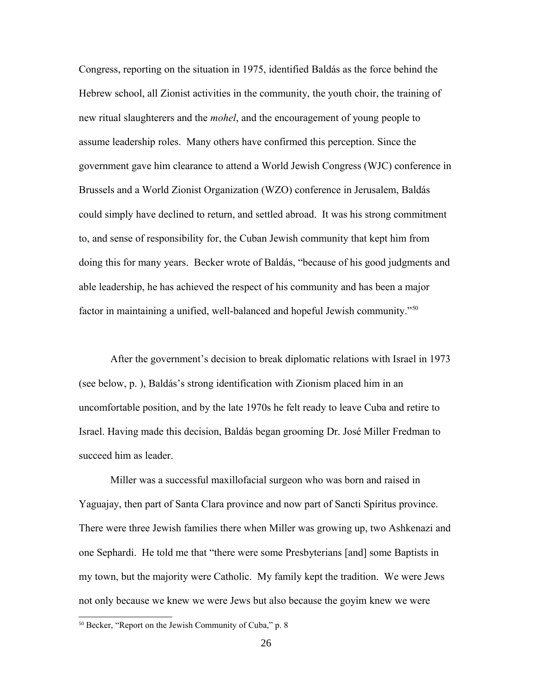Congress, reporting on the situation in 1975, identified Baldás as the force behind the Hebrew school, all Zionist activities in the community, the youth choir, the training of new ritual slaughterers and the *mohel*, and the encouragement of young people to assume leadership roles. Many others have confirmed this perception. Since the government gave him clearance to attend a World Jewish Congress (WJC) conference in Brussels and a World Zionist Organization (WZO) conference in Jerusalem, Baldás could simply have declined to return, and settled abroad. It was his strong commitment to, and sense of responsibility for, the Cuban Jewish community that kept him from doing this for many years. Becker wrote of Baldás, "because of his good judgments and able leadership, he has achieved the respect of his community and has been a major factor in maintaining a unified, well-balanced and hopeful Jewish community."[50](#page-25-0)

After the government's decision to break diplomatic relations with Israel in 1973 (see below, p. ), Baldás's strong identification with Zionism placed him in an uncomfortable position, and by the late 1970s he felt ready to leave Cuba and retire to Israel. Having made this decision, Baldás began grooming Dr. José Miller Fredman to succeed him as leader.

Miller was a successful maxillofacial surgeon who was born and raised in Yaguajay, then part of Santa Clara province and now part of Sancti Spíritus province. There were three Jewish families there when Miller was growing up, two Ashkenazi and one Sephardi. He told me that "there were some Presbyterians [and] some Baptists in my town, but the majority were Catholic. My family kept the tradition. We were Jews not only because we knew we were Jews but also because the goyim knew we were

<span id="page-25-0"></span><sup>50</sup> Becker, "Report on the Jewish Community of Cuba," p. 8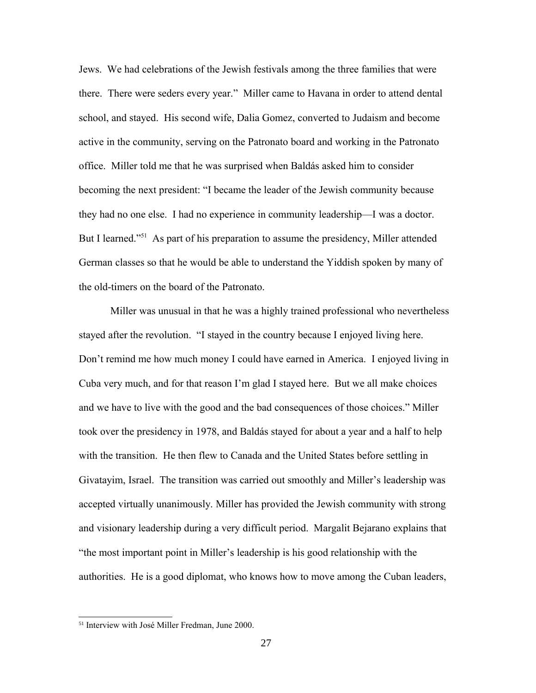Jews. We had celebrations of the Jewish festivals among the three families that were there. There were seders every year." Miller came to Havana in order to attend dental school, and stayed. His second wife, Dalia Gomez, converted to Judaism and become active in the community, serving on the Patronato board and working in the Patronato office. Miller told me that he was surprised when Baldás asked him to consider becoming the next president: "I became the leader of the Jewish community because they had no one else. I had no experience in community leadership—I was a doctor. But I learned."<sup>[51](#page-26-0)</sup> As part of his preparation to assume the presidency, Miller attended German classes so that he would be able to understand the Yiddish spoken by many of the old-timers on the board of the Patronato.

Miller was unusual in that he was a highly trained professional who nevertheless stayed after the revolution. "I stayed in the country because I enjoyed living here. Don't remind me how much money I could have earned in America. I enjoyed living in Cuba very much, and for that reason I'm glad I stayed here. But we all make choices and we have to live with the good and the bad consequences of those choices." Miller took over the presidency in 1978, and Baldás stayed for about a year and a half to help with the transition. He then flew to Canada and the United States before settling in Givatayim, Israel. The transition was carried out smoothly and Miller's leadership was accepted virtually unanimously. Miller has provided the Jewish community with strong and visionary leadership during a very difficult period. Margalit Bejarano explains that "the most important point in Miller's leadership is his good relationship with the authorities. He is a good diplomat, who knows how to move among the Cuban leaders,

<span id="page-26-0"></span><sup>51</sup> Interview with José Miller Fredman, June 2000.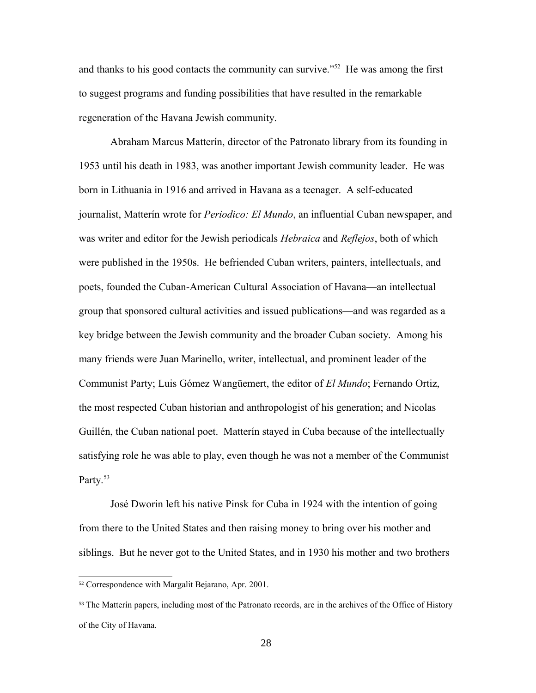and thanks to his good contacts the community can survive."[52](#page-27-0) He was among the first to suggest programs and funding possibilities that have resulted in the remarkable regeneration of the Havana Jewish community.

Abraham Marcus Matterín, director of the Patronato library from its founding in 1953 until his death in 1983, was another important Jewish community leader. He was born in Lithuania in 1916 and arrived in Havana as a teenager. A self-educated journalist, Matterín wrote for *Periodico: El Mundo*, an influential Cuban newspaper, and was writer and editor for the Jewish periodicals *Hebraica* and *Reflejos*, both of which were published in the 1950s. He befriended Cuban writers, painters, intellectuals, and poets, founded the Cuban-American Cultural Association of Havana—an intellectual group that sponsored cultural activities and issued publications—and was regarded as a key bridge between the Jewish community and the broader Cuban society. Among his many friends were Juan Marinello, writer, intellectual, and prominent leader of the Communist Party; Luis Gómez Wangüemert, the editor of *El Mundo*; Fernando Ortiz, the most respected Cuban historian and anthropologist of his generation; and Nicolas Guillén, the Cuban national poet. Matterín stayed in Cuba because of the intellectually satisfying role he was able to play, even though he was not a member of the Communist Party.<sup>[53](#page-27-1)</sup>

José Dworin left his native Pinsk for Cuba in 1924 with the intention of going from there to the United States and then raising money to bring over his mother and siblings. But he never got to the United States, and in 1930 his mother and two brothers

<span id="page-27-0"></span><sup>52</sup> Correspondence with Margalit Bejarano, Apr. 2001.

<span id="page-27-1"></span><sup>&</sup>lt;sup>53</sup> The Matterín papers, including most of the Patronato records, are in the archives of the Office of History of the City of Havana.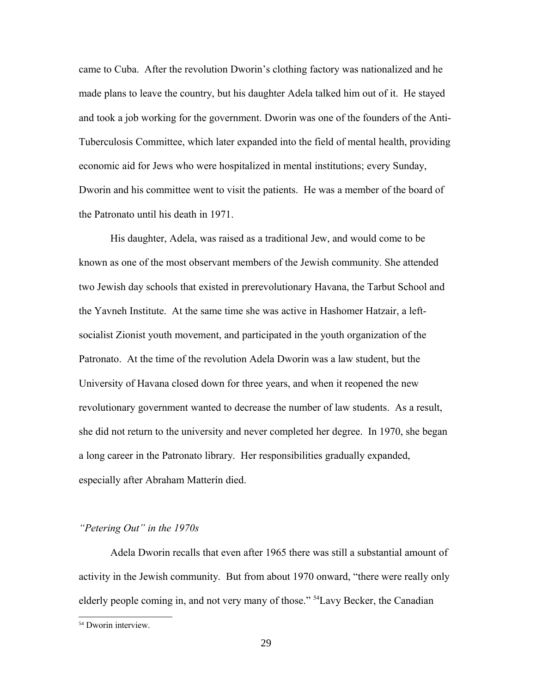came to Cuba. After the revolution Dworin's clothing factory was nationalized and he made plans to leave the country, but his daughter Adela talked him out of it. He stayed and took a job working for the government. Dworin was one of the founders of the Anti-Tuberculosis Committee, which later expanded into the field of mental health, providing economic aid for Jews who were hospitalized in mental institutions; every Sunday, Dworin and his committee went to visit the patients. He was a member of the board of the Patronato until his death in 1971.

His daughter, Adela, was raised as a traditional Jew, and would come to be known as one of the most observant members of the Jewish community. She attended two Jewish day schools that existed in prerevolutionary Havana, the Tarbut School and the Yavneh Institute. At the same time she was active in Hashomer Hatzair, a leftsocialist Zionist youth movement, and participated in the youth organization of the Patronato. At the time of the revolution Adela Dworin was a law student, but the University of Havana closed down for three years, and when it reopened the new revolutionary government wanted to decrease the number of law students. As a result, she did not return to the university and never completed her degree. In 1970, she began a long career in the Patronato library. Her responsibilities gradually expanded, especially after Abraham Matterín died.

### *"Petering Out" in the 1970s*

Adela Dworin recalls that even after 1965 there was still a substantial amount of activity in the Jewish community. But from about 1970 onward, "there were really only elderly people coming in, and not very many of those." [54](#page-28-0)Lavy Becker, the Canadian

<span id="page-28-0"></span><sup>54</sup> Dworin interview.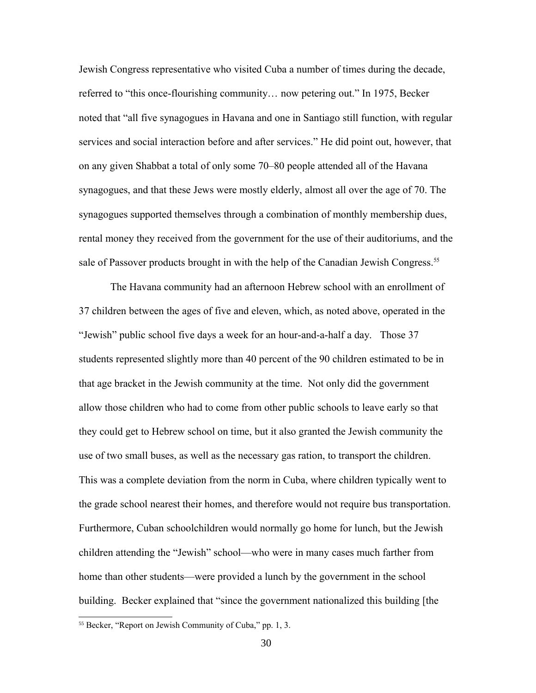Jewish Congress representative who visited Cuba a number of times during the decade, referred to "this once-flourishing community… now petering out." In 1975, Becker noted that "all five synagogues in Havana and one in Santiago still function, with regular services and social interaction before and after services." He did point out, however, that on any given Shabbat a total of only some 70–80 people attended all of the Havana synagogues, and that these Jews were mostly elderly, almost all over the age of 70. The synagogues supported themselves through a combination of monthly membership dues, rental money they received from the government for the use of their auditoriums, and the sale of Passover products brought in with the help of the Canadian Jewish Congress.<sup>[55](#page-29-0)</sup>

The Havana community had an afternoon Hebrew school with an enrollment of 37 children between the ages of five and eleven, which, as noted above, operated in the "Jewish" public school five days a week for an hour-and-a-half a day. Those 37 students represented slightly more than 40 percent of the 90 children estimated to be in that age bracket in the Jewish community at the time. Not only did the government allow those children who had to come from other public schools to leave early so that they could get to Hebrew school on time, but it also granted the Jewish community the use of two small buses, as well as the necessary gas ration, to transport the children. This was a complete deviation from the norm in Cuba, where children typically went to the grade school nearest their homes, and therefore would not require bus transportation. Furthermore, Cuban schoolchildren would normally go home for lunch, but the Jewish children attending the "Jewish" school—who were in many cases much farther from home than other students—were provided a lunch by the government in the school building. Becker explained that "since the government nationalized this building [the

<span id="page-29-0"></span><sup>55</sup> Becker, "Report on Jewish Community of Cuba," pp. 1, 3.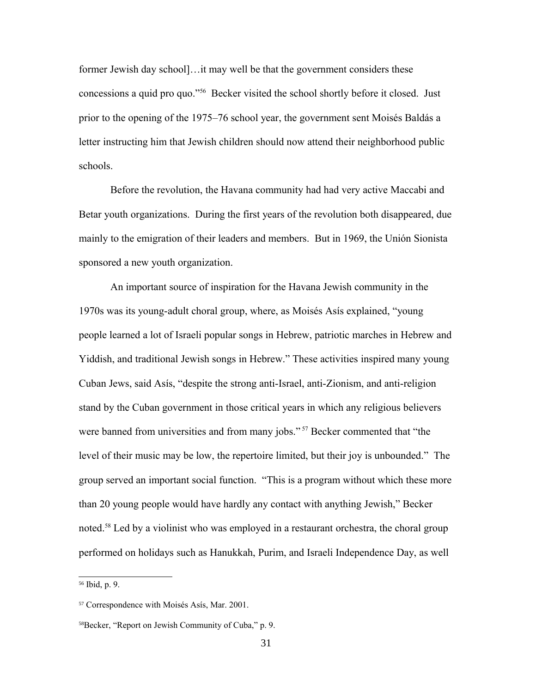former Jewish day school]...it may well be that the government considers these concessions a quid pro quo."[56](#page-30-0) Becker visited the school shortly before it closed. Just prior to the opening of the 1975–76 school year, the government sent Moisés Baldás a letter instructing him that Jewish children should now attend their neighborhood public schools.

Before the revolution, the Havana community had had very active Maccabi and Betar youth organizations. During the first years of the revolution both disappeared, due mainly to the emigration of their leaders and members. But in 1969, the Unión Sionista sponsored a new youth organization.

An important source of inspiration for the Havana Jewish community in the 1970s was its young-adult choral group, where, as Moisés Asís explained, "young people learned a lot of Israeli popular songs in Hebrew, patriotic marches in Hebrew and Yiddish, and traditional Jewish songs in Hebrew." These activities inspired many young Cuban Jews, said Asís, "despite the strong anti-Israel, anti-Zionism, and anti-religion stand by the Cuban government in those critical years in which any religious believers were banned from universities and from many jobs."<sup>[57](#page-30-1)</sup> Becker commented that "the level of their music may be low, the repertoire limited, but their joy is unbounded." The group served an important social function. "This is a program without which these more than 20 young people would have hardly any contact with anything Jewish," Becker noted.<sup>[58](#page-30-2)</sup> Led by a violinist who was employed in a restaurant orchestra, the choral group performed on holidays such as Hanukkah, Purim, and Israeli Independence Day, as well

<span id="page-30-0"></span><sup>56</sup> Ibid, p. 9.

<span id="page-30-1"></span><sup>57</sup> Correspondence with Moisés Asís, Mar. 2001.

<span id="page-30-2"></span><sup>58</sup>Becker, "Report on Jewish Community of Cuba," p. 9.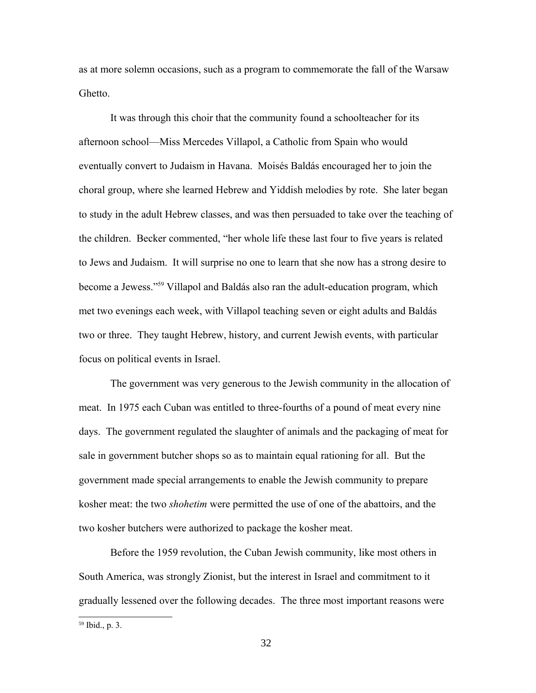as at more solemn occasions, such as a program to commemorate the fall of the Warsaw Ghetto.

It was through this choir that the community found a schoolteacher for its afternoon school—Miss Mercedes Villapol, a Catholic from Spain who would eventually convert to Judaism in Havana. Moisés Baldás encouraged her to join the choral group, where she learned Hebrew and Yiddish melodies by rote. She later began to study in the adult Hebrew classes, and was then persuaded to take over the teaching of the children. Becker commented, "her whole life these last four to five years is related to Jews and Judaism. It will surprise no one to learn that she now has a strong desire to become a Jewess."[59](#page-31-0) Villapol and Baldás also ran the adult-education program, which met two evenings each week, with Villapol teaching seven or eight adults and Baldás two or three. They taught Hebrew, history, and current Jewish events, with particular focus on political events in Israel.

The government was very generous to the Jewish community in the allocation of meat. In 1975 each Cuban was entitled to three-fourths of a pound of meat every nine days. The government regulated the slaughter of animals and the packaging of meat for sale in government butcher shops so as to maintain equal rationing for all. But the government made special arrangements to enable the Jewish community to prepare kosher meat: the two *shohetim* were permitted the use of one of the abattoirs, and the two kosher butchers were authorized to package the kosher meat.

Before the 1959 revolution, the Cuban Jewish community, like most others in South America, was strongly Zionist, but the interest in Israel and commitment to it gradually lessened over the following decades. The three most important reasons were

<span id="page-31-0"></span><sup>59</sup> Ibid., p. 3.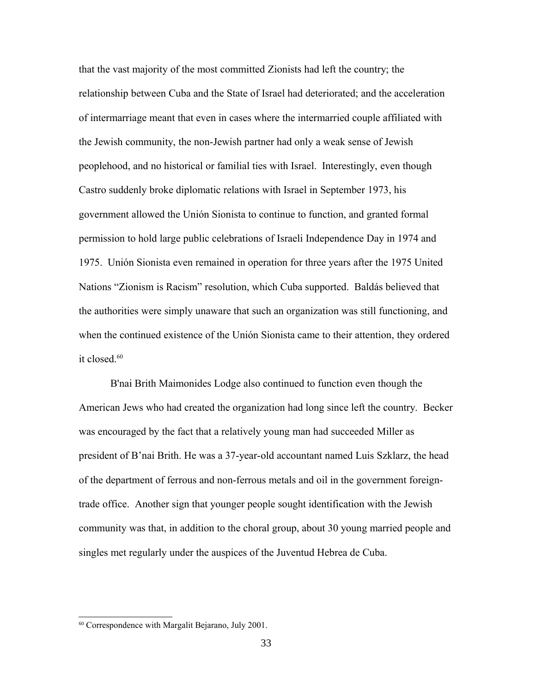that the vast majority of the most committed Zionists had left the country; the relationship between Cuba and the State of Israel had deteriorated; and the acceleration of intermarriage meant that even in cases where the intermarried couple affiliated with the Jewish community, the non-Jewish partner had only a weak sense of Jewish peoplehood, and no historical or familial ties with Israel. Interestingly, even though Castro suddenly broke diplomatic relations with Israel in September 1973, his government allowed the Unión Sionista to continue to function, and granted formal permission to hold large public celebrations of Israeli Independence Day in 1974 and 1975. Unión Sionista even remained in operation for three years after the 1975 United Nations "Zionism is Racism" resolution, which Cuba supported. Baldás believed that the authorities were simply unaware that such an organization was still functioning, and when the continued existence of the Unión Sionista came to their attention, they ordered it closed.<sup>[60](#page-32-0)</sup>

B'nai Brith Maimonides Lodge also continued to function even though the American Jews who had created the organization had long since left the country. Becker was encouraged by the fact that a relatively young man had succeeded Miller as president of B'nai Brith. He was a 37-year-old accountant named Luis Szklarz, the head of the department of ferrous and non-ferrous metals and oil in the government foreigntrade office. Another sign that younger people sought identification with the Jewish community was that, in addition to the choral group, about 30 young married people and singles met regularly under the auspices of the Juventud Hebrea de Cuba.

<span id="page-32-0"></span><sup>60</sup> Correspondence with Margalit Bejarano, July 2001.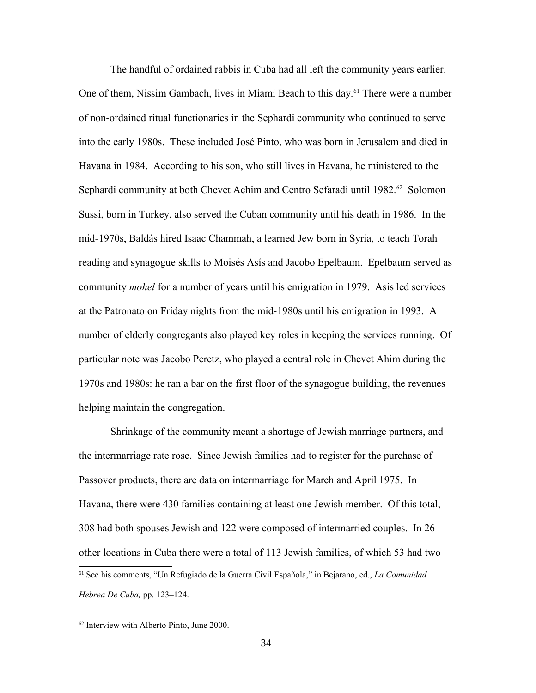The handful of ordained rabbis in Cuba had all left the community years earlier. One of them, Nissim Gambach, lives in Miami Beach to this day.<sup>[61](#page-33-0)</sup> There were a number of non-ordained ritual functionaries in the Sephardi community who continued to serve into the early 1980s. These included José Pinto, who was born in Jerusalem and died in Havana in 1984. According to his son, who still lives in Havana, he ministered to the Sephardi community at both Chevet Achim and Centro Sefaradi until 1982.<sup>[62](#page-33-1)</sup> Solomon Sussi, born in Turkey, also served the Cuban community until his death in 1986. In the mid-1970s, Baldás hired Isaac Chammah, a learned Jew born in Syria, to teach Torah reading and synagogue skills to Moisés Asís and Jacobo Epelbaum. Epelbaum served as community *mohel* for a number of years until his emigration in 1979. Asis led services at the Patronato on Friday nights from the mid-1980s until his emigration in 1993. A number of elderly congregants also played key roles in keeping the services running. Of particular note was Jacobo Peretz, who played a central role in Chevet Ahim during the 1970s and 1980s: he ran a bar on the first floor of the synagogue building, the revenues helping maintain the congregation.

Shrinkage of the community meant a shortage of Jewish marriage partners, and the intermarriage rate rose. Since Jewish families had to register for the purchase of Passover products, there are data on intermarriage for March and April 1975. In Havana, there were 430 families containing at least one Jewish member. Of this total, 308 had both spouses Jewish and 122 were composed of intermarried couples. In 26 other locations in Cuba there were a total of 113 Jewish families, of which 53 had two <sup>61</sup> See his comments, "Un Refugiado de la Guerra Civil Española," in Bejarano, ed., *La Comunidad Hebrea De Cuba,* pp. 123–124.

<span id="page-33-1"></span><span id="page-33-0"></span><sup>62</sup> Interview with Alberto Pinto, June 2000.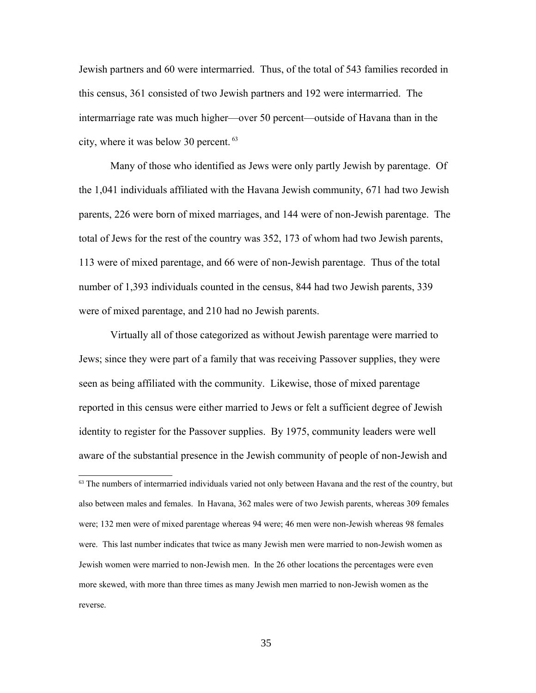Jewish partners and 60 were intermarried. Thus, of the total of 543 families recorded in this census, 361 consisted of two Jewish partners and 192 were intermarried. The intermarriage rate was much higher—over 50 percent—outside of Havana than in the city, where it was below 30 percent. [63](#page-34-0)

Many of those who identified as Jews were only partly Jewish by parentage. Of the 1,041 individuals affiliated with the Havana Jewish community, 671 had two Jewish parents, 226 were born of mixed marriages, and 144 were of non-Jewish parentage. The total of Jews for the rest of the country was 352, 173 of whom had two Jewish parents, 113 were of mixed parentage, and 66 were of non-Jewish parentage. Thus of the total number of 1,393 individuals counted in the census, 844 had two Jewish parents, 339 were of mixed parentage, and 210 had no Jewish parents.

Virtually all of those categorized as without Jewish parentage were married to Jews; since they were part of a family that was receiving Passover supplies, they were seen as being affiliated with the community. Likewise, those of mixed parentage reported in this census were either married to Jews or felt a sufficient degree of Jewish identity to register for the Passover supplies. By 1975, community leaders were well aware of the substantial presence in the Jewish community of people of non-Jewish and

<span id="page-34-0"></span><sup>63</sup> The numbers of intermarried individuals varied not only between Havana and the rest of the country, but also between males and females. In Havana, 362 males were of two Jewish parents, whereas 309 females were; 132 men were of mixed parentage whereas 94 were; 46 men were non-Jewish whereas 98 females were. This last number indicates that twice as many Jewish men were married to non-Jewish women as Jewish women were married to non-Jewish men. In the 26 other locations the percentages were even more skewed, with more than three times as many Jewish men married to non-Jewish women as the reverse.

35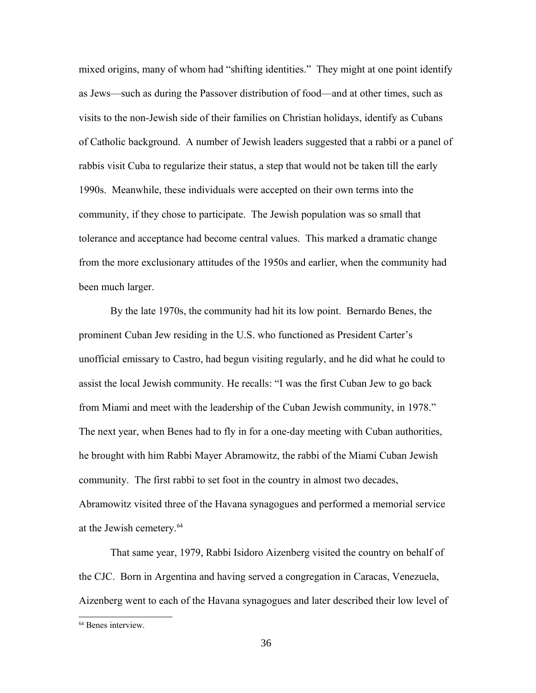mixed origins, many of whom had "shifting identities." They might at one point identify as Jews—such as during the Passover distribution of food—and at other times, such as visits to the non-Jewish side of their families on Christian holidays, identify as Cubans of Catholic background. A number of Jewish leaders suggested that a rabbi or a panel of rabbis visit Cuba to regularize their status, a step that would not be taken till the early 1990s. Meanwhile, these individuals were accepted on their own terms into the community, if they chose to participate. The Jewish population was so small that tolerance and acceptance had become central values. This marked a dramatic change from the more exclusionary attitudes of the 1950s and earlier, when the community had been much larger.

By the late 1970s, the community had hit its low point. Bernardo Benes, the prominent Cuban Jew residing in the U.S. who functioned as President Carter's unofficial emissary to Castro, had begun visiting regularly, and he did what he could to assist the local Jewish community. He recalls: "I was the first Cuban Jew to go back from Miami and meet with the leadership of the Cuban Jewish community, in 1978." The next year, when Benes had to fly in for a one-day meeting with Cuban authorities, he brought with him Rabbi Mayer Abramowitz, the rabbi of the Miami Cuban Jewish community. The first rabbi to set foot in the country in almost two decades, Abramowitz visited three of the Havana synagogues and performed a memorial service at the Jewish cemetery.<sup>[64](#page-35-0)</sup>

That same year, 1979, Rabbi Isidoro Aizenberg visited the country on behalf of the CJC. Born in Argentina and having served a congregation in Caracas, Venezuela, Aizenberg went to each of the Havana synagogues and later described their low level of

<span id="page-35-0"></span><sup>64</sup> Benes interview.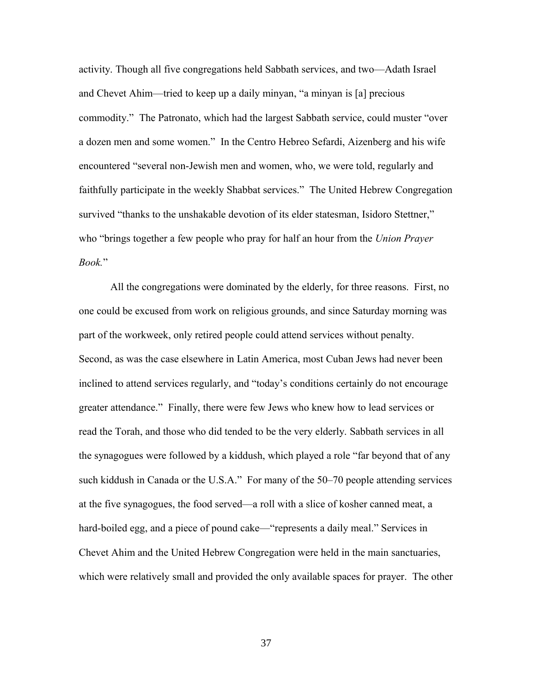activity. Though all five congregations held Sabbath services, and two—Adath Israel and Chevet Ahim—tried to keep up a daily minyan, "a minyan is [a] precious commodity." The Patronato, which had the largest Sabbath service, could muster "over a dozen men and some women." In the Centro Hebreo Sefardi, Aizenberg and his wife encountered "several non-Jewish men and women, who, we were told, regularly and faithfully participate in the weekly Shabbat services." The United Hebrew Congregation survived "thanks to the unshakable devotion of its elder statesman, Isidoro Stettner," who "brings together a few people who pray for half an hour from the *Union Prayer Book.*"

All the congregations were dominated by the elderly, for three reasons. First, no one could be excused from work on religious grounds, and since Saturday morning was part of the workweek, only retired people could attend services without penalty. Second, as was the case elsewhere in Latin America, most Cuban Jews had never been inclined to attend services regularly, and "today's conditions certainly do not encourage greater attendance." Finally, there were few Jews who knew how to lead services or read the Torah, and those who did tended to be the very elderly. Sabbath services in all the synagogues were followed by a kiddush, which played a role "far beyond that of any such kiddush in Canada or the U.S.A." For many of the 50–70 people attending services at the five synagogues, the food served—a roll with a slice of kosher canned meat, a hard-boiled egg, and a piece of pound cake—"represents a daily meal." Services in Chevet Ahim and the United Hebrew Congregation were held in the main sanctuaries, which were relatively small and provided the only available spaces for prayer. The other

37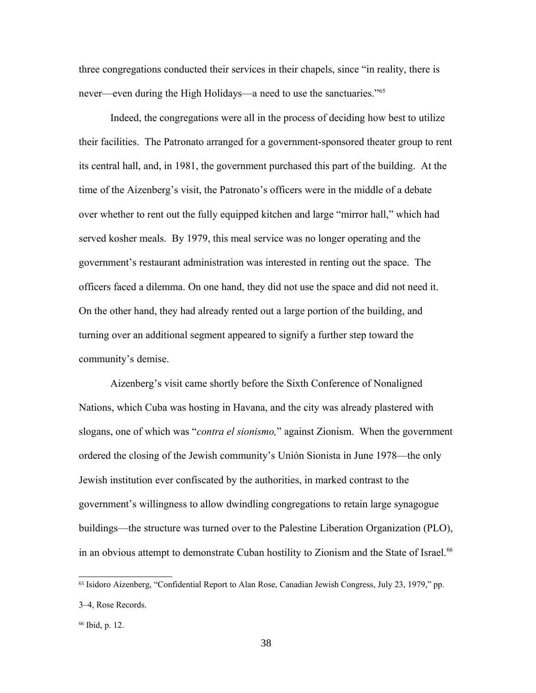three congregations conducted their services in their chapels, since "in reality, there is never—even during the High Holidays—a need to use the sanctuaries."<sup>[65](#page-37-0)</sup>

Indeed, the congregations were all in the process of deciding how best to utilize their facilities. The Patronato arranged for a government-sponsored theater group to rent its central hall, and, in 1981, the government purchased this part of the building. At the time of the Aizenberg's visit, the Patronato's officers were in the middle of a debate over whether to rent out the fully equipped kitchen and large "mirror hall," which had served kosher meals. By 1979, this meal service was no longer operating and the government's restaurant administration was interested in renting out the space. The officers faced a dilemma. On one hand, they did not use the space and did not need it. On the other hand, they had already rented out a large portion of the building, and turning over an additional segment appeared to signify a further step toward the community's demise.

Aizenberg's visit came shortly before the Sixth Conference of Nonaligned Nations, which Cuba was hosting in Havana, and the city was already plastered with slogans, one of which was "*contra el sionismo,*" against Zionism. When the government ordered the closing of the Jewish community's Unión Sionista in June 1978—the only Jewish institution ever confiscated by the authorities, in marked contrast to the government's willingness to allow dwindling congregations to retain large synagogue buildings—the structure was turned over to the Palestine Liberation Organization (PLO), in an obvious attempt to demonstrate Cuban hostility to Zionism and the State of Israel.<sup>[66](#page-37-1)</sup>

<span id="page-37-0"></span><sup>65</sup> Isidoro Aizenberg, "Confidential Report to Alan Rose, Canadian Jewish Congress, July 23, 1979," pp. 3–4, Rose Records.

<span id="page-37-1"></span><sup>66</sup> Ibid, p. 12.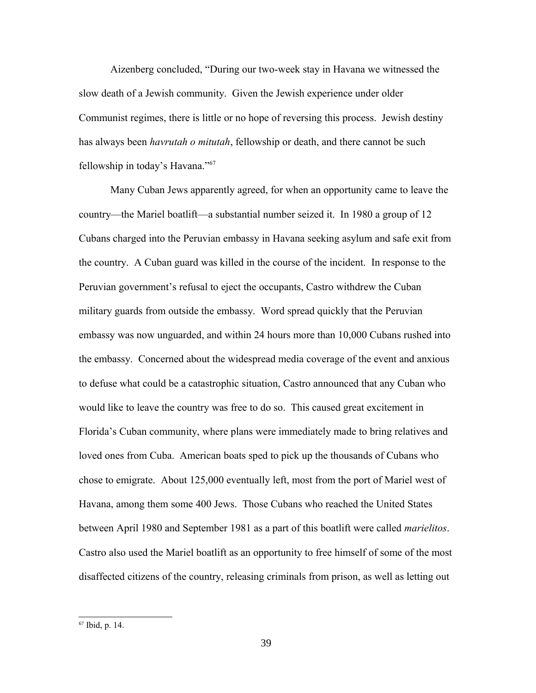Aizenberg concluded, "During our two-week stay in Havana we witnessed the slow death of a Jewish community. Given the Jewish experience under older Communist regimes, there is little or no hope of reversing this process. Jewish destiny has always been *havrutah o mitutah*, fellowship or death, and there cannot be such fellowship in today's Havana."[67](#page-38-0)

Many Cuban Jews apparently agreed, for when an opportunity came to leave the country—the Mariel boatlift—a substantial number seized it. In 1980 a group of 12 Cubans charged into the Peruvian embassy in Havana seeking asylum and safe exit from the country. A Cuban guard was killed in the course of the incident. In response to the Peruvian government's refusal to eject the occupants, Castro withdrew the Cuban military guards from outside the embassy. Word spread quickly that the Peruvian embassy was now unguarded, and within 24 hours more than 10,000 Cubans rushed into the embassy. Concerned about the widespread media coverage of the event and anxious to defuse what could be a catastrophic situation, Castro announced that any Cuban who would like to leave the country was free to do so. This caused great excitement in Florida's Cuban community, where plans were immediately made to bring relatives and loved ones from Cuba. American boats sped to pick up the thousands of Cubans who chose to emigrate. About 125,000 eventually left, most from the port of Mariel west of Havana, among them some 400 Jews. Those Cubans who reached the United States between April 1980 and September 1981 as a part of this boatlift were called *marielitos*. Castro also used the Mariel boatlift as an opportunity to free himself of some of the most disaffected citizens of the country, releasing criminals from prison, as well as letting out

<span id="page-38-0"></span><sup>67</sup> Ibid, p. 14.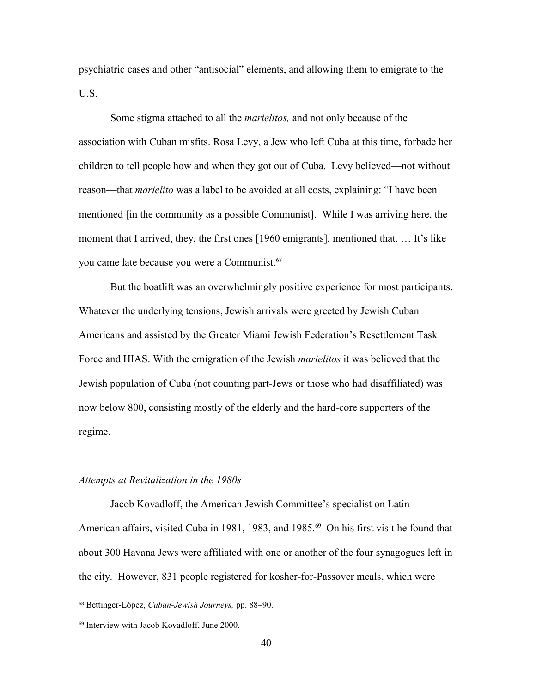psychiatric cases and other "antisocial" elements, and allowing them to emigrate to the U.S.

Some stigma attached to all the *marielitos,* and not only because of the association with Cuban misfits. Rosa Levy, a Jew who left Cuba at this time, forbade her children to tell people how and when they got out of Cuba. Levy believed—not without reason—that *marielito* was a label to be avoided at all costs, explaining: "I have been mentioned [in the community as a possible Communist]. While I was arriving here, the moment that I arrived, they, the first ones [1960 emigrants], mentioned that. … It's like you came late because you were a Communist.[68](#page-39-0)

But the boatlift was an overwhelmingly positive experience for most participants. Whatever the underlying tensions, Jewish arrivals were greeted by Jewish Cuban Americans and assisted by the Greater Miami Jewish Federation's Resettlement Task Force and HIAS. With the emigration of the Jewish *marielitos* it was believed that the Jewish population of Cuba (not counting part-Jews or those who had disaffiliated) was now below 800, consisting mostly of the elderly and the hard-core supporters of the regime.

#### *Attempts at Revitalization in the 1980s*

Jacob Kovadloff, the American Jewish Committee's specialist on Latin American affairs, visited Cuba in 1981, 1983, and 1985.<sup>[69](#page-39-1)</sup> On his first visit he found that about 300 Havana Jews were affiliated with one or another of the four synagogues left in the city. However, 831 people registered for kosher-for-Passover meals, which were

<span id="page-39-0"></span><sup>68</sup> Bettinger-López, *Cuban-Jewish Journeys,* pp. 88–90.

<span id="page-39-1"></span><sup>69</sup> Interview with Jacob Kovadloff, June 2000.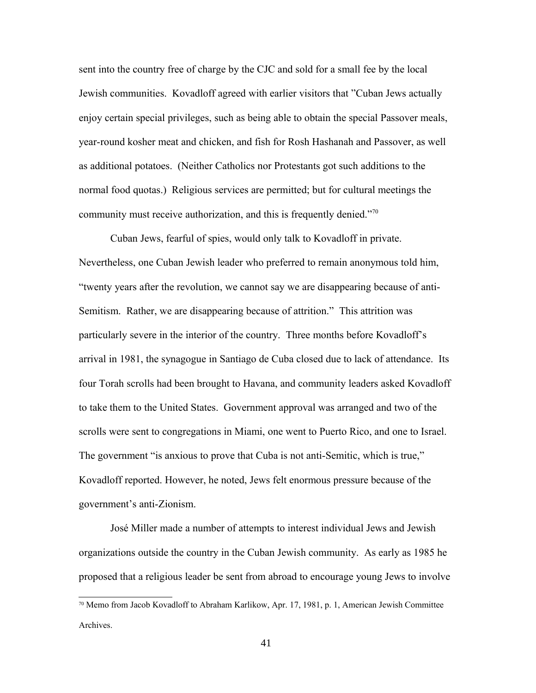sent into the country free of charge by the CJC and sold for a small fee by the local Jewish communities. Kovadloff agreed with earlier visitors that "Cuban Jews actually enjoy certain special privileges, such as being able to obtain the special Passover meals, year-round kosher meat and chicken, and fish for Rosh Hashanah and Passover, as well as additional potatoes. (Neither Catholics nor Protestants got such additions to the normal food quotas.) Religious services are permitted; but for cultural meetings the community must receive authorization, and this is frequently denied."[70](#page-40-0)

Cuban Jews, fearful of spies, would only talk to Kovadloff in private. Nevertheless, one Cuban Jewish leader who preferred to remain anonymous told him, "twenty years after the revolution, we cannot say we are disappearing because of anti-Semitism. Rather, we are disappearing because of attrition." This attrition was particularly severe in the interior of the country. Three months before Kovadloff's arrival in 1981, the synagogue in Santiago de Cuba closed due to lack of attendance. Its four Torah scrolls had been brought to Havana, and community leaders asked Kovadloff to take them to the United States. Government approval was arranged and two of the scrolls were sent to congregations in Miami, one went to Puerto Rico, and one to Israel. The government "is anxious to prove that Cuba is not anti-Semitic, which is true," Kovadloff reported. However, he noted, Jews felt enormous pressure because of the government's anti-Zionism.

José Miller made a number of attempts to interest individual Jews and Jewish organizations outside the country in the Cuban Jewish community. As early as 1985 he proposed that a religious leader be sent from abroad to encourage young Jews to involve

<span id="page-40-0"></span><sup>70</sup> Memo from Jacob Kovadloff to Abraham Karlikow, Apr. 17, 1981, p. 1, American Jewish Committee Archives.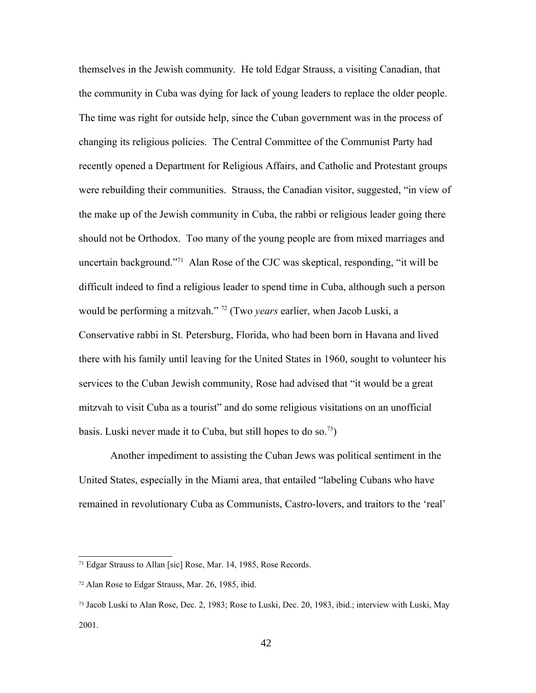themselves in the Jewish community. He told Edgar Strauss, a visiting Canadian, that the community in Cuba was dying for lack of young leaders to replace the older people. The time was right for outside help, since the Cuban government was in the process of changing its religious policies. The Central Committee of the Communist Party had recently opened a Department for Religious Affairs, and Catholic and Protestant groups were rebuilding their communities. Strauss, the Canadian visitor, suggested, "in view of the make up of the Jewish community in Cuba, the rabbi or religious leader going there should not be Orthodox. Too many of the young people are from mixed marriages and uncertain background."[71](#page-41-0) Alan Rose of the CJC was skeptical, responding, "it will be difficult indeed to find a religious leader to spend time in Cuba, although such a person would be performing a mitzvah." [72](#page-41-1) (Two *years* earlier, when Jacob Luski, a Conservative rabbi in St. Petersburg, Florida, who had been born in Havana and lived there with his family until leaving for the United States in 1960, sought to volunteer his services to the Cuban Jewish community, Rose had advised that "it would be a great mitzvah to visit Cuba as a tourist" and do some religious visitations on an unofficial basis. Luski never made it to Cuba, but still hopes to do so.<sup>[73](#page-41-2)</sup>)

Another impediment to assisting the Cuban Jews was political sentiment in the United States, especially in the Miami area, that entailed "labeling Cubans who have remained in revolutionary Cuba as Communists, Castro-lovers, and traitors to the 'real'

<span id="page-41-0"></span><sup>71</sup> Edgar Strauss to Allan [sic] Rose, Mar. 14, 1985, Rose Records.

<span id="page-41-1"></span><sup>72</sup> Alan Rose to Edgar Strauss, Mar. 26, 1985, ibid.

<span id="page-41-2"></span><sup>73</sup> Jacob Luski to Alan Rose, Dec. 2, 1983; Rose to Luski, Dec. 20, 1983, ibid.; interview with Luski, May 2001.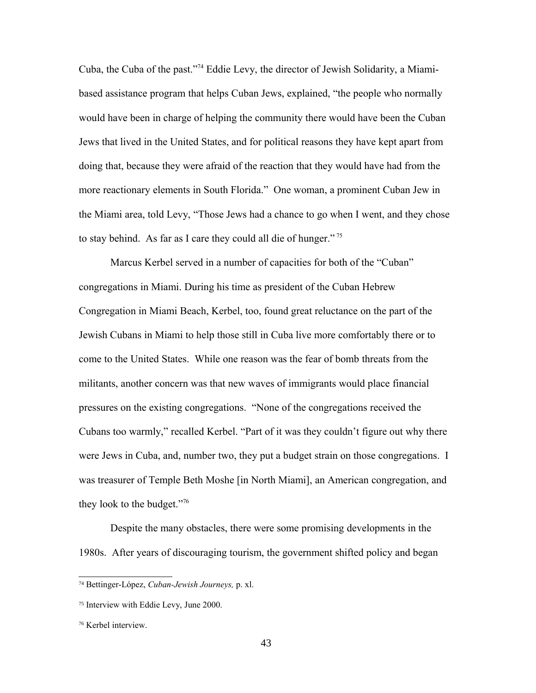Cuba, the Cuba of the past."[74](#page-42-0) Eddie Levy, the director of Jewish Solidarity, a Miamibased assistance program that helps Cuban Jews, explained, "the people who normally would have been in charge of helping the community there would have been the Cuban Jews that lived in the United States, and for political reasons they have kept apart from doing that, because they were afraid of the reaction that they would have had from the more reactionary elements in South Florida." One woman, a prominent Cuban Jew in the Miami area, told Levy, "Those Jews had a chance to go when I went, and they chose to stay behind. As far as I care they could all die of hunger."<sup>[75](#page-42-1)</sup>

Marcus Kerbel served in a number of capacities for both of the "Cuban" congregations in Miami. During his time as president of the Cuban Hebrew Congregation in Miami Beach, Kerbel, too, found great reluctance on the part of the Jewish Cubans in Miami to help those still in Cuba live more comfortably there or to come to the United States. While one reason was the fear of bomb threats from the militants, another concern was that new waves of immigrants would place financial pressures on the existing congregations. "None of the congregations received the Cubans too warmly," recalled Kerbel. "Part of it was they couldn't figure out why there were Jews in Cuba, and, number two, they put a budget strain on those congregations. I was treasurer of Temple Beth Moshe [in North Miami], an American congregation, and they look to the budget."[76](#page-42-2)

Despite the many obstacles, there were some promising developments in the 1980s. After years of discouraging tourism, the government shifted policy and began

<span id="page-42-0"></span><sup>74</sup> Bettinger-López, *Cuban-Jewish Journeys,* p. xl.

<span id="page-42-1"></span><sup>75</sup> Interview with Eddie Levy, June 2000.

<span id="page-42-2"></span><sup>76</sup> Kerbel interview.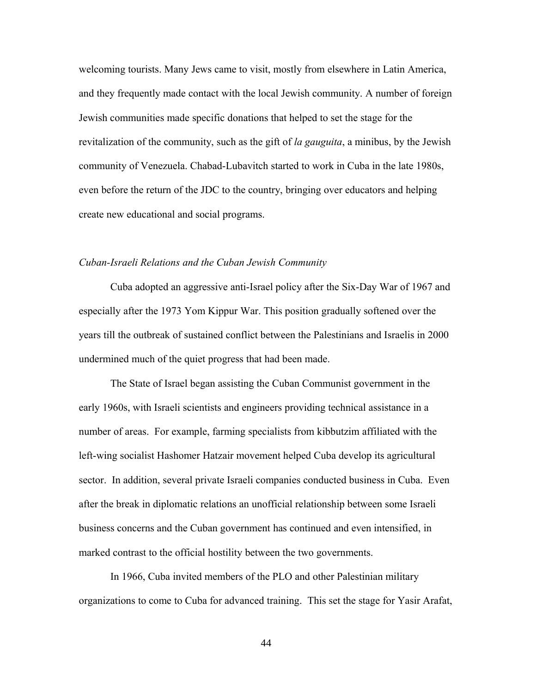welcoming tourists. Many Jews came to visit, mostly from elsewhere in Latin America, and they frequently made contact with the local Jewish community. A number of foreign Jewish communities made specific donations that helped to set the stage for the revitalization of the community, such as the gift of *la gauguita*, a minibus, by the Jewish community of Venezuela. Chabad-Lubavitch started to work in Cuba in the late 1980s, even before the return of the JDC to the country, bringing over educators and helping create new educational and social programs.

# *Cuban-Israeli Relations and the Cuban Jewish Community*

Cuba adopted an aggressive anti-Israel policy after the Six-Day War of 1967 and especially after the 1973 Yom Kippur War. This position gradually softened over the years till the outbreak of sustained conflict between the Palestinians and Israelis in 2000 undermined much of the quiet progress that had been made.

The State of Israel began assisting the Cuban Communist government in the early 1960s, with Israeli scientists and engineers providing technical assistance in a number of areas. For example, farming specialists from kibbutzim affiliated with the left-wing socialist Hashomer Hatzair movement helped Cuba develop its agricultural sector. In addition, several private Israeli companies conducted business in Cuba. Even after the break in diplomatic relations an unofficial relationship between some Israeli business concerns and the Cuban government has continued and even intensified, in marked contrast to the official hostility between the two governments.

In 1966, Cuba invited members of the PLO and other Palestinian military organizations to come to Cuba for advanced training. This set the stage for Yasir Arafat,

44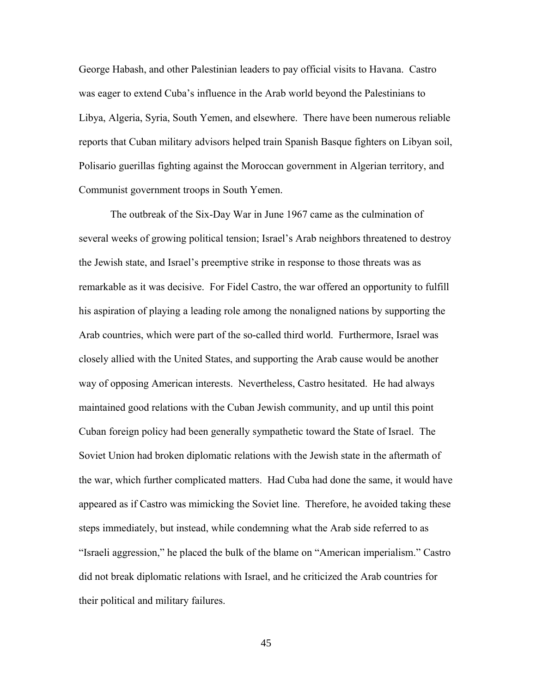George Habash, and other Palestinian leaders to pay official visits to Havana. Castro was eager to extend Cuba's influence in the Arab world beyond the Palestinians to Libya, Algeria, Syria, South Yemen, and elsewhere. There have been numerous reliable reports that Cuban military advisors helped train Spanish Basque fighters on Libyan soil, Polisario guerillas fighting against the Moroccan government in Algerian territory, and Communist government troops in South Yemen.

The outbreak of the Six-Day War in June 1967 came as the culmination of several weeks of growing political tension; Israel's Arab neighbors threatened to destroy the Jewish state, and Israel's preemptive strike in response to those threats was as remarkable as it was decisive. For Fidel Castro, the war offered an opportunity to fulfill his aspiration of playing a leading role among the nonaligned nations by supporting the Arab countries, which were part of the so-called third world. Furthermore, Israel was closely allied with the United States, and supporting the Arab cause would be another way of opposing American interests. Nevertheless, Castro hesitated. He had always maintained good relations with the Cuban Jewish community, and up until this point Cuban foreign policy had been generally sympathetic toward the State of Israel. The Soviet Union had broken diplomatic relations with the Jewish state in the aftermath of the war, which further complicated matters. Had Cuba had done the same, it would have appeared as if Castro was mimicking the Soviet line. Therefore, he avoided taking these steps immediately, but instead, while condemning what the Arab side referred to as "Israeli aggression," he placed the bulk of the blame on "American imperialism." Castro did not break diplomatic relations with Israel, and he criticized the Arab countries for their political and military failures.

45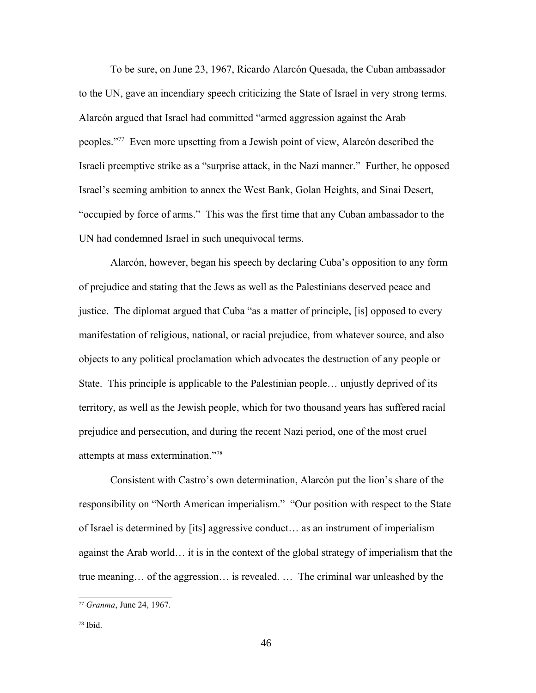To be sure, on June 23, 1967, Ricardo Alarcón Quesada, the Cuban ambassador to the UN, gave an incendiary speech criticizing the State of Israel in very strong terms. Alarcón argued that Israel had committed "armed aggression against the Arab peoples."[77](#page-45-0) Even more upsetting from a Jewish point of view, Alarcón described the Israeli preemptive strike as a "surprise attack, in the Nazi manner." Further, he opposed Israel's seeming ambition to annex the West Bank, Golan Heights, and Sinai Desert, "occupied by force of arms." This was the first time that any Cuban ambassador to the UN had condemned Israel in such unequivocal terms.

Alarcón, however, began his speech by declaring Cuba's opposition to any form of prejudice and stating that the Jews as well as the Palestinians deserved peace and justice. The diplomat argued that Cuba "as a matter of principle, [is] opposed to every manifestation of religious, national, or racial prejudice, from whatever source, and also objects to any political proclamation which advocates the destruction of any people or State. This principle is applicable to the Palestinian people… unjustly deprived of its territory, as well as the Jewish people, which for two thousand years has suffered racial prejudice and persecution, and during the recent Nazi period, one of the most cruel attempts at mass extermination."[78](#page-45-1)

Consistent with Castro's own determination, Alarcón put the lion's share of the responsibility on "North American imperialism." "Our position with respect to the State of Israel is determined by [its] aggressive conduct… as an instrument of imperialism against the Arab world… it is in the context of the global strategy of imperialism that the true meaning… of the aggression… is revealed. … The criminal war unleashed by the

<span id="page-45-0"></span><sup>77</sup> *Granma*, June 24, 1967.

<span id="page-45-1"></span><sup>78</sup> Ibid.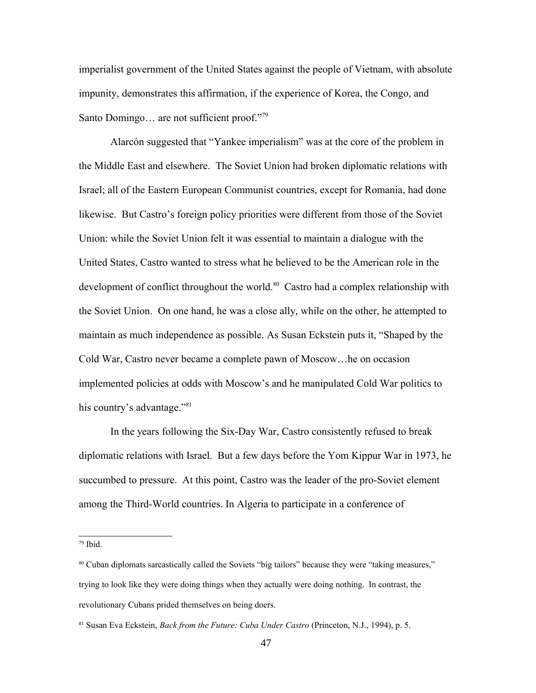imperialist government of the United States against the people of Vietnam, with absolute impunity, demonstrates this affirmation, if the experience of Korea, the Congo, and Santo Domingo... are not sufficient proof."<sup>[79](#page-46-0)</sup>

Alarcón suggested that "Yankee imperialism" was at the core of the problem in the Middle East and elsewhere. The Soviet Union had broken diplomatic relations with Israel; all of the Eastern European Communist countries, except for Romania, had done likewise. But Castro's foreign policy priorities were different from those of the Soviet Union: while the Soviet Union felt it was essential to maintain a dialogue with the United States, Castro wanted to stress what he believed to be the American role in the development of conflict throughout the world.<sup>[80](#page-46-1)</sup> Castro had a complex relationship with the Soviet Union. On one hand, he was a close ally, while on the other, he attempted to maintain as much independence as possible. As Susan Eckstein puts it, "Shaped by the Cold War, Castro never became a complete pawn of Moscow…he on occasion implemented policies at odds with Moscow's and he manipulated Cold War politics to his country's advantage."<sup>[81](#page-46-2)</sup>

In the years following the Six-Day War, Castro consistently refused to break diplomatic relations with Israel. But a few days before the Yom Kippur War in 1973, he succumbed to pressure. At this point, Castro was the leader of the pro-Soviet element among the Third-World countries. In Algeria to participate in a conference of

<span id="page-46-0"></span><sup>79</sup> Ibid.

<span id="page-46-1"></span><sup>80</sup> Cuban diplomats sarcastically called the Soviets "big tailors" because they were "taking measures," trying to look like they were doing things when they actually were doing nothing. In contrast, the revolutionary Cubans prided themselves on being doers.

<span id="page-46-2"></span><sup>81</sup> Susan Eva Eckstein, *Back from the Future: Cuba Under Castro* (Princeton, N.J., 1994), p. 5.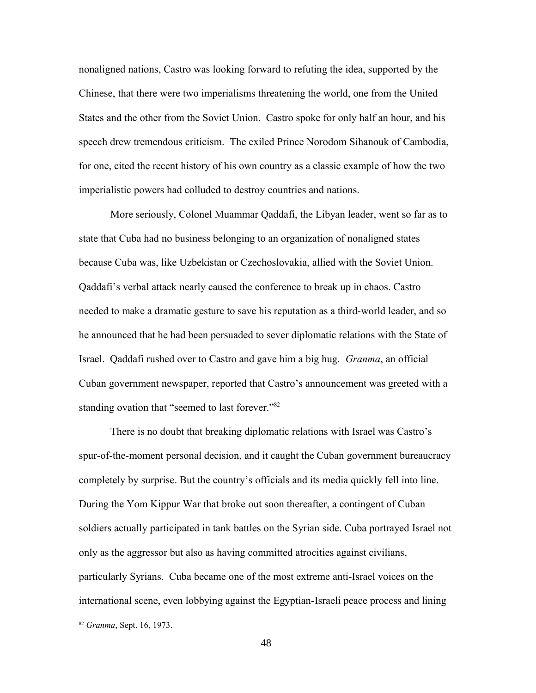nonaligned nations, Castro was looking forward to refuting the idea, supported by the Chinese, that there were two imperialisms threatening the world, one from the United States and the other from the Soviet Union. Castro spoke for only half an hour, and his speech drew tremendous criticism. The exiled Prince Norodom Sihanouk of Cambodia, for one, cited the recent history of his own country as a classic example of how the two imperialistic powers had colluded to destroy countries and nations.

More seriously, Colonel Muammar Qaddafi, the Libyan leader, went so far as to state that Cuba had no business belonging to an organization of nonaligned states because Cuba was, like Uzbekistan or Czechoslovakia, allied with the Soviet Union. Qaddafi's verbal attack nearly caused the conference to break up in chaos. Castro needed to make a dramatic gesture to save his reputation as a third-world leader, and so he announced that he had been persuaded to sever diplomatic relations with the State of Israel. Qaddafi rushed over to Castro and gave him a big hug. *Granma*, an official Cuban government newspaper, reported that Castro's announcement was greeted with a standing ovation that "seemed to last forever."<sup>[82](#page-47-0)</sup>

There is no doubt that breaking diplomatic relations with Israel was Castro's spur-of-the-moment personal decision, and it caught the Cuban government bureaucracy completely by surprise. But the country's officials and its media quickly fell into line. During the Yom Kippur War that broke out soon thereafter, a contingent of Cuban soldiers actually participated in tank battles on the Syrian side. Cuba portrayed Israel not only as the aggressor but also as having committed atrocities against civilians, particularly Syrians. Cuba became one of the most extreme anti-Israel voices on the international scene, even lobbying against the Egyptian-Israeli peace process and lining

<span id="page-47-0"></span><sup>82</sup> *Granma*, Sept. 16, 1973.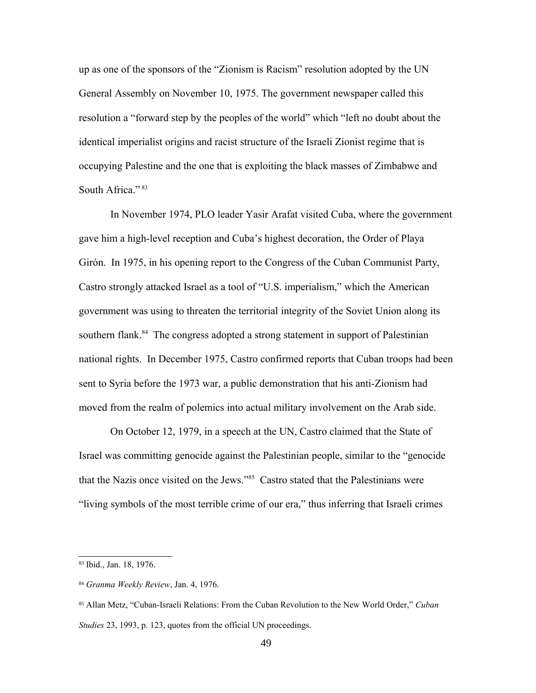up as one of the sponsors of the "Zionism is Racism" resolution adopted by the UN General Assembly on November 10, 1975. The government newspaper called this resolution a "forward step by the peoples of the world" which "left no doubt about the identical imperialist origins and racist structure of the Israeli Zionist regime that is occupying Palestine and the one that is exploiting the black masses of Zimbabwe and South Africa."<sup>[83](#page-48-0)</sup>

In November 1974, PLO leader Yasir Arafat visited Cuba, where the government gave him a high-level reception and Cuba's highest decoration, the Order of Playa Girón. In 1975, in his opening report to the Congress of the Cuban Communist Party, Castro strongly attacked Israel as a tool of "U.S. imperialism," which the American government was using to threaten the territorial integrity of the Soviet Union along its southern flank.<sup>[84](#page-48-1)</sup> The congress adopted a strong statement in support of Palestinian national rights. In December 1975, Castro confirmed reports that Cuban troops had been sent to Syria before the 1973 war, a public demonstration that his anti-Zionism had moved from the realm of polemics into actual military involvement on the Arab side.

On October 12, 1979, in a speech at the UN, Castro claimed that the State of Israel was committing genocide against the Palestinian people, similar to the "genocide that the Nazis once visited on the Jews."[85](#page-48-2) Castro stated that the Palestinians were "living symbols of the most terrible crime of our era," thus inferring that Israeli crimes

<span id="page-48-0"></span><sup>83</sup> Ibid., Jan. 18, 1976.

<span id="page-48-1"></span><sup>84</sup> *Granma Weekly Review*, Jan. 4, 1976.

<span id="page-48-2"></span><sup>85</sup> Allan Metz, "Cuban-Israeli Relations: From the Cuban Revolution to the New World Order," *Cuban Studies* 23, 1993, p. 123, quotes from the official UN proceedings.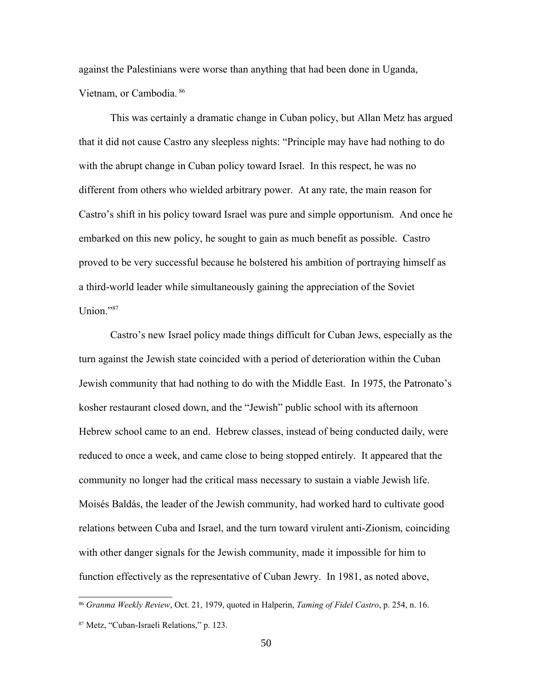against the Palestinians were worse than anything that had been done in Uganda, Vietnam, or Cambodia. [86](#page-49-0)

This was certainly a dramatic change in Cuban policy, but Allan Metz has argued that it did not cause Castro any sleepless nights: "Principle may have had nothing to do with the abrupt change in Cuban policy toward Israel. In this respect, he was no different from others who wielded arbitrary power. At any rate, the main reason for Castro's shift in his policy toward Israel was pure and simple opportunism. And once he embarked on this new policy, he sought to gain as much benefit as possible. Castro proved to be very successful because he bolstered his ambition of portraying himself as a third-world leader while simultaneously gaining the appreciation of the Soviet Union."[87](#page-49-1)

Castro's new Israel policy made things difficult for Cuban Jews, especially as the turn against the Jewish state coincided with a period of deterioration within the Cuban Jewish community that had nothing to do with the Middle East. In 1975, the Patronato's kosher restaurant closed down, and the "Jewish" public school with its afternoon Hebrew school came to an end. Hebrew classes, instead of being conducted daily, were reduced to once a week, and came close to being stopped entirely. It appeared that the community no longer had the critical mass necessary to sustain a viable Jewish life. Moisés Baldás, the leader of the Jewish community, had worked hard to cultivate good relations between Cuba and Israel, and the turn toward virulent anti-Zionism, coinciding with other danger signals for the Jewish community, made it impossible for him to function effectively as the representative of Cuban Jewry. In 1981, as noted above,

<span id="page-49-0"></span><sup>86</sup> *Granma Weekly Review*, Oct. 21, 1979, quoted in Halperin, *Taming of Fidel Castro*, p. 254, n. 16.

<span id="page-49-1"></span><sup>87</sup> Metz, "Cuban-Israeli Relations," p. 123.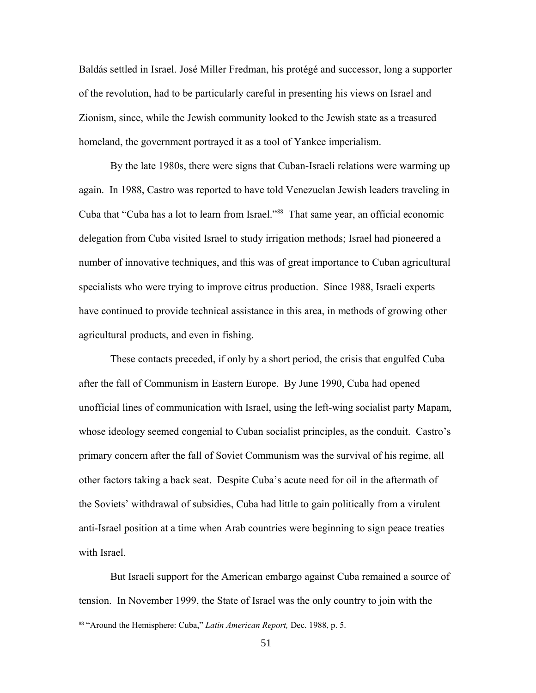Baldás settled in Israel. José Miller Fredman, his protégé and successor, long a supporter of the revolution, had to be particularly careful in presenting his views on Israel and Zionism, since, while the Jewish community looked to the Jewish state as a treasured homeland, the government portrayed it as a tool of Yankee imperialism.

By the late 1980s, there were signs that Cuban-Israeli relations were warming up again. In 1988, Castro was reported to have told Venezuelan Jewish leaders traveling in Cuba that "Cuba has a lot to learn from Israel."[88](#page-50-0) That same year, an official economic delegation from Cuba visited Israel to study irrigation methods; Israel had pioneered a number of innovative techniques, and this was of great importance to Cuban agricultural specialists who were trying to improve citrus production. Since 1988, Israeli experts have continued to provide technical assistance in this area, in methods of growing other agricultural products, and even in fishing.

These contacts preceded, if only by a short period, the crisis that engulfed Cuba after the fall of Communism in Eastern Europe. By June 1990, Cuba had opened unofficial lines of communication with Israel, using the left-wing socialist party Mapam, whose ideology seemed congenial to Cuban socialist principles, as the conduit. Castro's primary concern after the fall of Soviet Communism was the survival of his regime, all other factors taking a back seat. Despite Cuba's acute need for oil in the aftermath of the Soviets' withdrawal of subsidies, Cuba had little to gain politically from a virulent anti-Israel position at a time when Arab countries were beginning to sign peace treaties with Israel

But Israeli support for the American embargo against Cuba remained a source of tension. In November 1999, the State of Israel was the only country to join with the

<span id="page-50-0"></span><sup>88</sup> "Around the Hemisphere: Cuba," *Latin American Report,* Dec. 1988, p. 5.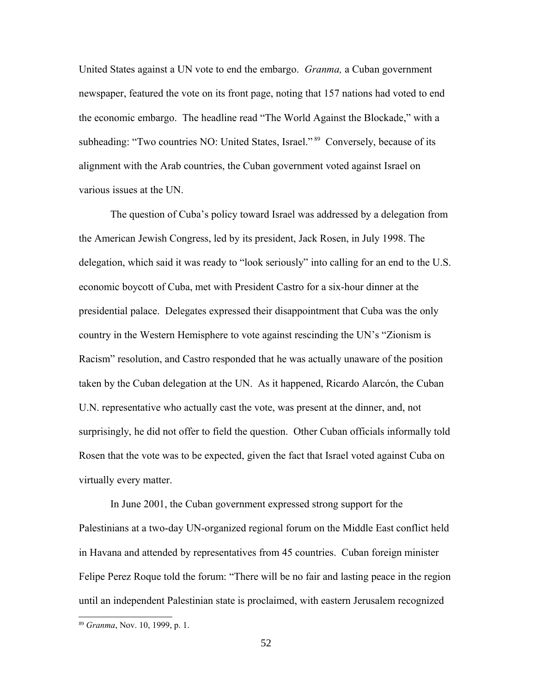United States against a UN vote to end the embargo. *Granma,* a Cuban government newspaper, featured the vote on its front page, noting that 157 nations had voted to end the economic embargo. The headline read "The World Against the Blockade," with a subheading: "Two countries NO: United States, Israel."<sup>[89](#page-51-0)</sup> Conversely, because of its alignment with the Arab countries, the Cuban government voted against Israel on various issues at the UN.

The question of Cuba's policy toward Israel was addressed by a delegation from the American Jewish Congress, led by its president, Jack Rosen, in July 1998. The delegation, which said it was ready to "look seriously" into calling for an end to the U.S. economic boycott of Cuba, met with President Castro for a six-hour dinner at the presidential palace. Delegates expressed their disappointment that Cuba was the only country in the Western Hemisphere to vote against rescinding the UN's "Zionism is Racism" resolution, and Castro responded that he was actually unaware of the position taken by the Cuban delegation at the UN. As it happened, Ricardo Alarcón, the Cuban U.N. representative who actually cast the vote, was present at the dinner, and, not surprisingly, he did not offer to field the question. Other Cuban officials informally told Rosen that the vote was to be expected, given the fact that Israel voted against Cuba on virtually every matter.

In June 2001, the Cuban government expressed strong support for the Palestinians at a two-day UN-organized regional forum on the Middle East conflict held in Havana and attended by representatives from 45 countries. Cuban foreign minister Felipe Perez Roque told the forum: "There will be no fair and lasting peace in the region until an independent Palestinian state is proclaimed, with eastern Jerusalem recognized

<span id="page-51-0"></span><sup>89</sup> *Granma*, Nov. 10, 1999, p. 1.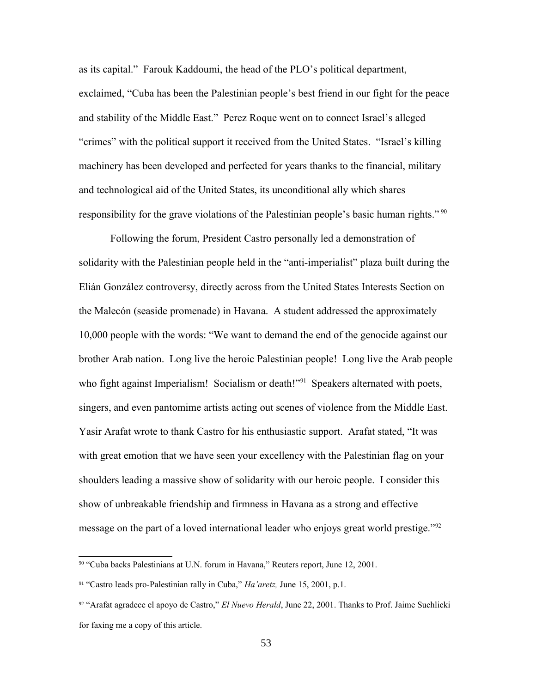as its capital." Farouk Kaddoumi, the head of the PLO's political department, exclaimed, "Cuba has been the Palestinian people's best friend in our fight for the peace and stability of the Middle East." Perez Roque went on to connect Israel's alleged "crimes" with the political support it received from the United States. "Israel's killing machinery has been developed and perfected for years thanks to the financial, military and technological aid of the United States, its unconditional ally which shares responsibility for the grave violations of the Palestinian people's basic human rights." [90](#page-52-0)

Following the forum, President Castro personally led a demonstration of solidarity with the Palestinian people held in the "anti-imperialist" plaza built during the Elián González controversy, directly across from the United States Interests Section on the Malecón (seaside promenade) in Havana. A student addressed the approximately 10,000 people with the words: "We want to demand the end of the genocide against our brother Arab nation. Long live the heroic Palestinian people! Long live the Arab people who fight against Imperialism! Socialism or death!"<sup>[91](#page-52-1)</sup> Speakers alternated with poets, singers, and even pantomime artists acting out scenes of violence from the Middle East. Yasir Arafat wrote to thank Castro for his enthusiastic support. Arafat stated, "It was with great emotion that we have seen your excellency with the Palestinian flag on your shoulders leading a massive show of solidarity with our heroic people. I consider this show of unbreakable friendship and firmness in Havana as a strong and effective message on the part of a loved international leader who enjoys great world prestige."<sup>[92](#page-52-2)</sup>

<span id="page-52-0"></span><sup>90</sup> "Cuba backs Palestinians at U.N. forum in Havana," Reuters report, June 12, 2001.

<span id="page-52-1"></span><sup>91</sup> "Castro leads pro-Palestinian rally in Cuba," *Ha'aretz,* June 15, 2001, p.1.

<span id="page-52-2"></span><sup>92</sup> "Arafat agradece el apoyo de Castro," *El Nuevo Herald*, June 22, 2001. Thanks to Prof. Jaime Suchlicki for faxing me a copy of this article.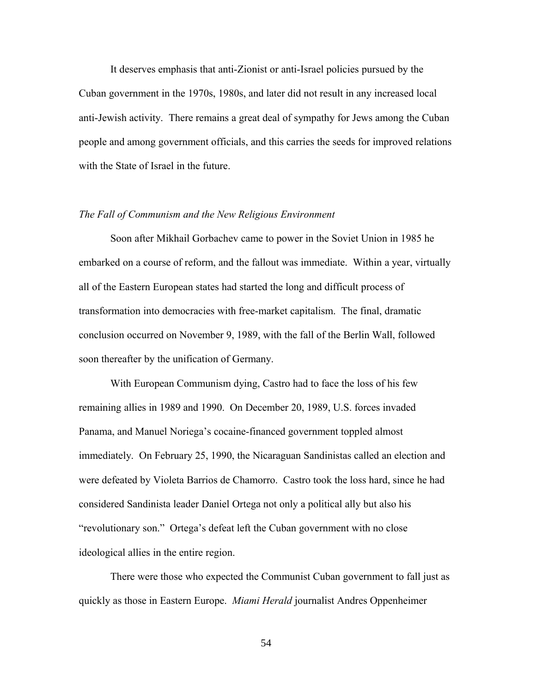It deserves emphasis that anti-Zionist or anti-Israel policies pursued by the Cuban government in the 1970s, 1980s, and later did not result in any increased local anti-Jewish activity. There remains a great deal of sympathy for Jews among the Cuban people and among government officials, and this carries the seeds for improved relations with the State of Israel in the future.

#### *The Fall of Communism and the New Religious Environment*

Soon after Mikhail Gorbachev came to power in the Soviet Union in 1985 he embarked on a course of reform, and the fallout was immediate. Within a year, virtually all of the Eastern European states had started the long and difficult process of transformation into democracies with free-market capitalism. The final, dramatic conclusion occurred on November 9, 1989, with the fall of the Berlin Wall, followed soon thereafter by the unification of Germany.

With European Communism dying, Castro had to face the loss of his few remaining allies in 1989 and 1990. On December 20, 1989, U.S. forces invaded Panama, and Manuel Noriega's cocaine-financed government toppled almost immediately. On February 25, 1990, the Nicaraguan Sandinistas called an election and were defeated by Violeta Barrios de Chamorro. Castro took the loss hard, since he had considered Sandinista leader Daniel Ortega not only a political ally but also his "revolutionary son." Ortega's defeat left the Cuban government with no close ideological allies in the entire region.

There were those who expected the Communist Cuban government to fall just as quickly as those in Eastern Europe. *Miami Herald* journalist Andres Oppenheimer

54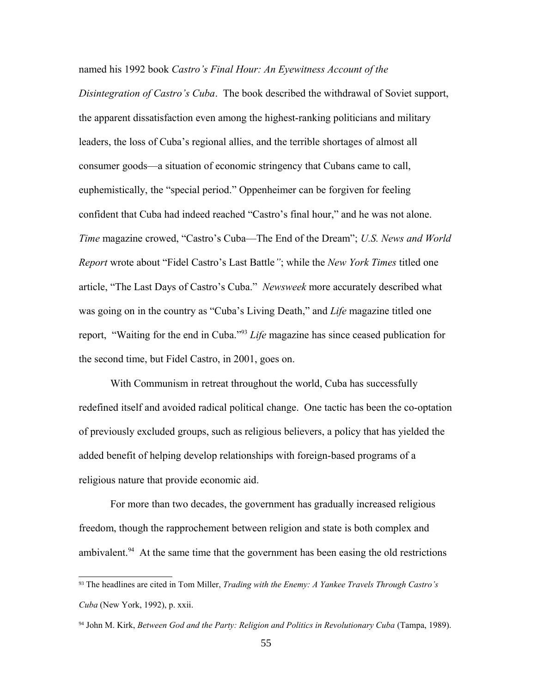# named his 1992 book *Castro's Final Hour: An Eyewitness Account of the*

*Disintegration of Castro's Cuba*. The book described the withdrawal of Soviet support, the apparent dissatisfaction even among the highest-ranking politicians and military leaders, the loss of Cuba's regional allies, and the terrible shortages of almost all consumer goods—a situation of economic stringency that Cubans came to call, euphemistically, the "special period." Oppenheimer can be forgiven for feeling confident that Cuba had indeed reached "Castro's final hour," and he was not alone. *Time* magazine crowed, "Castro's Cuba—The End of the Dream"; *U.S. News and World Report* wrote about "Fidel Castro's Last Battle*"*; while the *New York Times* titled one article, "The Last Days of Castro's Cuba." *Newsweek* more accurately described what was going on in the country as "Cuba's Living Death," and *Life* magazine titled one report, "Waiting for the end in Cuba."[93](#page-54-0) *Life* magazine has since ceased publication for the second time, but Fidel Castro, in 2001, goes on.

With Communism in retreat throughout the world, Cuba has successfully redefined itself and avoided radical political change. One tactic has been the co-optation of previously excluded groups, such as religious believers, a policy that has yielded the added benefit of helping develop relationships with foreign-based programs of a religious nature that provide economic aid.

For more than two decades, the government has gradually increased religious freedom, though the rapprochement between religion and state is both complex and ambivalent.<sup>[94](#page-54-1)</sup> At the same time that the government has been easing the old restrictions

<span id="page-54-0"></span><sup>93</sup> The headlines are cited in Tom Miller, *Trading with the Enemy: A Yankee Travels Through Castro's Cuba* (New York, 1992), p. xxii.

<span id="page-54-1"></span><sup>&</sup>lt;sup>94</sup> John M. Kirk, *Between God and the Party: Religion and Politics in Revolutionary Cuba* (Tampa, 1989).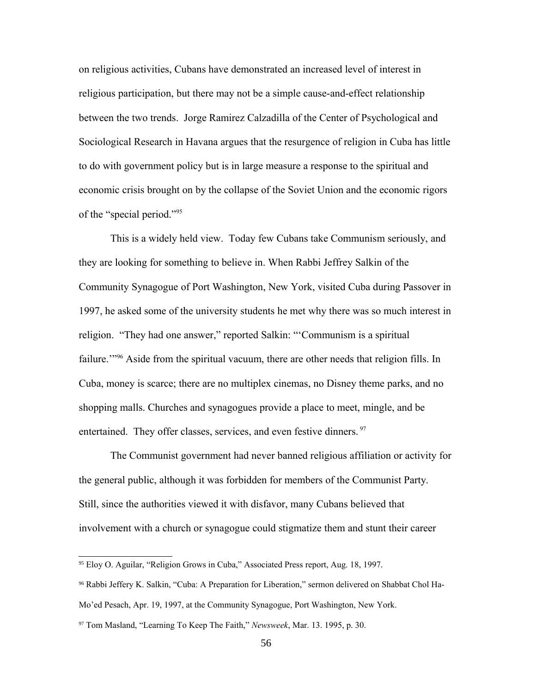on religious activities, Cubans have demonstrated an increased level of interest in religious participation, but there may not be a simple cause-and-effect relationship between the two trends. Jorge Ramirez Calzadilla of the Center of Psychological and Sociological Research in Havana argues that the resurgence of religion in Cuba has little to do with government policy but is in large measure a response to the spiritual and economic crisis brought on by the collapse of the Soviet Union and the economic rigors of the "special period."[95](#page-55-0)

This is a widely held view. Today few Cubans take Communism seriously, and they are looking for something to believe in. When Rabbi Jeffrey Salkin of the Community Synagogue of Port Washington, New York, visited Cuba during Passover in 1997, he asked some of the university students he met why there was so much interest in religion. "They had one answer," reported Salkin: "'Communism is a spiritual failure."<sup>[96](#page-55-1)</sup> Aside from the spiritual vacuum, there are other needs that religion fills. In Cuba, money is scarce; there are no multiplex cinemas, no Disney theme parks, and no shopping malls. Churches and synagogues provide a place to meet, mingle, and be entertained. They offer classes, services, and even festive dinners.<sup>[97](#page-55-2)</sup>

The Communist government had never banned religious affiliation or activity for the general public, although it was forbidden for members of the Communist Party. Still, since the authorities viewed it with disfavor, many Cubans believed that involvement with a church or synagogue could stigmatize them and stunt their career

<span id="page-55-0"></span><sup>95</sup> Eloy O. Aguilar, "Religion Grows in Cuba," Associated Press report, Aug. 18, 1997.

<span id="page-55-1"></span><sup>96</sup> Rabbi Jeffery K. Salkin, "Cuba: A Preparation for Liberation," sermon delivered on Shabbat Chol Ha-

Mo'ed Pesach, Apr. 19, 1997, at the Community Synagogue, Port Washington, New York.

<span id="page-55-2"></span><sup>97</sup> Tom Masland, "Learning To Keep The Faith," *Newsweek*, Mar. 13. 1995, p. 30.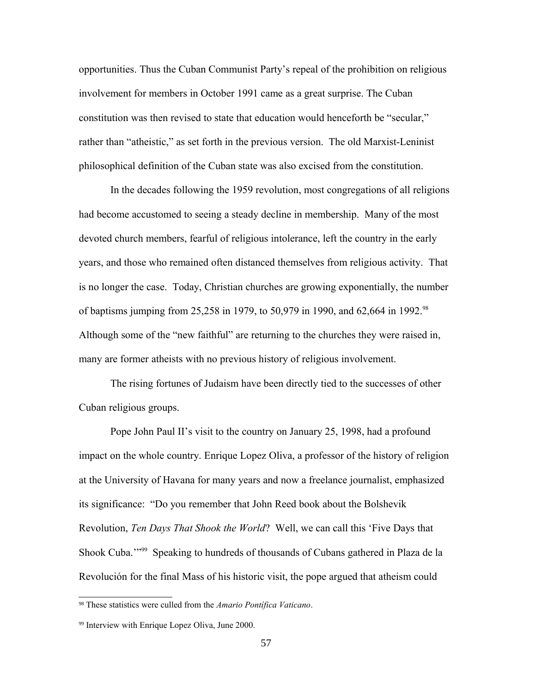opportunities. Thus the Cuban Communist Party's repeal of the prohibition on religious involvement for members in October 1991 came as a great surprise. The Cuban constitution was then revised to state that education would henceforth be "secular," rather than "atheistic," as set forth in the previous version. The old Marxist-Leninist philosophical definition of the Cuban state was also excised from the constitution.

In the decades following the 1959 revolution, most congregations of all religions had become accustomed to seeing a steady decline in membership. Many of the most devoted church members, fearful of religious intolerance, left the country in the early years, and those who remained often distanced themselves from religious activity. That is no longer the case. Today, Christian churches are growing exponentially, the number of baptisms jumping from 25,258 in 1979, to 50,979 in 1990, and 62,664 in 1992.[98](#page-56-0) Although some of the "new faithful" are returning to the churches they were raised in, many are former atheists with no previous history of religious involvement.

The rising fortunes of Judaism have been directly tied to the successes of other Cuban religious groups.

Pope John Paul II's visit to the country on January 25, 1998, had a profound impact on the whole country. Enrique Lopez Oliva, a professor of the history of religion at the University of Havana for many years and now a freelance journalist, emphasized its significance: "Do you remember that John Reed book about the Bolshevik Revolution, *Ten Days That Shook the World*? Well, we can call this 'Five Days that Shook Cuba."<sup>[99](#page-56-1)</sup> Speaking to hundreds of thousands of Cubans gathered in Plaza de la Revolución for the final Mass of his historic visit, the pope argued that atheism could

<span id="page-56-0"></span><sup>98</sup> These statistics were culled from the *Amario Pontífica Vaticano*.

<span id="page-56-1"></span><sup>99</sup> Interview with Enrique Lopez Oliva, June 2000.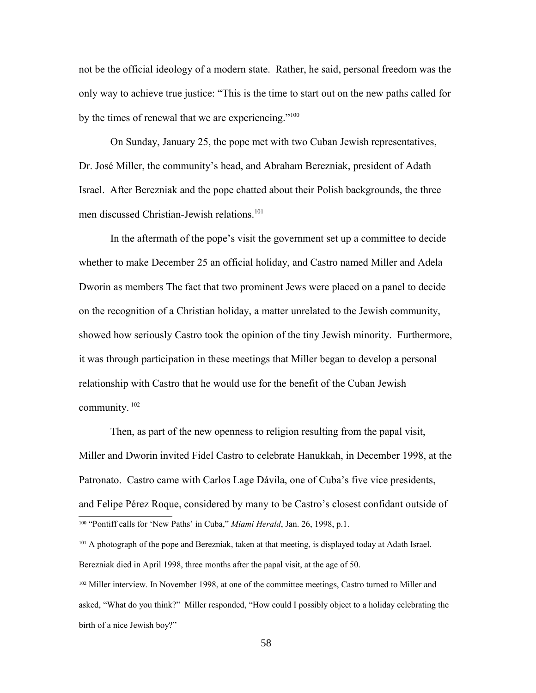not be the official ideology of a modern state. Rather, he said, personal freedom was the only way to achieve true justice: "This is the time to start out on the new paths called for by the times of renewal that we are experiencing."<sup>[100](#page-57-0)</sup>

On Sunday, January 25, the pope met with two Cuban Jewish representatives, Dr. José Miller, the community's head, and Abraham Berezniak, president of Adath Israel. After Berezniak and the pope chatted about their Polish backgrounds, the three men discussed Christian-Jewish relations.<sup>[101](#page-57-1)</sup>

In the aftermath of the pope's visit the government set up a committee to decide whether to make December 25 an official holiday, and Castro named Miller and Adela Dworin as members The fact that two prominent Jews were placed on a panel to decide on the recognition of a Christian holiday, a matter unrelated to the Jewish community, showed how seriously Castro took the opinion of the tiny Jewish minority. Furthermore, it was through participation in these meetings that Miller began to develop a personal relationship with Castro that he would use for the benefit of the Cuban Jewish community.<sup>[102](#page-57-2)</sup>

Then, as part of the new openness to religion resulting from the papal visit, Miller and Dworin invited Fidel Castro to celebrate Hanukkah, in December 1998, at the Patronato. Castro came with Carlos Lage Dávila, one of Cuba's five vice presidents, and Felipe Pérez Roque, considered by many to be Castro's closest confidant outside of <sup>100</sup> "Pontiff calls for 'New Paths' in Cuba," *Miami Herald*, Jan. 26, 1998, p.1.

<span id="page-57-1"></span><span id="page-57-0"></span><sup>101</sup> A photograph of the pope and Berezniak, taken at that meeting, is displayed today at Adath Israel. Berezniak died in April 1998, three months after the papal visit, at the age of 50.

<span id="page-57-2"></span><sup>102</sup> Miller interview. In November 1998, at one of the committee meetings, Castro turned to Miller and asked, "What do you think?" Miller responded, "How could I possibly object to a holiday celebrating the birth of a nice Jewish boy?"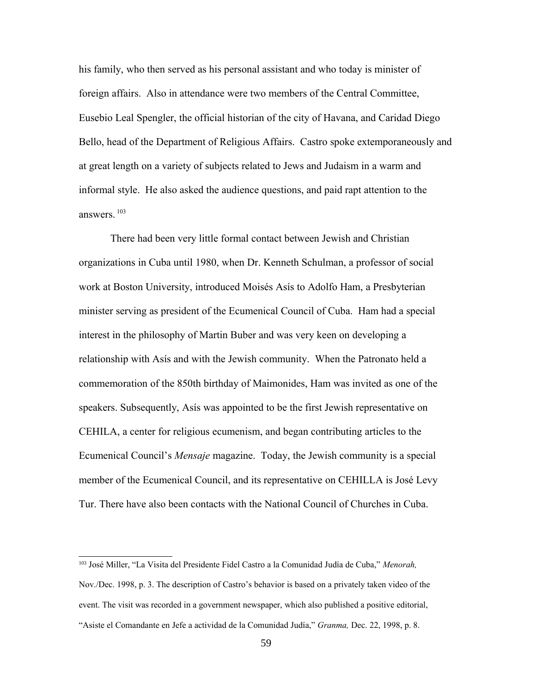his family, who then served as his personal assistant and who today is minister of foreign affairs. Also in attendance were two members of the Central Committee, Eusebio Leal Spengler, the official historian of the city of Havana, and Caridad Diego Bello, head of the Department of Religious Affairs. Castro spoke extemporaneously and at great length on a variety of subjects related to Jews and Judaism in a warm and informal style. He also asked the audience questions, and paid rapt attention to the answers.  $103$ 

There had been very little formal contact between Jewish and Christian organizations in Cuba until 1980, when Dr. Kenneth Schulman, a professor of social work at Boston University, introduced Moisés Asís to Adolfo Ham, a Presbyterian minister serving as president of the Ecumenical Council of Cuba. Ham had a special interest in the philosophy of Martin Buber and was very keen on developing a relationship with Asís and with the Jewish community. When the Patronato held a commemoration of the 850th birthday of Maimonides, Ham was invited as one of the speakers. Subsequently, Asís was appointed to be the first Jewish representative on CEHILA, a center for religious ecumenism, and began contributing articles to the Ecumenical Council's *Mensaje* magazine. Today, the Jewish community is a special member of the Ecumenical Council, and its representative on CEHILLA is José Levy Tur. There have also been contacts with the National Council of Churches in Cuba.

<span id="page-58-0"></span><sup>103</sup> José Miller, "La Visita del Presidente Fidel Castro a la Comunidad Judía de Cuba," *Menorah,*

Nov./Dec. 1998, p. 3. The description of Castro's behavior is based on a privately taken video of the event. The visit was recorded in a government newspaper, which also published a positive editorial, "Asiste el Comandante en Jefe a actividad de la Comunidad Judía," *Granma,* Dec. 22, 1998, p. 8.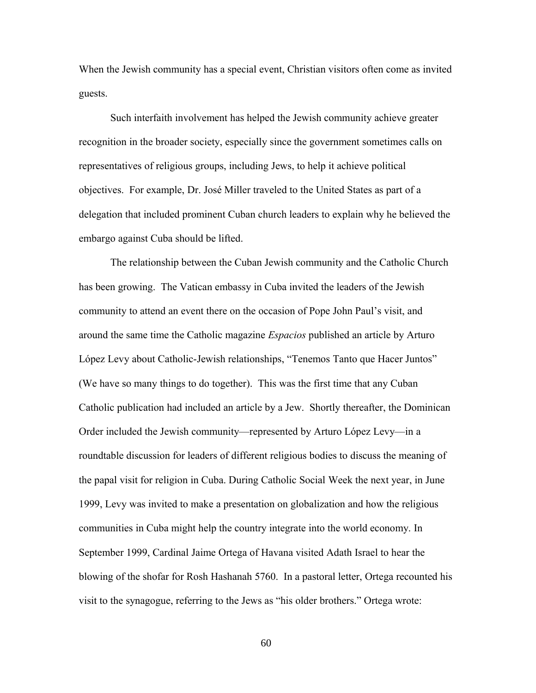When the Jewish community has a special event, Christian visitors often come as invited guests.

Such interfaith involvement has helped the Jewish community achieve greater recognition in the broader society, especially since the government sometimes calls on representatives of religious groups, including Jews, to help it achieve political objectives. For example, Dr. José Miller traveled to the United States as part of a delegation that included prominent Cuban church leaders to explain why he believed the embargo against Cuba should be lifted.

The relationship between the Cuban Jewish community and the Catholic Church has been growing. The Vatican embassy in Cuba invited the leaders of the Jewish community to attend an event there on the occasion of Pope John Paul's visit, and around the same time the Catholic magazine *Espacios* published an article by Arturo López Levy about Catholic-Jewish relationships, "Tenemos Tanto que Hacer Juntos" (We have so many things to do together). This was the first time that any Cuban Catholic publication had included an article by a Jew. Shortly thereafter, the Dominican Order included the Jewish community—represented by Arturo López Levy—in a roundtable discussion for leaders of different religious bodies to discuss the meaning of the papal visit for religion in Cuba. During Catholic Social Week the next year, in June 1999, Levy was invited to make a presentation on globalization and how the religious communities in Cuba might help the country integrate into the world economy. In September 1999, Cardinal Jaime Ortega of Havana visited Adath Israel to hear the blowing of the shofar for Rosh Hashanah 5760. In a pastoral letter, Ortega recounted his visit to the synagogue, referring to the Jews as "his older brothers." Ortega wrote:

60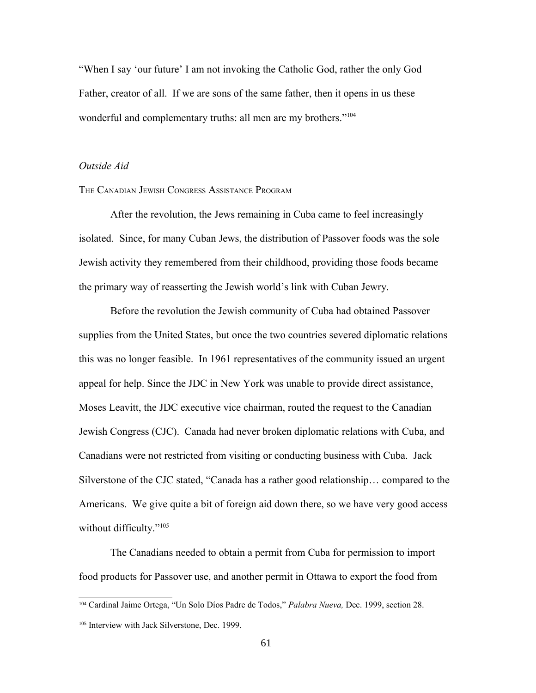"When I say 'our future' I am not invoking the Catholic God, rather the only God— Father, creator of all. If we are sons of the same father, then it opens in us these wonderful and complementary truths: all men are my brothers."<sup>[104](#page-60-0)</sup>

# *Outside Aid*

### THE CANADIAN JEWISH CONGRESS ASSISTANCE PROGRAM

After the revolution, the Jews remaining in Cuba came to feel increasingly isolated. Since, for many Cuban Jews, the distribution of Passover foods was the sole Jewish activity they remembered from their childhood, providing those foods became the primary way of reasserting the Jewish world's link with Cuban Jewry.

Before the revolution the Jewish community of Cuba had obtained Passover supplies from the United States, but once the two countries severed diplomatic relations this was no longer feasible. In 1961 representatives of the community issued an urgent appeal for help. Since the JDC in New York was unable to provide direct assistance, Moses Leavitt, the JDC executive vice chairman, routed the request to the Canadian Jewish Congress (CJC). Canada had never broken diplomatic relations with Cuba, and Canadians were not restricted from visiting or conducting business with Cuba. Jack Silverstone of the CJC stated, "Canada has a rather good relationship… compared to the Americans. We give quite a bit of foreign aid down there, so we have very good access without difficulty."<sup>[105](#page-60-1)</sup>

The Canadians needed to obtain a permit from Cuba for permission to import food products for Passover use, and another permit in Ottawa to export the food from

<span id="page-60-0"></span><sup>104</sup> Cardinal Jaime Ortega, "Un Solo Díos Padre de Todos," *Palabra Nueva,* Dec. 1999, section 28.

<span id="page-60-1"></span><sup>105</sup> Interview with Jack Silverstone, Dec. 1999.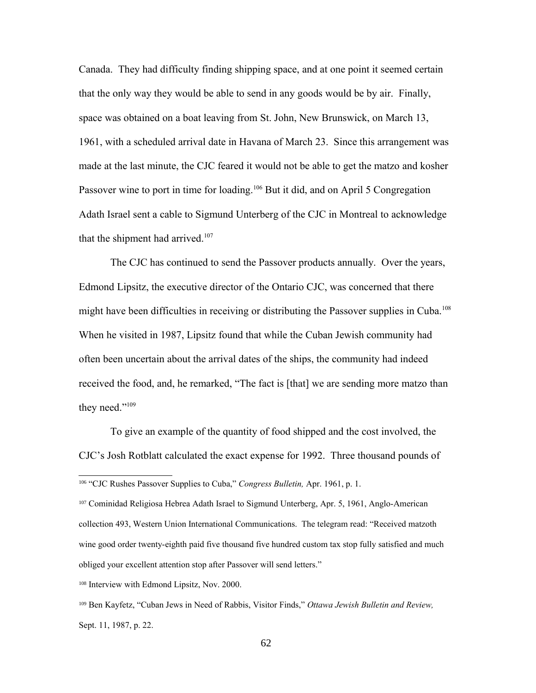Canada. They had difficulty finding shipping space, and at one point it seemed certain that the only way they would be able to send in any goods would be by air. Finally, space was obtained on a boat leaving from St. John, New Brunswick, on March 13, 1961, with a scheduled arrival date in Havana of March 23. Since this arrangement was made at the last minute, the CJC feared it would not be able to get the matzo and kosher Passover wine to port in time for loading.<sup>[106](#page-61-0)</sup> But it did, and on April 5 Congregation Adath Israel sent a cable to Sigmund Unterberg of the CJC in Montreal to acknowledge that the shipment had arrived.<sup>[107](#page-61-1)</sup>

The CJC has continued to send the Passover products annually. Over the years, Edmond Lipsitz, the executive director of the Ontario CJC, was concerned that there might have been difficulties in receiving or distributing the Passover supplies in Cuba.<sup>[108](#page-61-2)</sup> When he visited in 1987, Lipsitz found that while the Cuban Jewish community had often been uncertain about the arrival dates of the ships, the community had indeed received the food, and, he remarked, "The fact is [that] we are sending more matzo than they need."<sup>[109](#page-61-3)</sup>

To give an example of the quantity of food shipped and the cost involved, the CJC's Josh Rotblatt calculated the exact expense for 1992. Three thousand pounds of

<span id="page-61-1"></span><sup>107</sup> Cominidad Religiosa Hebrea Adath Israel to Sigmund Unterberg, Apr. 5, 1961, Anglo-American collection 493, Western Union International Communications. The telegram read: "Received matzoth wine good order twenty-eighth paid five thousand five hundred custom tax stop fully satisfied and much obliged your excellent attention stop after Passover will send letters."

<span id="page-61-2"></span><sup>108</sup> Interview with Edmond Lipsitz, Nov. 2000.

<span id="page-61-3"></span><sup>109</sup> Ben Kayfetz, "Cuban Jews in Need of Rabbis, Visitor Finds," *Ottawa Jewish Bulletin and Review,* Sept. 11, 1987, p. 22.

<span id="page-61-0"></span><sup>106</sup> "CJC Rushes Passover Supplies to Cuba," *Congress Bulletin,* Apr. 1961, p. 1.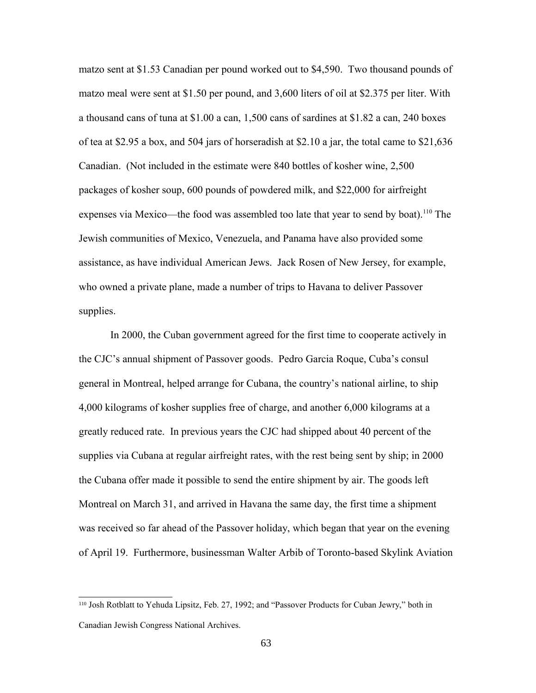matzo sent at \$1.53 Canadian per pound worked out to \$4,590. Two thousand pounds of matzo meal were sent at \$1.50 per pound, and 3,600 liters of oil at \$2.375 per liter. With a thousand cans of tuna at \$1.00 a can, 1,500 cans of sardines at \$1.82 a can, 240 boxes of tea at \$2.95 a box, and 504 jars of horseradish at \$2.10 a jar, the total came to \$21,636 Canadian. (Not included in the estimate were 840 bottles of kosher wine, 2,500 packages of kosher soup, 600 pounds of powdered milk, and \$22,000 for airfreight expenses via Mexico—the food was assembled too late that year to send by boat).<sup>[110](#page-62-0)</sup> The Jewish communities of Mexico, Venezuela, and Panama have also provided some assistance, as have individual American Jews. Jack Rosen of New Jersey, for example, who owned a private plane, made a number of trips to Havana to deliver Passover supplies.

In 2000, the Cuban government agreed for the first time to cooperate actively in the CJC's annual shipment of Passover goods. Pedro Garcia Roque, Cuba's consul general in Montreal, helped arrange for Cubana, the country's national airline, to ship 4,000 kilograms of kosher supplies free of charge, and another 6,000 kilograms at a greatly reduced rate. In previous years the CJC had shipped about 40 percent of the supplies via Cubana at regular airfreight rates, with the rest being sent by ship; in 2000 the Cubana offer made it possible to send the entire shipment by air. The goods left Montreal on March 31, and arrived in Havana the same day, the first time a shipment was received so far ahead of the Passover holiday, which began that year on the evening of April 19. Furthermore, businessman Walter Arbib of Toronto-based Skylink Aviation

<span id="page-62-0"></span><sup>110</sup> Josh Rotblatt to Yehuda Lipsitz, Feb. 27, 1992; and "Passover Products for Cuban Jewry," both in Canadian Jewish Congress National Archives.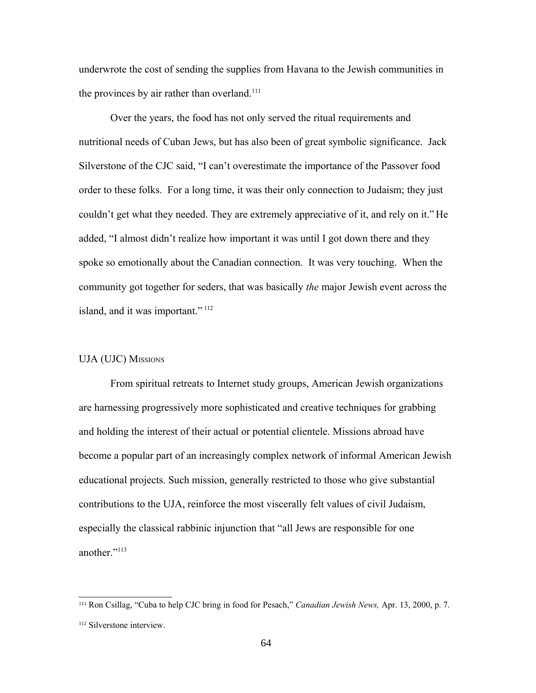underwrote the cost of sending the supplies from Havana to the Jewish communities in the provinces by air rather than overland.<sup>[111](#page-63-0)</sup>

Over the years, the food has not only served the ritual requirements and nutritional needs of Cuban Jews, but has also been of great symbolic significance. Jack Silverstone of the CJC said, "I can't overestimate the importance of the Passover food order to these folks. For a long time, it was their only connection to Judaism; they just couldn't get what they needed. They are extremely appreciative of it, and rely on it." He added, "I almost didn't realize how important it was until I got down there and they spoke so emotionally about the Canadian connection. It was very touching. When the community got together for seders, that was basically *the* major Jewish event across the island, and it was important."<sup>[112](#page-63-1)</sup>

#### UJA (UJC) MISSIONS

From spiritual retreats to Internet study groups, American Jewish organizations are harnessing progressively more sophisticated and creative techniques for grabbing and holding the interest of their actual or potential clientele. Missions abroad have become a popular part of an increasingly complex network of informal American Jewish educational projects. Such mission, generally restricted to those who give substantial contributions to the UJA, reinforce the most viscerally felt values of civil Judaism, especially the classical rabbinic injunction that "all Jews are responsible for one another<sup>"[113](#page-64-0)</sup>

<span id="page-63-0"></span><sup>111</sup> Ron Csillag, "Cuba to help CJC bring in food for Pesach," *Canadian Jewish News,* Apr. 13, 2000, p. 7.

<span id="page-63-1"></span><sup>112</sup> Silverstone interview.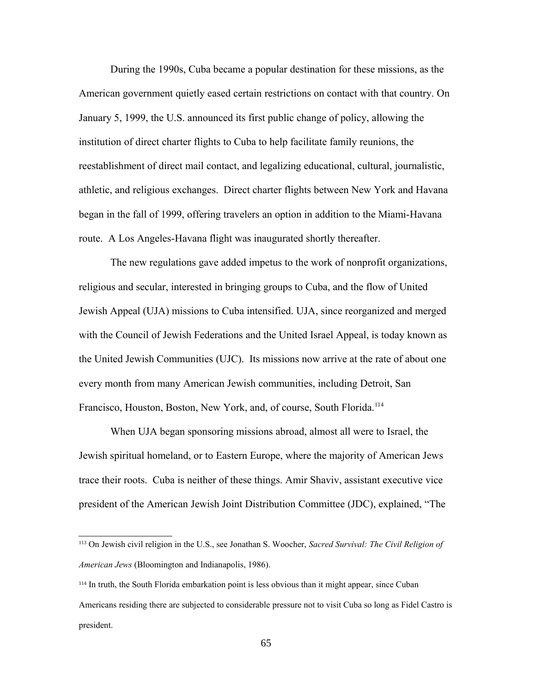During the 1990s, Cuba became a popular destination for these missions, as the American government quietly eased certain restrictions on contact with that country. On January 5, 1999, the U.S. announced its first public change of policy, allowing the institution of direct charter flights to Cuba to help facilitate family reunions, the reestablishment of direct mail contact, and legalizing educational, cultural, journalistic, athletic, and religious exchanges. Direct charter flights between New York and Havana began in the fall of 1999, offering travelers an option in addition to the Miami-Havana route. A Los Angeles-Havana flight was inaugurated shortly thereafter.

The new regulations gave added impetus to the work of nonprofit organizations, religious and secular, interested in bringing groups to Cuba, and the flow of United Jewish Appeal (UJA) missions to Cuba intensified. UJA, since reorganized and merged with the Council of Jewish Federations and the United Israel Appeal, is today known as the United Jewish Communities (UJC). Its missions now arrive at the rate of about one every month from many American Jewish communities, including Detroit, San Francisco, Houston, Boston, New York, and, of course, South Florida.<sup>[114](#page-64-1)</sup>

When UJA began sponsoring missions abroad, almost all were to Israel, the Jewish spiritual homeland, or to Eastern Europe, where the majority of American Jews trace their roots. Cuba is neither of these things. Amir Shaviv, assistant executive vice president of the American Jewish Joint Distribution Committee (JDC), explained, "The

<span id="page-64-0"></span><sup>113</sup> On Jewish civil religion in the U.S., see Jonathan S. Woocher, *Sacred Survival: The Civil Religion of American Jews* (Bloomington and Indianapolis, 1986).

<span id="page-64-1"></span><sup>114</sup> In truth, the South Florida embarkation point is less obvious than it might appear, since Cuban Americans residing there are subjected to considerable pressure not to visit Cuba so long as Fidel Castro is president.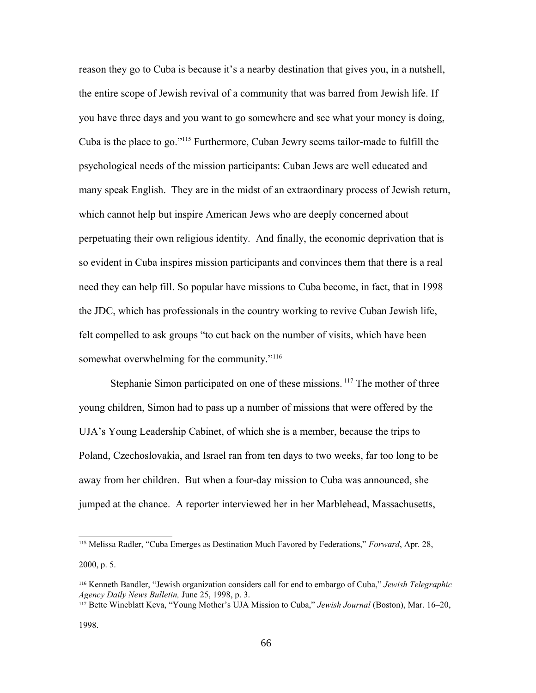reason they go to Cuba is because it's a nearby destination that gives you, in a nutshell, the entire scope of Jewish revival of a community that was barred from Jewish life. If you have three days and you want to go somewhere and see what your money is doing, Cuba is the place to go."[115](#page-65-0) Furthermore, Cuban Jewry seems tailor-made to fulfill the psychological needs of the mission participants: Cuban Jews are well educated and many speak English. They are in the midst of an extraordinary process of Jewish return, which cannot help but inspire American Jews who are deeply concerned about perpetuating their own religious identity. And finally, the economic deprivation that is so evident in Cuba inspires mission participants and convinces them that there is a real need they can help fill. So popular have missions to Cuba become, in fact, that in 1998 the JDC, which has professionals in the country working to revive Cuban Jewish life, felt compelled to ask groups "to cut back on the number of visits, which have been somewhat overwhelming for the community."<sup>[116](#page-65-1)</sup>

Stephanie Simon participated on one of these missions.<sup>[117](#page-65-2)</sup> The mother of three young children, Simon had to pass up a number of missions that were offered by the UJA's Young Leadership Cabinet, of which she is a member, because the trips to Poland, Czechoslovakia, and Israel ran from ten days to two weeks, far too long to be away from her children. But when a four-day mission to Cuba was announced, she jumped at the chance. A reporter interviewed her in her Marblehead, Massachusetts,

<span id="page-65-0"></span><sup>115</sup> Melissa Radler, "Cuba Emerges as Destination Much Favored by Federations," *Forward*, Apr. 28, 2000, p. 5.

<span id="page-65-1"></span><sup>116</sup> Kenneth Bandler, "Jewish organization considers call for end to embargo of Cuba," *Jewish Telegraphic Agency Daily News Bulletin,* June 25, 1998, p. 3.

<span id="page-65-2"></span><sup>117</sup> Bette Wineblatt Keva, "Young Mother's UJA Mission to Cuba," *Jewish Journal* (Boston), Mar. 16–20,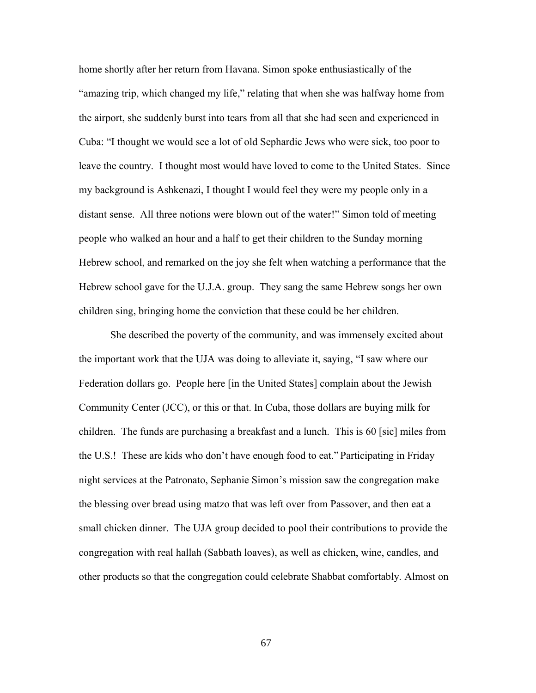home shortly after her return from Havana. Simon spoke enthusiastically of the "amazing trip, which changed my life," relating that when she was halfway home from the airport, she suddenly burst into tears from all that she had seen and experienced in Cuba: "I thought we would see a lot of old Sephardic Jews who were sick, too poor to leave the country. I thought most would have loved to come to the United States. Since my background is Ashkenazi, I thought I would feel they were my people only in a distant sense. All three notions were blown out of the water!" Simon told of meeting people who walked an hour and a half to get their children to the Sunday morning Hebrew school, and remarked on the joy she felt when watching a performance that the Hebrew school gave for the U.J.A. group. They sang the same Hebrew songs her own children sing, bringing home the conviction that these could be her children.

She described the poverty of the community, and was immensely excited about the important work that the UJA was doing to alleviate it, saying, "I saw where our Federation dollars go. People here [in the United States] complain about the Jewish Community Center (JCC), or this or that. In Cuba, those dollars are buying milk for children. The funds are purchasing a breakfast and a lunch. This is 60 [sic] miles from the U.S.! These are kids who don't have enough food to eat." Participating in Friday night services at the Patronato, Sephanie Simon's mission saw the congregation make the blessing over bread using matzo that was left over from Passover, and then eat a small chicken dinner. The UJA group decided to pool their contributions to provide the congregation with real hallah (Sabbath loaves), as well as chicken, wine, candles, and other products so that the congregation could celebrate Shabbat comfortably. Almost on

67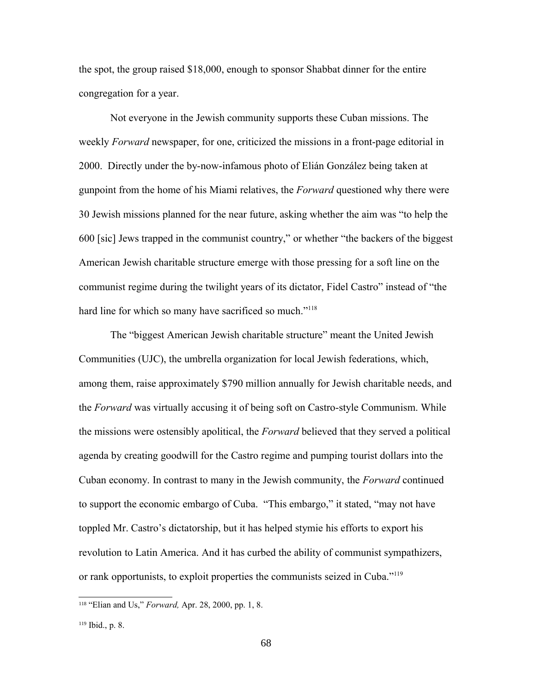the spot, the group raised \$18,000, enough to sponsor Shabbat dinner for the entire congregation for a year.

Not everyone in the Jewish community supports these Cuban missions. The weekly *Forward* newspaper, for one, criticized the missions in a front-page editorial in 2000. Directly under the by-now-infamous photo of Elián González being taken at gunpoint from the home of his Miami relatives, the *Forward* questioned why there were 30 Jewish missions planned for the near future, asking whether the aim was "to help the 600 [sic] Jews trapped in the communist country," or whether "the backers of the biggest American Jewish charitable structure emerge with those pressing for a soft line on the communist regime during the twilight years of its dictator, Fidel Castro" instead of "the hard line for which so many have sacrificed so much."<sup>[118](#page-67-0)</sup>

The "biggest American Jewish charitable structure" meant the United Jewish Communities (UJC), the umbrella organization for local Jewish federations, which, among them, raise approximately \$790 million annually for Jewish charitable needs, and the *Forward* was virtually accusing it of being soft on Castro-style Communism. While the missions were ostensibly apolitical, the *Forward* believed that they served a political agenda by creating goodwill for the Castro regime and pumping tourist dollars into the Cuban economy. In contrast to many in the Jewish community, the *Forward* continued to support the economic embargo of Cuba. "This embargo," it stated, "may not have toppled Mr. Castro's dictatorship, but it has helped stymie his efforts to export his revolution to Latin America. And it has curbed the ability of communist sympathizers, or rank opportunists, to exploit properties the communists seized in Cuba."[119](#page-67-1)

<span id="page-67-0"></span><sup>118</sup> "Elian and Us," *Forward,* Apr. 28, 2000, pp. 1, 8.

<span id="page-67-1"></span><sup>119</sup> Ibid., p. 8.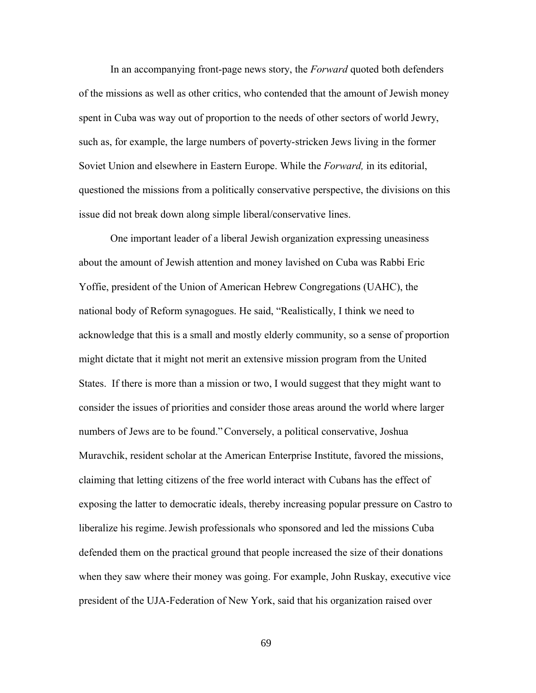In an accompanying front-page news story, the *Forward* quoted both defenders of the missions as well as other critics, who contended that the amount of Jewish money spent in Cuba was way out of proportion to the needs of other sectors of world Jewry, such as, for example, the large numbers of poverty-stricken Jews living in the former Soviet Union and elsewhere in Eastern Europe. While the *Forward,* in its editorial, questioned the missions from a politically conservative perspective, the divisions on this issue did not break down along simple liberal/conservative lines.

One important leader of a liberal Jewish organization expressing uneasiness about the amount of Jewish attention and money lavished on Cuba was Rabbi Eric Yoffie, president of the Union of American Hebrew Congregations (UAHC), the national body of Reform synagogues. He said, "Realistically, I think we need to acknowledge that this is a small and mostly elderly community, so a sense of proportion might dictate that it might not merit an extensive mission program from the United States. If there is more than a mission or two, I would suggest that they might want to consider the issues of priorities and consider those areas around the world where larger numbers of Jews are to be found."Conversely, a political conservative, Joshua Muravchik, resident scholar at the American Enterprise Institute, favored the missions, claiming that letting citizens of the free world interact with Cubans has the effect of exposing the latter to democratic ideals, thereby increasing popular pressure on Castro to liberalize his regime.Jewish professionals who sponsored and led the missions Cuba defended them on the practical ground that people increased the size of their donations when they saw where their money was going. For example, John Ruskay, executive vice president of the UJA-Federation of New York, said that his organization raised over

69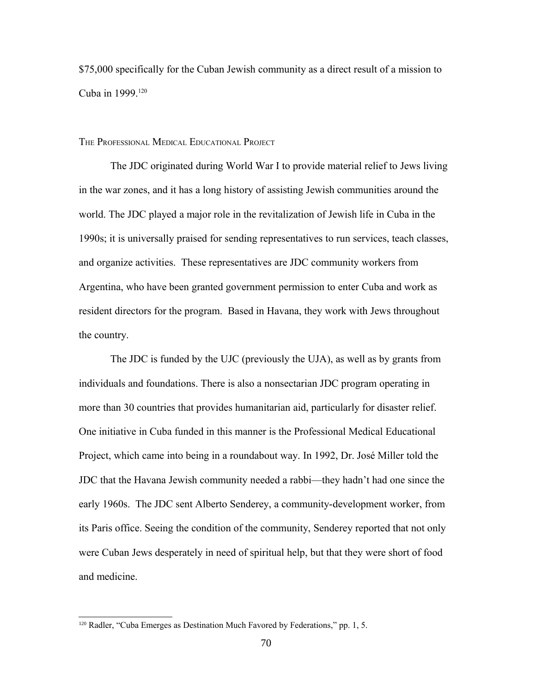\$75,000 specifically for the Cuban Jewish community as a direct result of a mission to Cuba in 1999.<sup>[120](#page-69-0)</sup>

THE PROFESSIONAL MEDICAL EDUCATIONAL PROJECT

The JDC originated during World War I to provide material relief to Jews living in the war zones, and it has a long history of assisting Jewish communities around the world. The JDC played a major role in the revitalization of Jewish life in Cuba in the 1990s; it is universally praised for sending representatives to run services, teach classes, and organize activities. These representatives are JDC community workers from Argentina, who have been granted government permission to enter Cuba and work as resident directors for the program. Based in Havana, they work with Jews throughout the country.

The JDC is funded by the UJC (previously the UJA), as well as by grants from individuals and foundations. There is also a nonsectarian JDC program operating in more than 30 countries that provides humanitarian aid, particularly for disaster relief. One initiative in Cuba funded in this manner is the Professional Medical Educational Project, which came into being in a roundabout way. In 1992, Dr. José Miller told the JDC that the Havana Jewish community needed a rabbi—they hadn't had one since the early 1960s. The JDC sent Alberto Senderey, a community-development worker, from its Paris office. Seeing the condition of the community, Senderey reported that not only were Cuban Jews desperately in need of spiritual help, but that they were short of food and medicine.

<span id="page-69-0"></span><sup>&</sup>lt;sup>120</sup> Radler, "Cuba Emerges as Destination Much Favored by Federations," pp. 1, 5.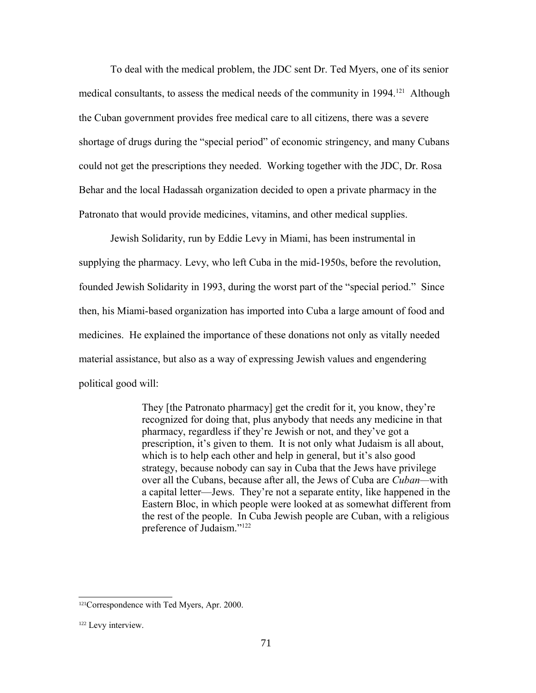To deal with the medical problem, the JDC sent Dr. Ted Myers, one of its senior medical consultants, to assess the medical needs of the community in 1994.<sup>[121](#page-70-0)</sup> Although the Cuban government provides free medical care to all citizens, there was a severe shortage of drugs during the "special period" of economic stringency, and many Cubans could not get the prescriptions they needed. Working together with the JDC, Dr. Rosa Behar and the local Hadassah organization decided to open a private pharmacy in the Patronato that would provide medicines, vitamins, and other medical supplies.

Jewish Solidarity, run by Eddie Levy in Miami, has been instrumental in supplying the pharmacy. Levy, who left Cuba in the mid-1950s, before the revolution, founded Jewish Solidarity in 1993, during the worst part of the "special period." Since then, his Miami-based organization has imported into Cuba a large amount of food and medicines. He explained the importance of these donations not only as vitally needed material assistance, but also as a way of expressing Jewish values and engendering political good will:

> They [the Patronato pharmacy] get the credit for it, you know, they're recognized for doing that, plus anybody that needs any medicine in that pharmacy, regardless if they're Jewish or not, and they've got a prescription, it's given to them. It is not only what Judaism is all about, which is to help each other and help in general, but it's also good strategy, because nobody can say in Cuba that the Jews have privilege over all the Cubans, because after all, the Jews of Cuba are *Cuban—*with a capital letter—Jews. They're not a separate entity, like happened in the Eastern Bloc, in which people were looked at as somewhat different from the rest of the people. In Cuba Jewish people are Cuban, with a religious preference of Judaism."[122](#page-70-1)

<span id="page-70-0"></span><sup>121</sup>Correspondence with Ted Myers, Apr. 2000.

<span id="page-70-1"></span><sup>122</sup> Levy interview.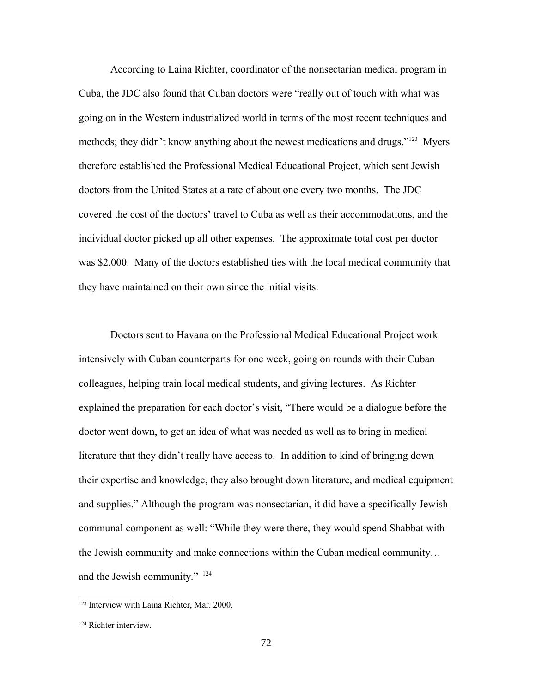According to Laina Richter, coordinator of the nonsectarian medical program in Cuba, the JDC also found that Cuban doctors were "really out of touch with what was going on in the Western industrialized world in terms of the most recent techniques and methods; they didn't know anything about the newest medications and drugs."<sup>[123](#page-71-0)</sup> Myers therefore established the Professional Medical Educational Project, which sent Jewish doctors from the United States at a rate of about one every two months. The JDC covered the cost of the doctors' travel to Cuba as well as their accommodations, and the individual doctor picked up all other expenses. The approximate total cost per doctor was \$2,000. Many of the doctors established ties with the local medical community that they have maintained on their own since the initial visits.

Doctors sent to Havana on the Professional Medical Educational Project work intensively with Cuban counterparts for one week, going on rounds with their Cuban colleagues, helping train local medical students, and giving lectures. As Richter explained the preparation for each doctor's visit, "There would be a dialogue before the doctor went down, to get an idea of what was needed as well as to bring in medical literature that they didn't really have access to. In addition to kind of bringing down their expertise and knowledge, they also brought down literature, and medical equipment and supplies." Although the program was nonsectarian, it did have a specifically Jewish communal component as well: "While they were there, they would spend Shabbat with the Jewish community and make connections within the Cuban medical community… and the Jewish community." [124](#page-71-1)

<span id="page-71-0"></span><sup>123</sup> Interview with Laina Richter, Mar. 2000.

<span id="page-71-1"></span><sup>124</sup> Richter interview.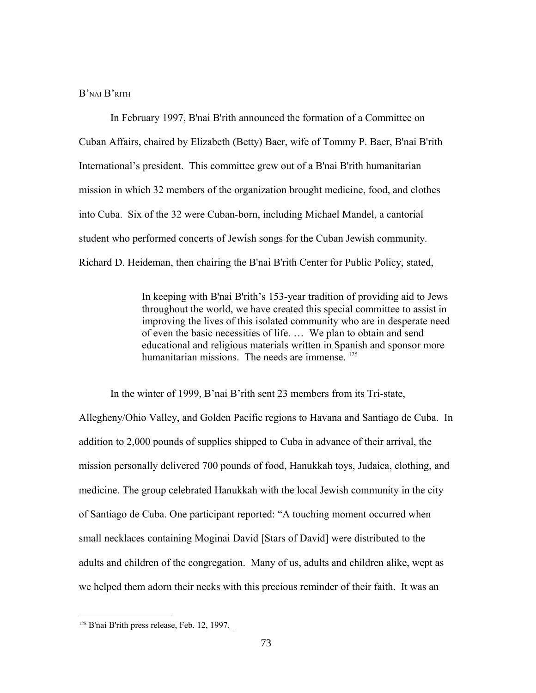## B'NAI B'RITH

In February 1997, B'nai B'rith announced the formation of a Committee on Cuban Affairs, chaired by Elizabeth (Betty) Baer, wife of Tommy P. Baer, B'nai B'rith International's president. This committee grew out of a B'nai B'rith humanitarian mission in which 32 members of the organization brought medicine, food, and clothes into Cuba. Six of the 32 were Cuban-born, including Michael Mandel, a cantorial student who performed concerts of Jewish songs for the Cuban Jewish community. Richard D. Heideman, then chairing the B'nai B'rith Center for Public Policy, stated,

> In keeping with B'nai B'rith's 153-year tradition of providing aid to Jews throughout the world, we have created this special committee to assist in improving the lives of this isolated community who are in desperate need of even the basic necessities of life. … We plan to obtain and send educational and religious materials written in Spanish and sponsor more humanitarian missions. The needs are immense. <sup>[125](#page-72-0)</sup>

In the winter of 1999, B'nai B'rith sent 23 members from its Tri-state,

Allegheny/Ohio Valley, and Golden Pacific regions to Havana and Santiago de Cuba. In addition to 2,000 pounds of supplies shipped to Cuba in advance of their arrival, the mission personally delivered 700 pounds of food, Hanukkah toys, Judaica, clothing, and medicine. The group celebrated Hanukkah with the local Jewish community in the city of Santiago de Cuba. One participant reported: "A touching moment occurred when small necklaces containing Moginai David [Stars of David] were distributed to the adults and children of the congregation. Many of us, adults and children alike, wept as we helped them adorn their necks with this precious reminder of their faith. It was an

<span id="page-72-0"></span><sup>&</sup>lt;sup>125</sup> B'nai B'rith press release, Feb. 12, 1997.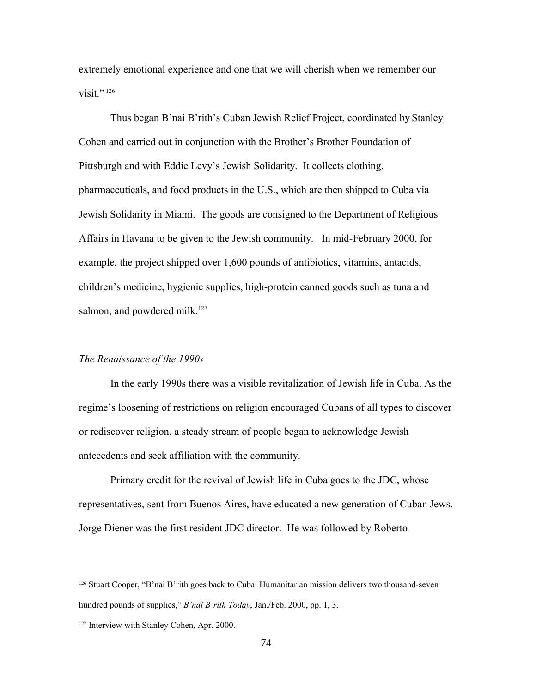extremely emotional experience and one that we will cherish when we remember our visit." $^{126}$  $^{126}$  $^{126}$ 

Thus began B'nai B'rith's Cuban Jewish Relief Project, coordinated by Stanley Cohen and carried out in conjunction with the Brother's Brother Foundation of Pittsburgh and with Eddie Levy's Jewish Solidarity. It collects clothing, pharmaceuticals, and food products in the U.S., which are then shipped to Cuba via Jewish Solidarity in Miami. The goods are consigned to the Department of Religious Affairs in Havana to be given to the Jewish community. In mid-February 2000, for example, the project shipped over 1,600 pounds of antibiotics, vitamins, antacids, children's medicine, hygienic supplies, high-protein canned goods such as tuna and salmon, and powdered milk.<sup>[127](#page-73-1)</sup>

#### *The Renaissance of the 1990s*

In the early 1990s there was a visible revitalization of Jewish life in Cuba. As the regime's loosening of restrictions on religion encouraged Cubans of all types to discover or rediscover religion, a steady stream of people began to acknowledge Jewish antecedents and seek affiliation with the community.

Primary credit for the revival of Jewish life in Cuba goes to the JDC, whose representatives, sent from Buenos Aires, have educated a new generation of Cuban Jews. Jorge Diener was the first resident JDC director. He was followed by Roberto

<span id="page-73-0"></span><sup>126</sup> Stuart Cooper, "B'nai B'rith goes back to Cuba: Humanitarian mission delivers two thousand-seven hundred pounds of supplies," *B'nai B'rith Today*, Jan./Feb. 2000, pp. 1, 3.

<span id="page-73-1"></span><sup>&</sup>lt;sup>127</sup> Interview with Stanley Cohen, Apr. 2000.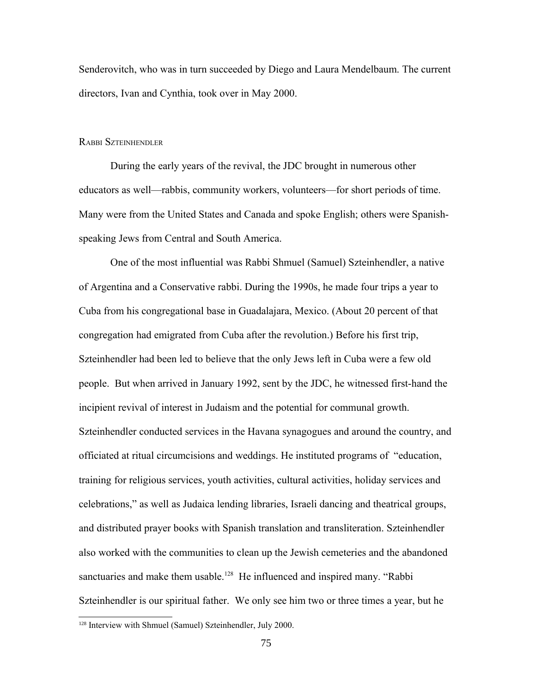Senderovitch, who was in turn succeeded by Diego and Laura Mendelbaum. The current directors, Ivan and Cynthia, took over in May 2000.

#### RABBI SZTEINHENDLER

During the early years of the revival, the JDC brought in numerous other educators as well—rabbis, community workers, volunteers—for short periods of time. Many were from the United States and Canada and spoke English; others were Spanishspeaking Jews from Central and South America.

One of the most influential was Rabbi Shmuel (Samuel) Szteinhendler, a native of Argentina and a Conservative rabbi. During the 1990s, he made four trips a year to Cuba from his congregational base in Guadalajara, Mexico. (About 20 percent of that congregation had emigrated from Cuba after the revolution.) Before his first trip, Szteinhendler had been led to believe that the only Jews left in Cuba were a few old people. But when arrived in January 1992, sent by the JDC, he witnessed first-hand the incipient revival of interest in Judaism and the potential for communal growth. Szteinhendler conducted services in the Havana synagogues and around the country, and officiated at ritual circumcisions and weddings. He instituted programs of "education, training for religious services, youth activities, cultural activities, holiday services and celebrations," as well as Judaica lending libraries, Israeli dancing and theatrical groups, and distributed prayer books with Spanish translation and transliteration. Szteinhendler also worked with the communities to clean up the Jewish cemeteries and the abandoned sanctuaries and make them usable.<sup>[128](#page-74-0)</sup> He influenced and inspired many. "Rabbi Szteinhendler is our spiritual father. We only see him two or three times a year, but he

<span id="page-74-0"></span><sup>128</sup> Interview with Shmuel (Samuel) Szteinhendler, July 2000.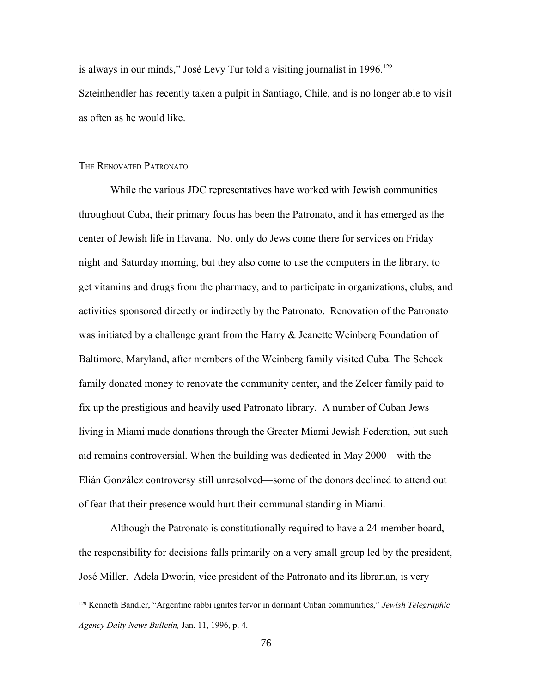is always in our minds," José Levy Tur told a visiting journalist in 1996.<sup>[129](#page-75-0)</sup> Szteinhendler has recently taken a pulpit in Santiago, Chile, and is no longer able to visit as often as he would like.

### THE RENOVATED PATRONATO

While the various JDC representatives have worked with Jewish communities throughout Cuba, their primary focus has been the Patronato, and it has emerged as the center of Jewish life in Havana. Not only do Jews come there for services on Friday night and Saturday morning, but they also come to use the computers in the library, to get vitamins and drugs from the pharmacy, and to participate in organizations, clubs, and activities sponsored directly or indirectly by the Patronato. Renovation of the Patronato was initiated by a challenge grant from the Harry & Jeanette Weinberg Foundation of Baltimore, Maryland, after members of the Weinberg family visited Cuba. The Scheck family donated money to renovate the community center, and the Zelcer family paid to fix up the prestigious and heavily used Patronato library. A number of Cuban Jews living in Miami made donations through the Greater Miami Jewish Federation, but such aid remains controversial. When the building was dedicated in May 2000—with the Elián González controversy still unresolved—some of the donors declined to attend out of fear that their presence would hurt their communal standing in Miami.

Although the Patronato is constitutionally required to have a 24-member board, the responsibility for decisions falls primarily on a very small group led by the president, José Miller. Adela Dworin, vice president of the Patronato and its librarian, is very

<span id="page-75-0"></span><sup>129</sup> Kenneth Bandler, "Argentine rabbi ignites fervor in dormant Cuban communities," *Jewish Telegraphic Agency Daily News Bulletin,* Jan. 11, 1996, p. 4.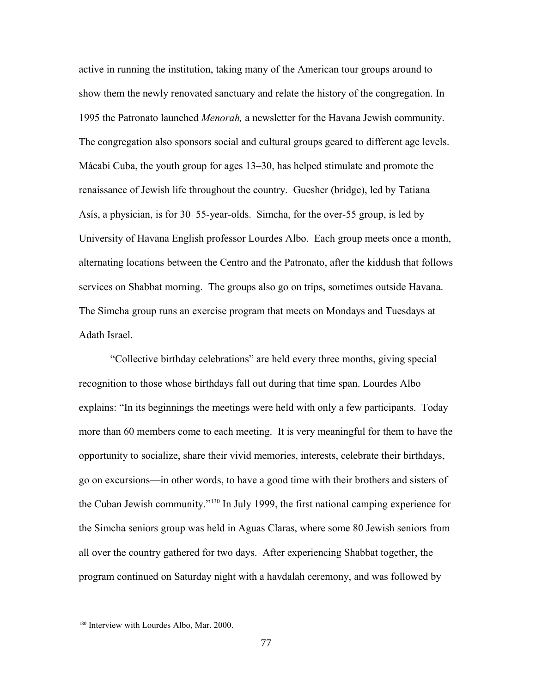active in running the institution, taking many of the American tour groups around to show them the newly renovated sanctuary and relate the history of the congregation. In 1995 the Patronato launched *Menorah,* a newsletter for the Havana Jewish community. The congregation also sponsors social and cultural groups geared to different age levels. Mácabi Cuba, the youth group for ages 13–30, has helped stimulate and promote the renaissance of Jewish life throughout the country.Guesher (bridge), led by Tatiana Asís, a physician, is for 30–55-year-olds. Simcha, for the over-55 group, is led by University of Havana English professor Lourdes Albo. Each group meets once a month, alternating locations between the Centro and the Patronato, after the kiddush that follows services on Shabbat morning. The groups also go on trips, sometimes outside Havana. The Simcha group runs an exercise program that meets on Mondays and Tuesdays at Adath Israel.

"Collective birthday celebrations" are held every three months, giving special recognition to those whose birthdays fall out during that time span. Lourdes Albo explains: "In its beginnings the meetings were held with only a few participants. Today more than 60 members come to each meeting. It is very meaningful for them to have the opportunity to socialize, share their vivid memories, interests, celebrate their birthdays, go on excursions—in other words, to have a good time with their brothers and sisters of the Cuban Jewish community."[130](#page-76-0) In July 1999, the first national camping experience for the Simcha seniors group was held in Aguas Claras, where some 80 Jewish seniors from all over the country gathered for two days. After experiencing Shabbat together, the program continued on Saturday night with a havdalah ceremony, and was followed by

<span id="page-76-0"></span><sup>130</sup> Interview with Lourdes Albo, Mar. 2000.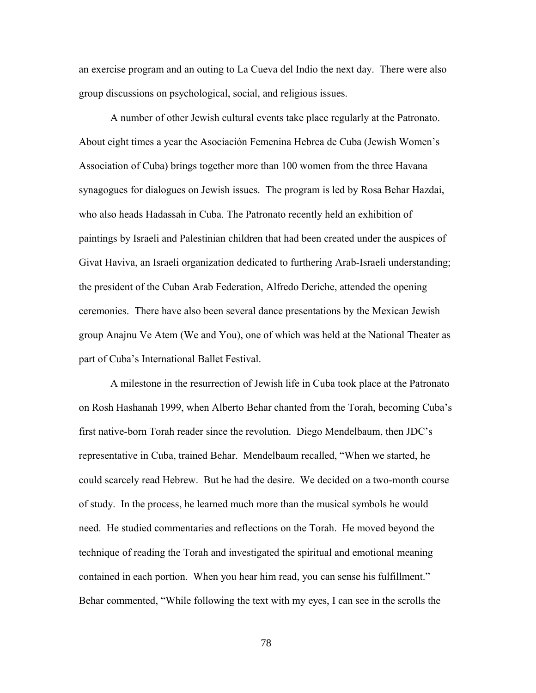an exercise program and an outing to La Cueva del Indio the next day. There were also group discussions on psychological, social, and religious issues.

A number of other Jewish cultural events take place regularly at the Patronato. About eight times a year the Asociación Femenina Hebrea de Cuba (Jewish Women's Association of Cuba) brings together more than 100 women from the three Havana synagogues for dialogues on Jewish issues. The program is led by Rosa Behar Hazdai, who also heads Hadassah in Cuba. The Patronato recently held an exhibition of paintings by Israeli and Palestinian children that had been created under the auspices of Givat Haviva, an Israeli organization dedicated to furthering Arab-Israeli understanding; the president of the Cuban Arab Federation, Alfredo Deriche, attended the opening ceremonies. There have also been several dance presentations by the Mexican Jewish group Anajnu Ve Atem (We and You), one of which was held at the National Theater as part of Cuba's International Ballet Festival.

A milestone in the resurrection of Jewish life in Cuba took place at the Patronato on Rosh Hashanah 1999, when Alberto Behar chanted from the Torah, becoming Cuba's first native-born Torah reader since the revolution. Diego Mendelbaum, then JDC's representative in Cuba, trained Behar. Mendelbaum recalled, "When we started, he could scarcely read Hebrew. But he had the desire. We decided on a two-month course of study. In the process, he learned much more than the musical symbols he would need. He studied commentaries and reflections on the Torah. He moved beyond the technique of reading the Torah and investigated the spiritual and emotional meaning contained in each portion. When you hear him read, you can sense his fulfillment." Behar commented, "While following the text with my eyes, I can see in the scrolls the

78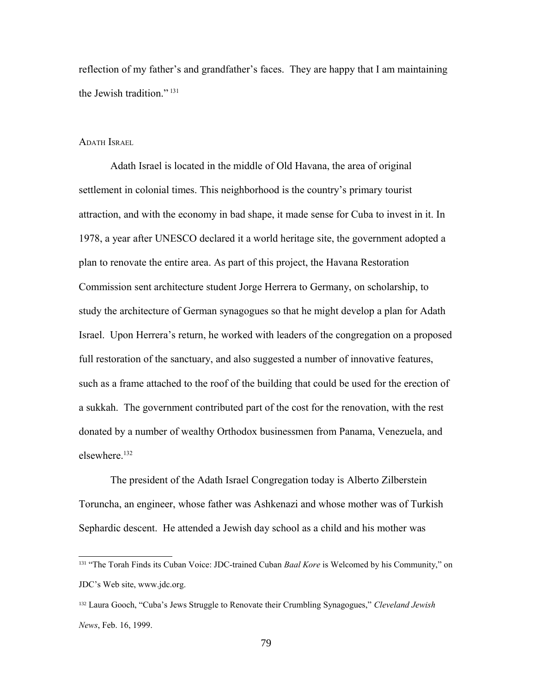reflection of my father's and grandfather's faces. They are happy that I am maintaining the Jewish tradition." [131](#page-78-0)

### ADATH ISRAEL

Adath Israel is located in the middle of Old Havana, the area of original settlement in colonial times. This neighborhood is the country's primary tourist attraction, and with the economy in bad shape, it made sense for Cuba to invest in it. In 1978, a year after UNESCO declared it a world heritage site, the government adopted a plan to renovate the entire area. As part of this project, the Havana Restoration Commission sent architecture student Jorge Herrera to Germany, on scholarship, to study the architecture of German synagogues so that he might develop a plan for Adath Israel. Upon Herrera's return, he worked with leaders of the congregation on a proposed full restoration of the sanctuary, and also suggested a number of innovative features, such as a frame attached to the roof of the building that could be used for the erection of a sukkah. The government contributed part of the cost for the renovation, with the rest donated by a number of wealthy Orthodox businessmen from Panama, Venezuela, and elsewhere.[132](#page-78-1)

The president of the Adath Israel Congregation today is Alberto Zilberstein Toruncha, an engineer, whose father was Ashkenazi and whose mother was of Turkish Sephardic descent. He attended a Jewish day school as a child and his mother was

<span id="page-78-0"></span><sup>131</sup> "The Torah Finds its Cuban Voice: JDC-trained Cuban *Baal Kore* is Welcomed by his Community," on JDC's Web site, www.jdc.org.

<span id="page-78-1"></span><sup>132</sup> Laura Gooch, "Cuba's Jews Struggle to Renovate their Crumbling Synagogues," *Cleveland Jewish News*, Feb. 16, 1999.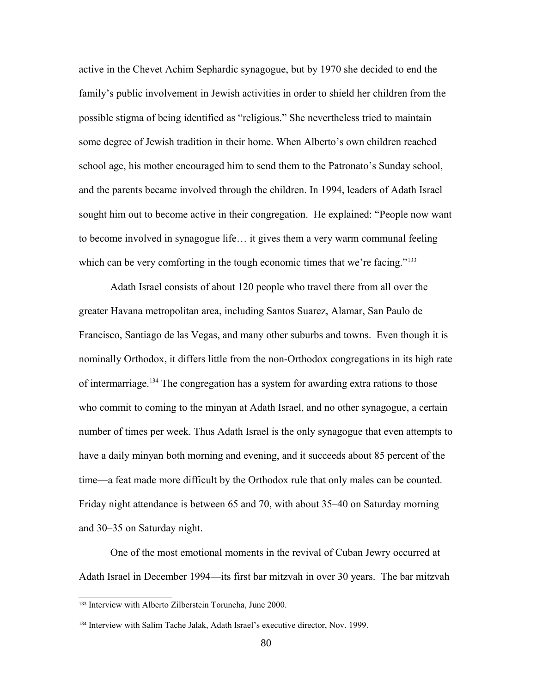active in the Chevet Achim Sephardic synagogue, but by 1970 she decided to end the family's public involvement in Jewish activities in order to shield her children from the possible stigma of being identified as "religious." She nevertheless tried to maintain some degree of Jewish tradition in their home. When Alberto's own children reached school age, his mother encouraged him to send them to the Patronato's Sunday school, and the parents became involved through the children. In 1994, leaders of Adath Israel sought him out to become active in their congregation. He explained: "People now want to become involved in synagogue life… it gives them a very warm communal feeling which can be very comforting in the tough economic times that we're facing."<sup>[133](#page-79-0)</sup>

Adath Israel consists of about 120 people who travel there from all over the greater Havana metropolitan area, including Santos Suarez, Alamar, San Paulo de Francisco, Santiago de las Vegas, and many other suburbs and towns. Even though it is nominally Orthodox, it differs little from the non-Orthodox congregations in its high rate of intermarriage.<sup>[134](#page-79-1)</sup> The congregation has a system for awarding extra rations to those who commit to coming to the minyan at Adath Israel, and no other synagogue, a certain number of times per week. Thus Adath Israel is the only synagogue that even attempts to have a daily minyan both morning and evening, and it succeeds about 85 percent of the time—a feat made more difficult by the Orthodox rule that only males can be counted. Friday night attendance is between 65 and 70, with about 35–40 on Saturday morning and 30–35 on Saturday night.

One of the most emotional moments in the revival of Cuban Jewry occurred at Adath Israel in December 1994—its first bar mitzvah in over 30 years. The bar mitzvah

<span id="page-79-0"></span><sup>133</sup> Interview with Alberto Zilberstein Toruncha, June 2000.

<span id="page-79-1"></span><sup>134</sup> Interview with Salim Tache Jalak, Adath Israel's executive director, Nov. 1999.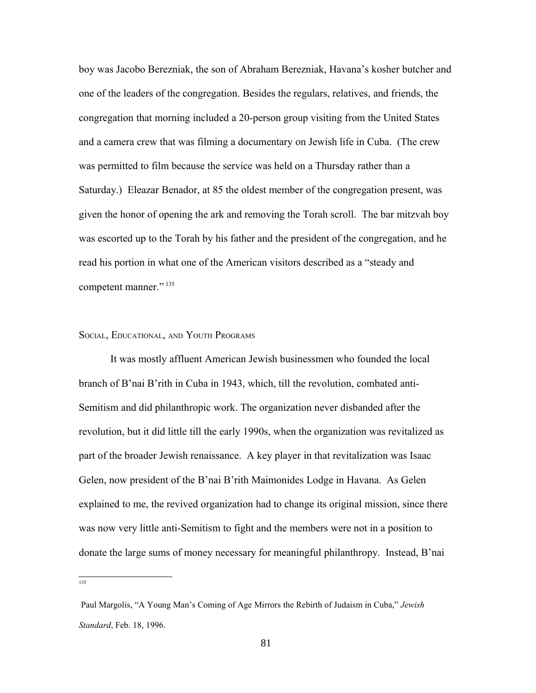boy was Jacobo Berezniak, the son of Abraham Berezniak, Havana's kosher butcher and one of the leaders of the congregation. Besides the regulars, relatives, and friends, the congregation that morning included a 20-person group visiting from the United States and a camera crew that was filming a documentary on Jewish life in Cuba. (The crew was permitted to film because the service was held on a Thursday rather than a Saturday.) Eleazar Benador, at 85 the oldest member of the congregation present, was given the honor of opening the ark and removing the Torah scroll. The bar mitzvah boy was escorted up to the Torah by his father and the president of the congregation, and he read his portion in what one of the American visitors described as a "steady and competent manner." [135](#page-80-0)

#### SOCIAL, EDUCATIONAL, AND YOUTH PROGRAMS

It was mostly affluent American Jewish businessmen who founded the local branch of B'nai B'rith in Cuba in 1943, which, till the revolution, combated anti-Semitism and did philanthropic work. The organization never disbanded after the revolution, but it did little till the early 1990s, when the organization was revitalized as part of the broader Jewish renaissance. A key player in that revitalization was Isaac Gelen, now president of the B'nai B'rith Maimonides Lodge in Havana. As Gelen explained to me, the revived organization had to change its original mission, since there was now very little anti-Semitism to fight and the members were not in a position to donate the large sums of money necessary for meaningful philanthropy. Instead, B'nai

<span id="page-80-0"></span>135

Paul Margolis, "A Young Man's Coming of Age Mirrors the Rebirth of Judaism in Cuba," *Jewish Standard*, Feb. 18, 1996.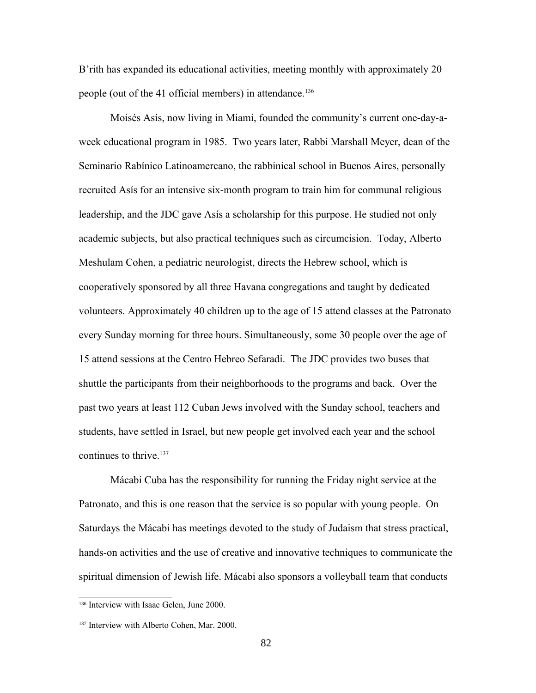B'rith has expanded its educational activities, meeting monthly with approximately 20 people (out of the 41 official members) in attendance.<sup>[136](#page-81-0)</sup>

Moisés Asís, now living in Miami, founded the community's current one-day-aweek educational program in 1985. Two years later, Rabbi Marshall Meyer, dean of the Seminario Rabínico Latinoamercano, the rabbinical school in Buenos Aires, personally recruited Asís for an intensive six-month program to train him for communal religious leadership, and the JDC gave Asís a scholarship for this purpose. He studied not only academic subjects, but also practical techniques such as circumcision. Today, Alberto Meshulam Cohen, a pediatric neurologist, directs the Hebrew school, which is cooperatively sponsored by all three Havana congregations and taught by dedicated volunteers. Approximately 40 children up to the age of 15 attend classes at the Patronato every Sunday morning for three hours. Simultaneously, some 30 people over the age of 15 attend sessions at the Centro Hebreo Sefaradi. The JDC provides two buses that shuttle the participants from their neighborhoods to the programs and back. Over the past two years at least 112 Cuban Jews involved with the Sunday school, teachers and students, have settled in Israel, but new people get involved each year and the school continues to thrive.<sup>[137](#page-81-1)</sup>

Mácabi Cuba has the responsibility for running the Friday night service at the Patronato, and this is one reason that the service is so popular with young people. On Saturdays the Mácabi has meetings devoted to the study of Judaism that stress practical, hands-on activities and the use of creative and innovative techniques to communicate the spiritual dimension of Jewish life. Mácabi also sponsors a volleyball team that conducts

<span id="page-81-0"></span><sup>136</sup> Interview with Isaac Gelen, June 2000.

<span id="page-81-1"></span><sup>&</sup>lt;sup>137</sup> Interview with Alberto Cohen, Mar. 2000.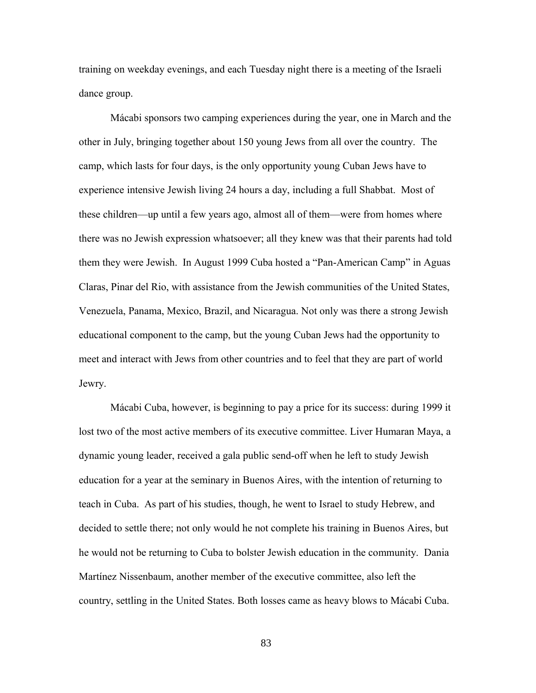training on weekday evenings, and each Tuesday night there is a meeting of the Israeli dance group.

Mácabi sponsors two camping experiences during the year, one in March and the other in July, bringing together about 150 young Jews from all over the country. The camp, which lasts for four days, is the only opportunity young Cuban Jews have to experience intensive Jewish living 24 hours a day, including a full Shabbat. Most of these children—up until a few years ago, almost all of them—were from homes where there was no Jewish expression whatsoever; all they knew was that their parents had told them they were Jewish. In August 1999 Cuba hosted a "Pan-American Camp" in Aguas Claras, Pinar del Rio, with assistance from the Jewish communities of the United States, Venezuela, Panama, Mexico, Brazil, and Nicaragua. Not only was there a strong Jewish educational component to the camp, but the young Cuban Jews had the opportunity to meet and interact with Jews from other countries and to feel that they are part of world Jewry.

Mácabi Cuba, however, is beginning to pay a price for its success: during 1999 it lost two of the most active members of its executive committee. Liver Humaran Maya, a dynamic young leader, received a gala public send-off when he left to study Jewish education for a year at the seminary in Buenos Aires, with the intention of returning to teach in Cuba. As part of his studies, though, he went to Israel to study Hebrew, and decided to settle there; not only would he not complete his training in Buenos Aires, but he would not be returning to Cuba to bolster Jewish education in the community. Dania Martínez Nissenbaum, another member of the executive committee, also left the country, settling in the United States. Both losses came as heavy blows to Mácabi Cuba.

83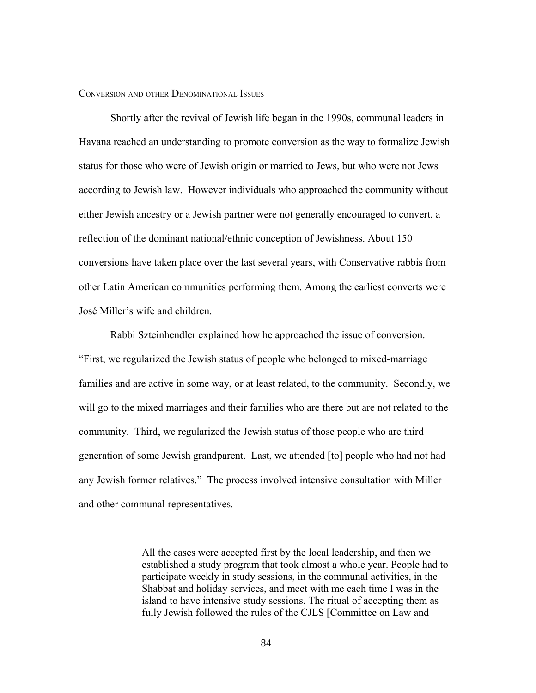### CONVERSION AND OTHER DENOMINATIONAL ISSUES

Shortly after the revival of Jewish life began in the 1990s, communal leaders in Havana reached an understanding to promote conversion as the way to formalize Jewish status for those who were of Jewish origin or married to Jews, but who were not Jews according to Jewish law. However individuals who approached the community without either Jewish ancestry or a Jewish partner were not generally encouraged to convert, a reflection of the dominant national/ethnic conception of Jewishness. About 150 conversions have taken place over the last several years, with Conservative rabbis from other Latin American communities performing them. Among the earliest converts were José Miller's wife and children.

Rabbi Szteinhendler explained how he approached the issue of conversion. "First, we regularized the Jewish status of people who belonged to mixed-marriage families and are active in some way, or at least related, to the community. Secondly, we will go to the mixed marriages and their families who are there but are not related to the community. Third, we regularized the Jewish status of those people who are third generation of some Jewish grandparent. Last, we attended [to] people who had not had any Jewish former relatives." The process involved intensive consultation with Miller and other communal representatives.

> All the cases were accepted first by the local leadership, and then we established a study program that took almost a whole year. People had to participate weekly in study sessions, in the communal activities, in the Shabbat and holiday services, and meet with me each time I was in the island to have intensive study sessions. The ritual of accepting them as fully Jewish followed the rules of the CJLS [Committee on Law and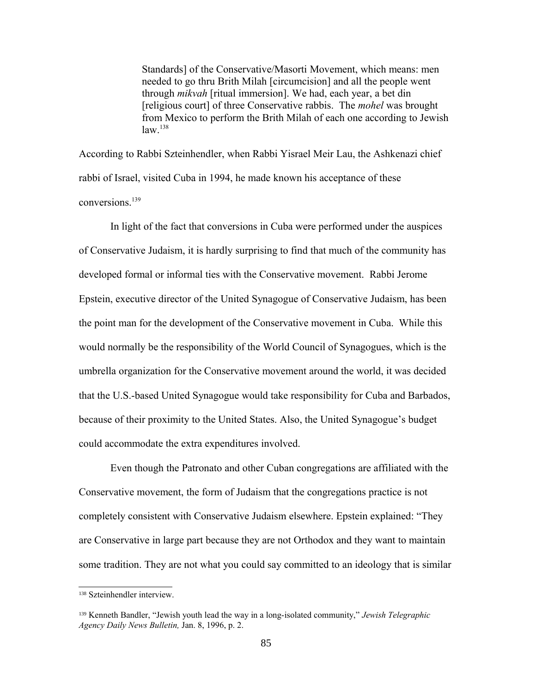Standards] of the Conservative/Masorti Movement, which means: men needed to go thru Brith Milah [circumcision] and all the people went through *mikvah* [ritual immersion]. We had, each year, a bet din [religious court] of three Conservative rabbis. The *mohel* was brought from Mexico to perform the Brith Milah of each one according to Jewish  $law<sup>138</sup>$  $law<sup>138</sup>$  $law<sup>138</sup>$ 

According to Rabbi Szteinhendler, when Rabbi Yisrael Meir Lau, the Ashkenazi chief rabbi of Israel, visited Cuba in 1994, he made known his acceptance of these conversions<sup>[139](#page-84-1)</sup>

In light of the fact that conversions in Cuba were performed under the auspices of Conservative Judaism, it is hardly surprising to find that much of the community has developed formal or informal ties with the Conservative movement. Rabbi Jerome Epstein, executive director of the United Synagogue of Conservative Judaism, has been the point man for the development of the Conservative movement in Cuba. While this would normally be the responsibility of the World Council of Synagogues, which is the umbrella organization for the Conservative movement around the world, it was decided that the U.S.-based United Synagogue would take responsibility for Cuba and Barbados, because of their proximity to the United States. Also, the United Synagogue's budget could accommodate the extra expenditures involved.

Even though the Patronato and other Cuban congregations are affiliated with the Conservative movement, the form of Judaism that the congregations practice is not completely consistent with Conservative Judaism elsewhere. Epstein explained: "They are Conservative in large part because they are not Orthodox and they want to maintain some tradition. They are not what you could say committed to an ideology that is similar

<span id="page-84-0"></span><sup>138</sup> Szteinhendler interview.

<span id="page-84-1"></span><sup>139</sup> Kenneth Bandler, "Jewish youth lead the way in a long-isolated community," *Jewish Telegraphic Agency Daily News Bulletin,* Jan. 8, 1996, p. 2.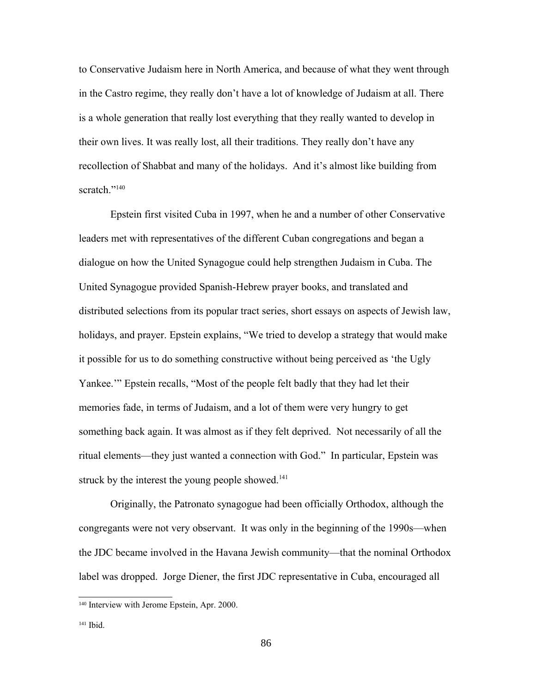to Conservative Judaism here in North America, and because of what they went through in the Castro regime, they really don't have a lot of knowledge of Judaism at all. There is a whole generation that really lost everything that they really wanted to develop in their own lives. It was really lost, all their traditions. They really don't have any recollection of Shabbat and many of the holidays. And it's almost like building from scratch<sup>"[140](#page-85-0)</sup>

Epstein first visited Cuba in 1997, when he and a number of other Conservative leaders met with representatives of the different Cuban congregations and began a dialogue on how the United Synagogue could help strengthen Judaism in Cuba. The United Synagogue provided Spanish-Hebrew prayer books, and translated and distributed selections from its popular tract series, short essays on aspects of Jewish law, holidays, and prayer. Epstein explains, "We tried to develop a strategy that would make it possible for us to do something constructive without being perceived as 'the Ugly Yankee.'" Epstein recalls, "Most of the people felt badly that they had let their memories fade, in terms of Judaism, and a lot of them were very hungry to get something back again. It was almost as if they felt deprived. Not necessarily of all the ritual elements—they just wanted a connection with God." In particular, Epstein was struck by the interest the young people showed.<sup>[141](#page-85-1)</sup>

Originally, the Patronato synagogue had been officially Orthodox, although the congregants were not very observant. It was only in the beginning of the 1990s—when the JDC became involved in the Havana Jewish community—that the nominal Orthodox label was dropped. Jorge Diener, the first JDC representative in Cuba, encouraged all

<span id="page-85-0"></span><sup>140</sup> Interview with Jerome Epstein, Apr. 2000.

<span id="page-85-1"></span><sup>141</sup> Ibid.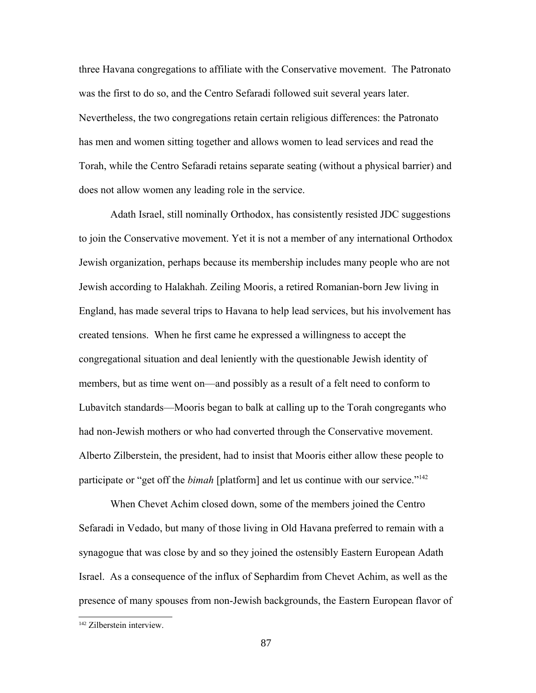three Havana congregations to affiliate with the Conservative movement. The Patronato was the first to do so, and the Centro Sefaradi followed suit several years later. Nevertheless, the two congregations retain certain religious differences: the Patronato has men and women sitting together and allows women to lead services and read the Torah, while the Centro Sefaradi retains separate seating (without a physical barrier) and does not allow women any leading role in the service.

Adath Israel, still nominally Orthodox, has consistently resisted JDC suggestions to join the Conservative movement. Yet it is not a member of any international Orthodox Jewish organization, perhaps because its membership includes many people who are not Jewish according to Halakhah. Zeiling Mooris, a retired Romanian-born Jew living in England, has made several trips to Havana to help lead services, but his involvement has created tensions. When he first came he expressed a willingness to accept the congregational situation and deal leniently with the questionable Jewish identity of members, but as time went on—and possibly as a result of a felt need to conform to Lubavitch standards—Mooris began to balk at calling up to the Torah congregants who had non-Jewish mothers or who had converted through the Conservative movement. Alberto Zilberstein, the president, had to insist that Mooris either allow these people to participate or "get off the *bimah* [platform] and let us continue with our service."<sup>[142](#page-86-0)</sup>

When Chevet Achim closed down, some of the members joined the Centro Sefaradi in Vedado, but many of those living in Old Havana preferred to remain with a synagogue that was close by and so they joined the ostensibly Eastern European Adath Israel. As a consequence of the influx of Sephardim from Chevet Achim, as well as the presence of many spouses from non-Jewish backgrounds, the Eastern European flavor of

<span id="page-86-0"></span><sup>142</sup> Zilberstein interview.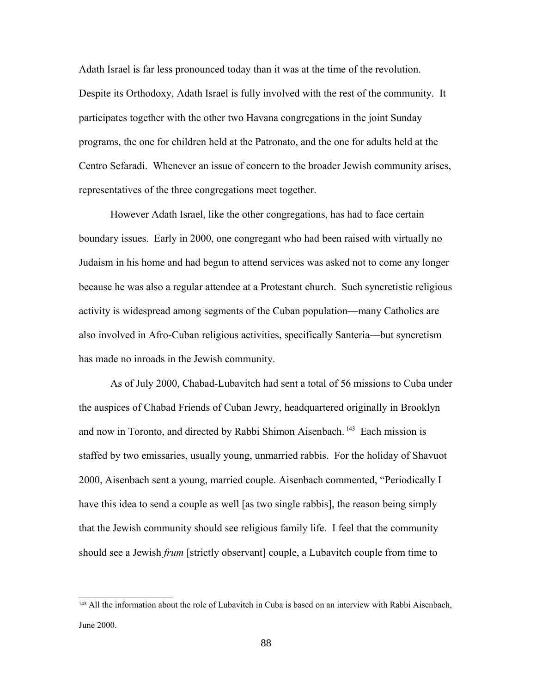Adath Israel is far less pronounced today than it was at the time of the revolution. Despite its Orthodoxy, Adath Israel is fully involved with the rest of the community. It participates together with the other two Havana congregations in the joint Sunday programs, the one for children held at the Patronato, and the one for adults held at the Centro Sefaradi. Whenever an issue of concern to the broader Jewish community arises, representatives of the three congregations meet together.

However Adath Israel, like the other congregations, has had to face certain boundary issues. Early in 2000, one congregant who had been raised with virtually no Judaism in his home and had begun to attend services was asked not to come any longer because he was also a regular attendee at a Protestant church. Such syncretistic religious activity is widespread among segments of the Cuban population—many Catholics are also involved in Afro-Cuban religious activities, specifically Santeria—but syncretism has made no inroads in the Jewish community.

As of July 2000, Chabad-Lubavitch had sent a total of 56 missions to Cuba under the auspices of Chabad Friends of Cuban Jewry, headquartered originally in Brooklyn and now in Toronto, and directed by Rabbi Shimon Aisenbach. [143](#page-87-0) Each mission is staffed by two emissaries, usually young, unmarried rabbis. For the holiday of Shavuot 2000, Aisenbach sent a young, married couple. Aisenbach commented, "Periodically I have this idea to send a couple as well [as two single rabbis], the reason being simply that the Jewish community should see religious family life. I feel that the community should see a Jewish *frum* [strictly observant] couple, a Lubavitch couple from time to

<span id="page-87-0"></span><sup>&</sup>lt;sup>143</sup> All the information about the role of Lubavitch in Cuba is based on an interview with Rabbi Aisenbach, June 2000.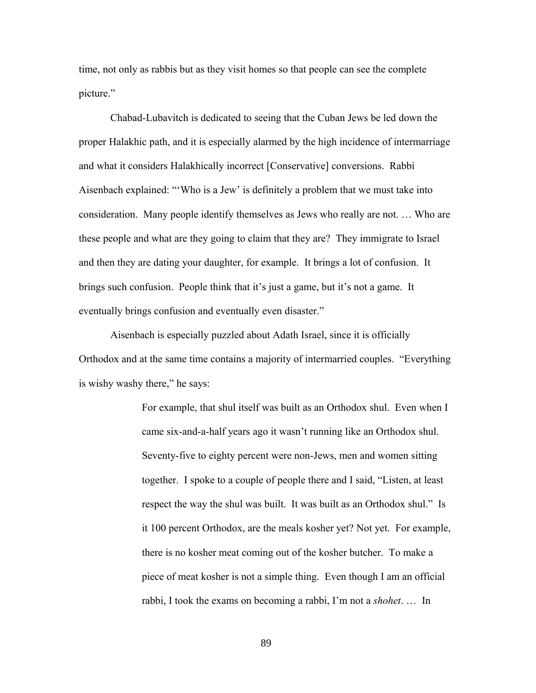time, not only as rabbis but as they visit homes so that people can see the complete picture."

Chabad-Lubavitch is dedicated to seeing that the Cuban Jews be led down the proper Halakhic path, and it is especially alarmed by the high incidence of intermarriage and what it considers Halakhically incorrect [Conservative] conversions. Rabbi Aisenbach explained: "'Who is a Jew' is definitely a problem that we must take into consideration. Many people identify themselves as Jews who really are not. … Who are these people and what are they going to claim that they are? They immigrate to Israel and then they are dating your daughter, for example. It brings a lot of confusion. It brings such confusion. People think that it's just a game, but it's not a game. It eventually brings confusion and eventually even disaster."

Aisenbach is especially puzzled about Adath Israel, since it is officially Orthodox and at the same time contains a majority of intermarried couples. "Everything is wishy washy there," he says:

> For example, that shul itself was built as an Orthodox shul. Even when I came six-and-a-half years ago it wasn't running like an Orthodox shul. Seventy-five to eighty percent were non-Jews, men and women sitting together. I spoke to a couple of people there and I said, "Listen, at least respect the way the shul was built. It was built as an Orthodox shul." Is it 100 percent Orthodox, are the meals kosher yet? Not yet. For example, there is no kosher meat coming out of the kosher butcher. To make a piece of meat kosher is not a simple thing. Even though I am an official rabbi, I took the exams on becoming a rabbi, I'm not a *shohet*. … In

> > 89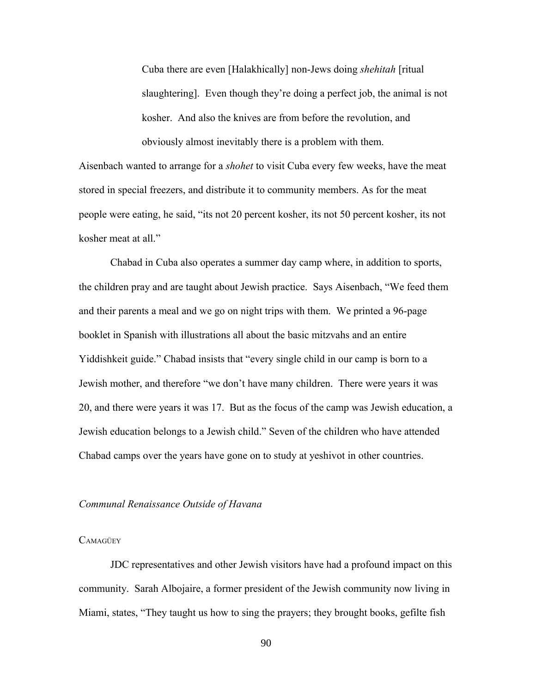Cuba there are even [Halakhically] non-Jews doing *shehitah* [ritual slaughtering]. Even though they're doing a perfect job, the animal is not kosher. And also the knives are from before the revolution, and obviously almost inevitably there is a problem with them.

Aisenbach wanted to arrange for a *shohet* to visit Cuba every few weeks, have the meat stored in special freezers, and distribute it to community members. As for the meat people were eating, he said, "its not 20 percent kosher, its not 50 percent kosher, its not kosher meat at all."

Chabad in Cuba also operates a summer day camp where, in addition to sports, the children pray and are taught about Jewish practice. Says Aisenbach, "We feed them and their parents a meal and we go on night trips with them. We printed a 96-page booklet in Spanish with illustrations all about the basic mitzvahs and an entire Yiddishkeit guide." Chabad insists that "every single child in our camp is born to a Jewish mother, and therefore "we don't have many children. There were years it was 20, and there were years it was 17. But as the focus of the camp was Jewish education, a Jewish education belongs to a Jewish child." Seven of the children who have attended Chabad camps over the years have gone on to study at yeshivot in other countries.

### *Communal Renaissance Outside of Havana*

# **CAMAGÜEY**

JDC representatives and other Jewish visitors have had a profound impact on this community. Sarah Albojaire, a former president of the Jewish community now living in Miami, states, "They taught us how to sing the prayers; they brought books, gefilte fish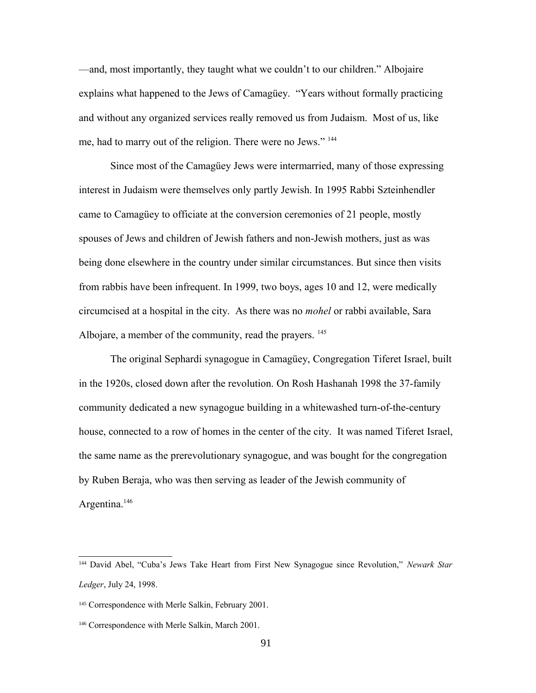—and, most importantly, they taught what we couldn't to our children." Albojaire explains what happened to the Jews of Camagüey. "Years without formally practicing and without any organized services really removed us from Judaism. Most of us, like me, had to marry out of the religion. There were no Jews." [144](#page-90-0)

Since most of the Camagüey Jews were intermarried, many of those expressing interest in Judaism were themselves only partly Jewish. In 1995 Rabbi Szteinhendler came to Camagüey to officiate at the conversion ceremonies of 21 people, mostly spouses of Jews and children of Jewish fathers and non-Jewish mothers, just as was being done elsewhere in the country under similar circumstances. But since then visits from rabbis have been infrequent. In 1999, two boys, ages 10 and 12, were medically circumcised at a hospital in the city. As there was no *mohel* or rabbi available, Sara Albojare, a member of the community, read the prayers. <sup>[145](#page-90-1)</sup>

The original Sephardi synagogue in Camagüey, Congregation Tiferet Israel, built in the 1920s, closed down after the revolution. On Rosh Hashanah 1998 the 37-family community dedicated a new synagogue building in a whitewashed turn-of-the-century house, connected to a row of homes in the center of the city. It was named Tiferet Israel, the same name as the prerevolutionary synagogue, and was bought for the congregation by Ruben Beraja, who was then serving as leader of the Jewish community of Argentina.<sup>[146](#page-90-2)</sup>

<span id="page-90-0"></span><sup>144</sup> David Abel, "Cuba's Jews Take Heart from First New Synagogue since Revolution," *Newark Star Ledger*, July 24, 1998.

<span id="page-90-1"></span><sup>145</sup> Correspondence with Merle Salkin, February 2001.

<span id="page-90-2"></span><sup>146</sup> Correspondence with Merle Salkin, March 2001.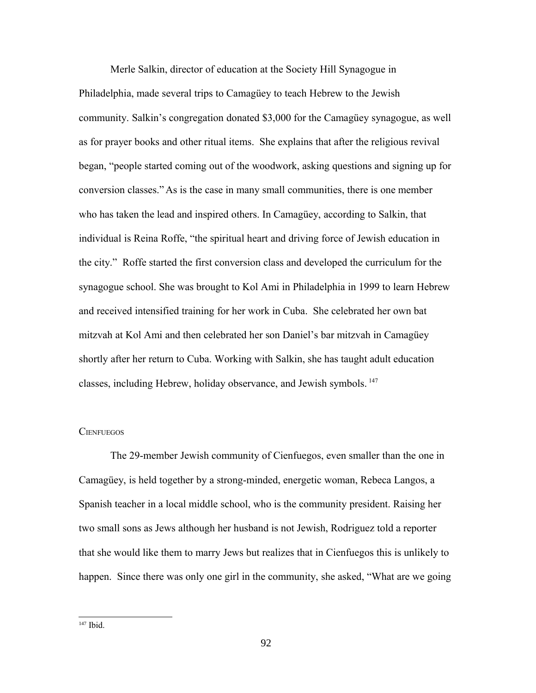Merle Salkin, director of education at the Society Hill Synagogue in Philadelphia, made several trips to Camagüey to teach Hebrew to the Jewish community. Salkin's congregation donated \$3,000 for the Camagüey synagogue, as well as for prayer books and other ritual items. She explains that after the religious revival began, "people started coming out of the woodwork, asking questions and signing up for conversion classes." As is the case in many small communities, there is one member who has taken the lead and inspired others. In Camagüey, according to Salkin, that individual is Reina Roffe, "the spiritual heart and driving force of Jewish education in the city." Roffe started the first conversion class and developed the curriculum for the synagogue school. She was brought to Kol Ami in Philadelphia in 1999 to learn Hebrew and received intensified training for her work in Cuba. She celebrated her own bat mitzvah at Kol Ami and then celebrated her son Daniel's bar mitzvah in Camagüey shortly after her return to Cuba. Working with Salkin, she has taught adult education classes, including Hebrew, holiday observance, and Jewish symbols. [147](#page-91-0)

#### **CIENFUEGOS**

The 29-member Jewish community of Cienfuegos, even smaller than the one in Camagüey, is held together by a strong-minded, energetic woman, Rebeca Langos, a Spanish teacher in a local middle school, who is the community president. Raising her two small sons as Jews although her husband is not Jewish, Rodriguez told a reporter that she would like them to marry Jews but realizes that in Cienfuegos this is unlikely to happen. Since there was only one girl in the community, she asked, "What are we going

<span id="page-91-0"></span> $147$  Ibid.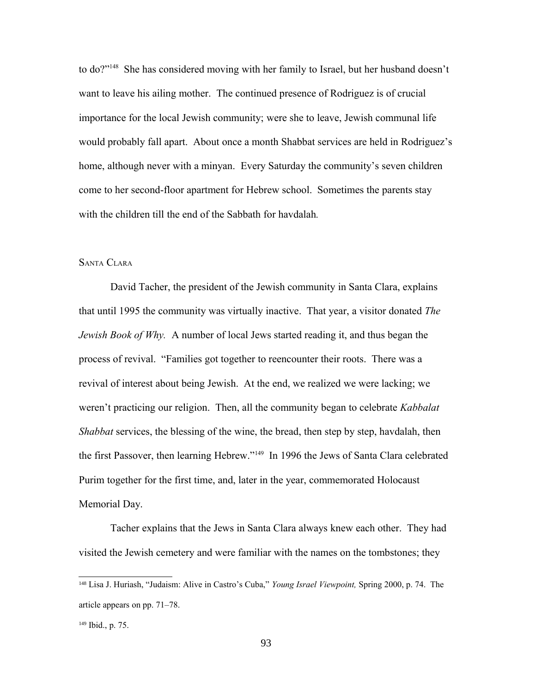to do?"[148](#page-92-0) She has considered moving with her family to Israel, but her husband doesn't want to leave his ailing mother. The continued presence of Rodriguez is of crucial importance for the local Jewish community; were she to leave, Jewish communal life would probably fall apart. About once a month Shabbat services are held in Rodriguez's home, although never with a minyan. Every Saturday the community's seven children come to her second-floor apartment for Hebrew school. Sometimes the parents stay with the children till the end of the Sabbath for havdalah*.*

# SANTA CLARA

David Tacher, the president of the Jewish community in Santa Clara, explains that until 1995 the community was virtually inactive. That year, a visitor donated *The Jewish Book of Why.* A number of local Jews started reading it, and thus began the process of revival. "Families got together to reencounter their roots. There was a revival of interest about being Jewish. At the end, we realized we were lacking; we weren't practicing our religion. Then, all the community began to celebrate *Kabbalat Shabbat* services, the blessing of the wine, the bread, then step by step, havdalah, then the first Passover, then learning Hebrew."[149](#page-92-1) In 1996 the Jews of Santa Clara celebrated Purim together for the first time, and, later in the year, commemorated Holocaust Memorial Day.

Tacher explains that the Jews in Santa Clara always knew each other. They had visited the Jewish cemetery and were familiar with the names on the tombstones; they

<span id="page-92-0"></span><sup>148</sup> Lisa J. Huriash, "Judaism: Alive in Castro's Cuba," *Young Israel Viewpoint,* Spring 2000, p. 74. The article appears on pp. 71–78.

<span id="page-92-1"></span><sup>149</sup> Ibid., p. 75.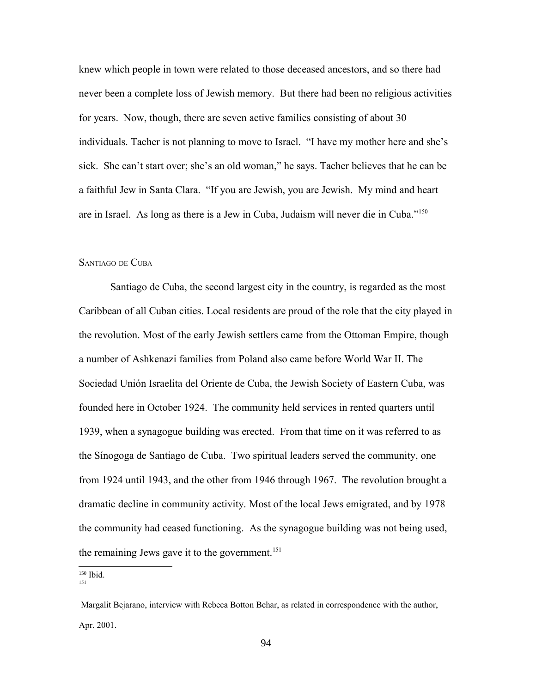knew which people in town were related to those deceased ancestors, and so there had never been a complete loss of Jewish memory. But there had been no religious activities for years. Now, though, there are seven active families consisting of about 30 individuals. Tacher is not planning to move to Israel. "I have my mother here and she's sick. She can't start over; she's an old woman," he says. Tacher believes that he can be a faithful Jew in Santa Clara. "If you are Jewish, you are Jewish. My mind and heart are in Israel. As long as there is a Jew in Cuba, Judaism will never die in Cuba."[150](#page-93-0)

# SANTIAGO DE CUBA

Santiago de Cuba, the second largest city in the country, is regarded as the most Caribbean of all Cuban cities. Local residents are proud of the role that the city played in the revolution. Most of the early Jewish settlers came from the Ottoman Empire, though a number of Ashkenazi families from Poland also came before World War II. The Sociedad Unión Israelita del Oriente de Cuba, the Jewish Society of Eastern Cuba, was founded here in October 1924. The community held services in rented quarters until 1939, when a synagogue building was erected. From that time on it was referred to as the Sínogoga de Santiago de Cuba. Two spiritual leaders served the community, one from 1924 until 1943, and the other from 1946 through 1967. The revolution brought a dramatic decline in community activity. Most of the local Jews emigrated, and by 1978 the community had ceased functioning. As the synagogue building was not being used, the remaining Jews gave it to the government.<sup>[151](#page-93-1)</sup>

<span id="page-93-0"></span><sup>150</sup> Ibid.

<span id="page-93-1"></span><sup>151</sup>

Margalit Bejarano, interview with Rebeca Botton Behar, as related in correspondence with the author, Apr. 2001.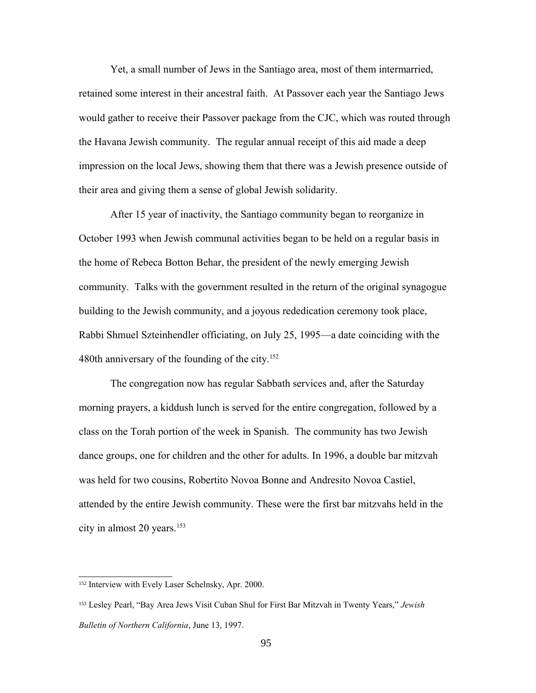Yet, a small number of Jews in the Santiago area, most of them intermarried, retained some interest in their ancestral faith. At Passover each year the Santiago Jews would gather to receive their Passover package from the CJC, which was routed through the Havana Jewish community. The regular annual receipt of this aid made a deep impression on the local Jews, showing them that there was a Jewish presence outside of their area and giving them a sense of global Jewish solidarity.

After 15 year of inactivity, the Santiago community began to reorganize in October 1993 when Jewish communal activities began to be held on a regular basis in the home of Rebeca Botton Behar, the president of the newly emerging Jewish community. Talks with the government resulted in the return of the original synagogue building to the Jewish community, and a joyous rededication ceremony took place, Rabbi Shmuel Szteinhendler officiating, on July 25, 1995—a date coinciding with the 480th anniversary of the founding of the city.<sup>[152](#page-94-0)</sup>

The congregation now has regular Sabbath services and, after the Saturday morning prayers, a kiddush lunch is served for the entire congregation, followed by a class on the Torah portion of the week in Spanish. The community has two Jewish dance groups, one for children and the other for adults. In 1996, a double bar mitzvah was held for two cousins, Robertito Novoa Bonne and Andresito Novoa Castiel, attended by the entire Jewish community. These were the first bar mitzvahs held in the city in almost 20 years.<sup>[153](#page-94-1)</sup>

<span id="page-94-0"></span><sup>152</sup> Interview with Evely Laser Schelnsky, Apr. 2000.

<span id="page-94-1"></span><sup>153</sup> Lesley Pearl, "Bay Area Jews Visit Cuban Shul for First Bar Mitzvah in Twenty Years," *Jewish Bulletin of Northern California*, June 13, 1997.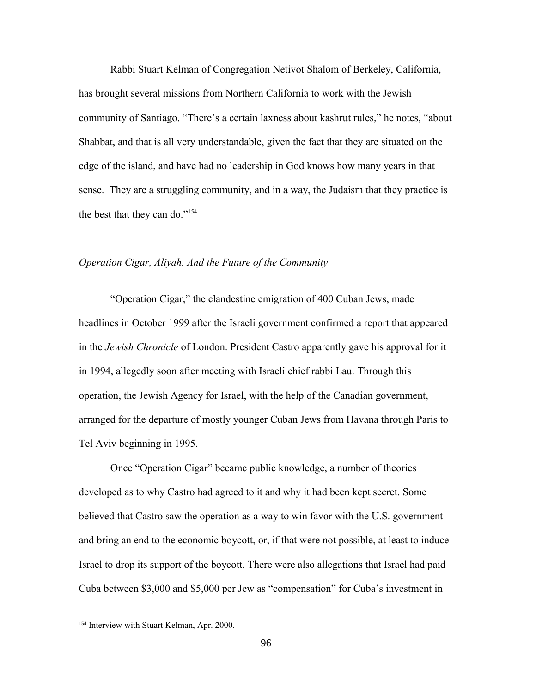Rabbi Stuart Kelman of Congregation Netivot Shalom of Berkeley, California, has brought several missions from Northern California to work with the Jewish community of Santiago. "There's a certain laxness about kashrut rules," he notes, "about Shabbat, and that is all very understandable, given the fact that they are situated on the edge of the island, and have had no leadership in God knows how many years in that sense. They are a struggling community, and in a way, the Judaism that they practice is the best that they can do."<sup>[154](#page-95-0)</sup>

## *Operation Cigar, Aliyah. And the Future of the Community*

"Operation Cigar," the clandestine emigration of 400 Cuban Jews, made headlines in October 1999 after the Israeli government confirmed a report that appeared in the *Jewish Chronicle* of London. President Castro apparently gave his approval for it in 1994, allegedly soon after meeting with Israeli chief rabbi Lau. Through this operation, the Jewish Agency for Israel, with the help of the Canadian government, arranged for the departure of mostly younger Cuban Jews from Havana through Paris to Tel Aviv beginning in 1995.

Once "Operation Cigar" became public knowledge, a number of theories developed as to why Castro had agreed to it and why it had been kept secret. Some believed that Castro saw the operation as a way to win favor with the U.S. government and bring an end to the economic boycott, or, if that were not possible, at least to induce Israel to drop its support of the boycott. There were also allegations that Israel had paid Cuba between \$3,000 and \$5,000 per Jew as "compensation" for Cuba's investment in

<span id="page-95-0"></span><sup>154</sup> Interview with Stuart Kelman, Apr. 2000.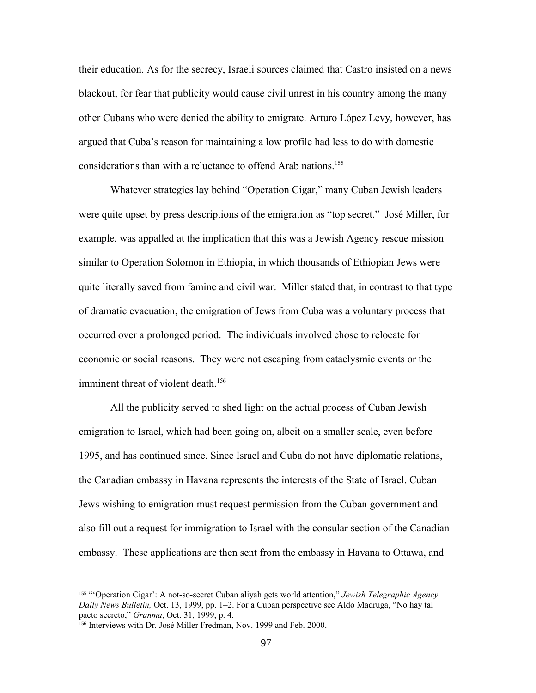their education. As for the secrecy, Israeli sources claimed that Castro insisted on a news blackout, for fear that publicity would cause civil unrest in his country among the many other Cubans who were denied the ability to emigrate. Arturo López Levy, however, has argued that Cuba's reason for maintaining a low profile had less to do with domestic considerations than with a reluctance to offend Arab nations.<sup>[155](#page-96-0)</sup>

Whatever strategies lay behind "Operation Cigar," many Cuban Jewish leaders were quite upset by press descriptions of the emigration as "top secret." José Miller, for example, was appalled at the implication that this was a Jewish Agency rescue mission similar to Operation Solomon in Ethiopia, in which thousands of Ethiopian Jews were quite literally saved from famine and civil war. Miller stated that, in contrast to that type of dramatic evacuation, the emigration of Jews from Cuba was a voluntary process that occurred over a prolonged period. The individuals involved chose to relocate for economic or social reasons. They were not escaping from cataclysmic events or the imminent threat of violent death.<sup>[156](#page-96-1)</sup>

All the publicity served to shed light on the actual process of Cuban Jewish emigration to Israel, which had been going on, albeit on a smaller scale, even before 1995, and has continued since. Since Israel and Cuba do not have diplomatic relations, the Canadian embassy in Havana represents the interests of the State of Israel. Cuban Jews wishing to emigration must request permission from the Cuban government and also fill out a request for immigration to Israel with the consular section of the Canadian embassy. These applications are then sent from the embassy in Havana to Ottawa, and

<span id="page-96-0"></span><sup>155</sup> "'Operation Cigar': A not-so-secret Cuban aliyah gets world attention," *Jewish Telegraphic Agency Daily News Bulletin,* Oct. 13, 1999, pp. 1–2. For a Cuban perspective see Aldo Madruga, "No hay tal pacto secreto," *Granma*, Oct. 31, 1999, p. 4.

<span id="page-96-1"></span><sup>156</sup> Interviews with Dr. José Miller Fredman, Nov. 1999 and Feb. 2000.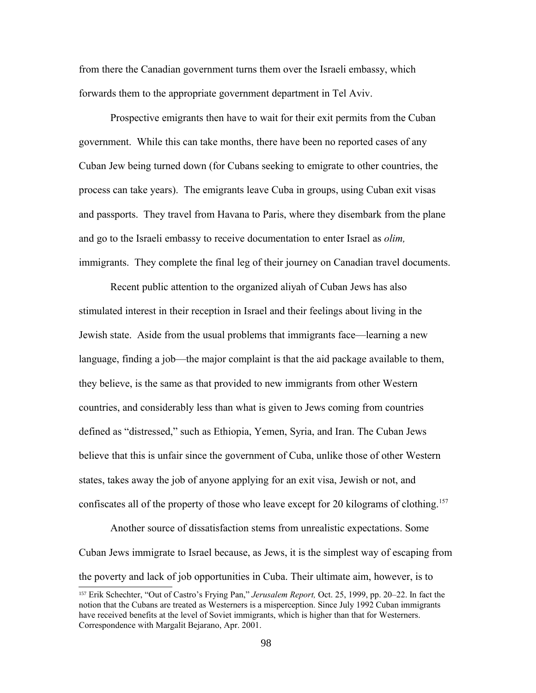from there the Canadian government turns them over the Israeli embassy, which forwards them to the appropriate government department in Tel Aviv.

Prospective emigrants then have to wait for their exit permits from the Cuban government. While this can take months, there have been no reported cases of any Cuban Jew being turned down (for Cubans seeking to emigrate to other countries, the process can take years). The emigrants leave Cuba in groups, using Cuban exit visas and passports. They travel from Havana to Paris, where they disembark from the plane and go to the Israeli embassy to receive documentation to enter Israel as *olim,* immigrants. They complete the final leg of their journey on Canadian travel documents.

Recent public attention to the organized aliyah of Cuban Jews has also stimulated interest in their reception in Israel and their feelings about living in the Jewish state. Aside from the usual problems that immigrants face—learning a new language, finding a job—the major complaint is that the aid package available to them, they believe, is the same as that provided to new immigrants from other Western countries, and considerably less than what is given to Jews coming from countries defined as "distressed," such as Ethiopia, Yemen, Syria, and Iran. The Cuban Jews believe that this is unfair since the government of Cuba, unlike those of other Western states, takes away the job of anyone applying for an exit visa, Jewish or not, and confiscates all of the property of those who leave except for 20 kilograms of clothing.<sup>[157](#page-97-0)</sup>

Another source of dissatisfaction stems from unrealistic expectations. Some Cuban Jews immigrate to Israel because, as Jews, it is the simplest way of escaping from the poverty and lack of job opportunities in Cuba. Their ultimate aim, however, is to

<span id="page-97-0"></span><sup>157</sup> Erik Schechter, "Out of Castro's Frying Pan," *Jerusalem Report,* Oct. 25, 1999, pp. 20–22. In fact the notion that the Cubans are treated as Westerners is a misperception. Since July 1992 Cuban immigrants have received benefits at the level of Soviet immigrants, which is higher than that for Westerners. Correspondence with Margalit Bejarano, Apr. 2001.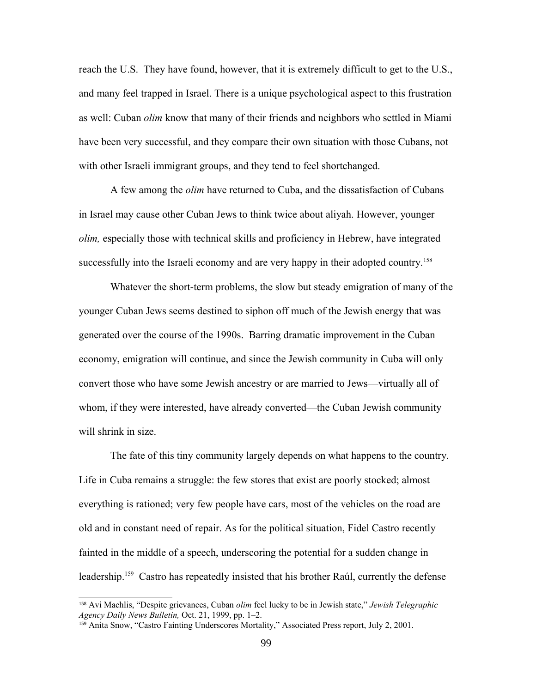reach the U.S. They have found, however, that it is extremely difficult to get to the U.S., and many feel trapped in Israel. There is a unique psychological aspect to this frustration as well: Cuban *olim* know that many of their friends and neighbors who settled in Miami have been very successful, and they compare their own situation with those Cubans, not with other Israeli immigrant groups, and they tend to feel shortchanged.

A few among the *olim* have returned to Cuba, and the dissatisfaction of Cubans in Israel may cause other Cuban Jews to think twice about aliyah. However, younger *olim,* especially those with technical skills and proficiency in Hebrew, have integrated successfully into the Israeli economy and are very happy in their adopted country.<sup>[158](#page-98-0)</sup>

Whatever the short-term problems, the slow but steady emigration of many of the younger Cuban Jews seems destined to siphon off much of the Jewish energy that was generated over the course of the 1990s. Barring dramatic improvement in the Cuban economy, emigration will continue, and since the Jewish community in Cuba will only convert those who have some Jewish ancestry or are married to Jews—virtually all of whom, if they were interested, have already converted—the Cuban Jewish community will shrink in size.

The fate of this tiny community largely depends on what happens to the country. Life in Cuba remains a struggle: the few stores that exist are poorly stocked; almost everything is rationed; very few people have cars, most of the vehicles on the road are old and in constant need of repair. As for the political situation, Fidel Castro recently fainted in the middle of a speech, underscoring the potential for a sudden change in leadership.<sup>[159](#page-98-1)</sup> Castro has repeatedly insisted that his brother Raúl, currently the defense

<span id="page-98-0"></span><sup>158</sup> Avi Machlis, "Despite grievances, Cuban *olim* feel lucky to be in Jewish state," *Jewish Telegraphic Agency Daily News Bulletin,* Oct. 21, 1999, pp. 1–2.

<span id="page-98-1"></span><sup>&</sup>lt;sup>159</sup> Anita Snow, "Castro Fainting Underscores Mortality," Associated Press report, July 2, 2001.